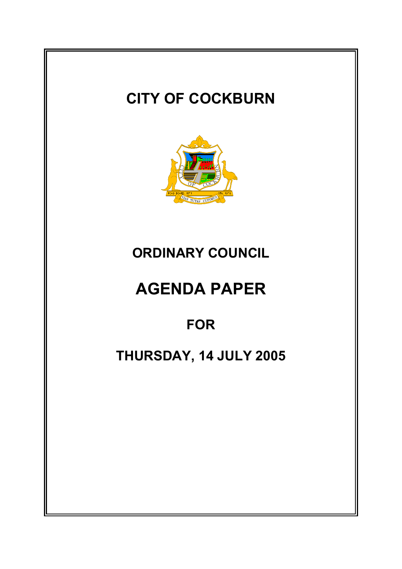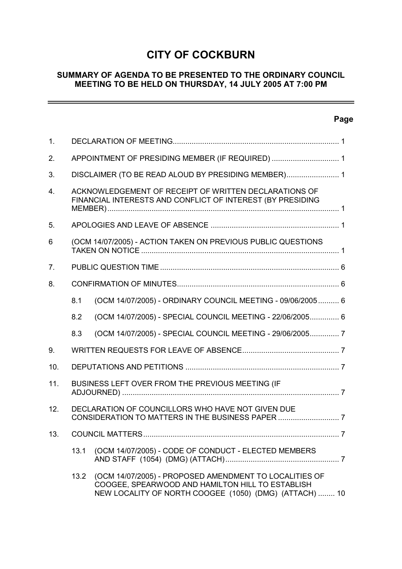# **CITY OF COCKBURN**

# **SUMMARY OF AGENDA TO BE PRESENTED TO THE ORDINARY COUNCIL MEETING TO BE HELD ON THURSDAY, 14 JULY 2005 AT 7:00 PM**

# **Page**

| $\mathbf{1}$ . |                                                                                                                     |                                                                                                                                                                      |  |
|----------------|---------------------------------------------------------------------------------------------------------------------|----------------------------------------------------------------------------------------------------------------------------------------------------------------------|--|
| 2.             | APPOINTMENT OF PRESIDING MEMBER (IF REQUIRED)  1                                                                    |                                                                                                                                                                      |  |
| 3.             | DISCLAIMER (TO BE READ ALOUD BY PRESIDING MEMBER) 1                                                                 |                                                                                                                                                                      |  |
| 4 <sup>1</sup> | ACKNOWLEDGEMENT OF RECEIPT OF WRITTEN DECLARATIONS OF<br>FINANCIAL INTERESTS AND CONFLICT OF INTEREST (BY PRESIDING |                                                                                                                                                                      |  |
| 5.             |                                                                                                                     |                                                                                                                                                                      |  |
| 6              | (OCM 14/07/2005) - ACTION TAKEN ON PREVIOUS PUBLIC QUESTIONS                                                        |                                                                                                                                                                      |  |
| 7 <sub>1</sub> |                                                                                                                     |                                                                                                                                                                      |  |
| 8.             |                                                                                                                     |                                                                                                                                                                      |  |
|                | 8.1                                                                                                                 | (OCM 14/07/2005) - ORDINARY COUNCIL MEETING - 09/06/2005 6                                                                                                           |  |
|                | 8.2                                                                                                                 | (OCM 14/07/2005) - SPECIAL COUNCIL MEETING - 22/06/2005 6                                                                                                            |  |
|                | 8.3                                                                                                                 | (OCM 14/07/2005) - SPECIAL COUNCIL MEETING - 29/06/2005 7                                                                                                            |  |
| 9.             |                                                                                                                     |                                                                                                                                                                      |  |
| 10.            |                                                                                                                     |                                                                                                                                                                      |  |
| 11.            | BUSINESS LEFT OVER FROM THE PREVIOUS MEETING (IF                                                                    |                                                                                                                                                                      |  |
| 12.            | DECLARATION OF COUNCILLORS WHO HAVE NOT GIVEN DUE                                                                   |                                                                                                                                                                      |  |
| 13.            |                                                                                                                     |                                                                                                                                                                      |  |
|                | 13.1                                                                                                                | (OCM 14/07/2005) - CODE OF CONDUCT - ELECTED MEMBERS                                                                                                                 |  |
|                | 13.2                                                                                                                | (OCM 14/07/2005) - PROPOSED AMENDMENT TO LOCALITIES OF<br>COOGEE, SPEARWOOD AND HAMILTON HILL TO ESTABLISH<br>NEW LOCALITY OF NORTH COOGEE (1050) (DMG) (ATTACH)  10 |  |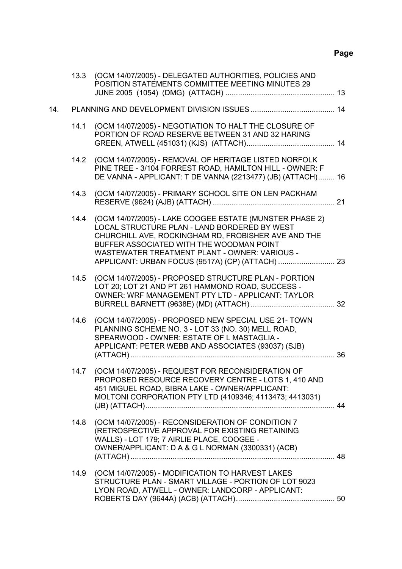# **Page**

|     | 13.3 | (OCM 14/07/2005) - DELEGATED AUTHORITIES, POLICIES AND<br>POSITION STATEMENTS COMMITTEE MEETING MINUTES 29                                                                                                                                                              |  |
|-----|------|-------------------------------------------------------------------------------------------------------------------------------------------------------------------------------------------------------------------------------------------------------------------------|--|
| 14. |      |                                                                                                                                                                                                                                                                         |  |
|     | 14.1 | (OCM 14/07/2005) - NEGOTIATION TO HALT THE CLOSURE OF<br>PORTION OF ROAD RESERVE BETWEEN 31 AND 32 HARING                                                                                                                                                               |  |
|     |      | 14.2 (OCM 14/07/2005) - REMOVAL OF HERITAGE LISTED NORFOLK<br>PINE TREE - 3/104 FORREST ROAD, HAMILTON HILL - OWNER: F<br>DE VANNA - APPLICANT: T DE VANNA (2213477) (JB) (ATTACH) 16                                                                                   |  |
|     | 14.3 | (OCM 14/07/2005) - PRIMARY SCHOOL SITE ON LEN PACKHAM                                                                                                                                                                                                                   |  |
|     |      | 14.4 (OCM 14/07/2005) - LAKE COOGEE ESTATE (MUNSTER PHASE 2)<br>LOCAL STRUCTURE PLAN - LAND BORDERED BY WEST<br>CHURCHILL AVE, ROCKINGHAM RD, FROBISHER AVE AND THE<br>BUFFER ASSOCIATED WITH THE WOODMAN POINT<br><b>WASTEWATER TREATMENT PLANT - OWNER: VARIOUS -</b> |  |
|     | 14.5 | (OCM 14/07/2005) - PROPOSED STRUCTURE PLAN - PORTION<br>LOT 20; LOT 21 AND PT 261 HAMMOND ROAD, SUCCESS -<br>OWNER: WRF MANAGEMENT PTY LTD - APPLICANT: TAYLOR                                                                                                          |  |
|     | 14.6 | (OCM 14/07/2005) - PROPOSED NEW SPECIAL USE 21- TOWN<br>PLANNING SCHEME NO. 3 - LOT 33 (NO. 30) MELL ROAD,<br>SPEARWOOD - OWNER: ESTATE OF L MASTAGLIA -<br>APPLICANT: PETER WEBB AND ASSOCIATES (93037) (SJB)                                                          |  |
|     | 14.7 | (OCM 14/07/2005) - REQUEST FOR RECONSIDERATION OF<br>PROPOSED RESOURCE RECOVERY CENTRE - LOTS 1, 410 AND<br>451 MIGUEL ROAD, BIBRA LAKE - OWNER/APPLICANT:<br>MOLTONI CORPORATION PTY LTD (4109346; 4113473; 4413031)                                                   |  |
|     | 14.8 | (OCM 14/07/2005) - RECONSIDERATION OF CONDITION 7<br>(RETROSPECTIVE APPROVAL FOR EXISTING RETAINING<br>WALLS) - LOT 179; 7 AIRLIE PLACE, COOGEE -<br>OWNER/APPLICANT: D A & G L NORMAN (3300331) (ACB)                                                                  |  |
|     | 14.9 | (OCM 14/07/2005) - MODIFICATION TO HARVEST LAKES<br>STRUCTURE PLAN - SMART VILLAGE - PORTION OF LOT 9023<br>LYON ROAD, ATWELL - OWNER: LANDCORP - APPLICANT:                                                                                                            |  |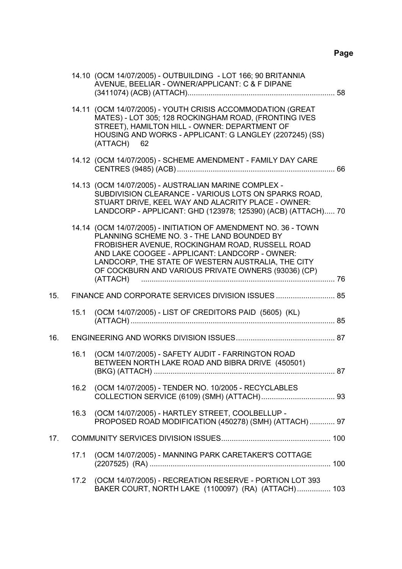|     |      | 14.10 (OCM 14/07/2005) - OUTBUILDING - LOT 166; 90 BRITANNIA<br>AVENUE, BEELIAR - OWNER/APPLICANT: C & F DIPANE                                                                                                                                                                                                                             |  |
|-----|------|---------------------------------------------------------------------------------------------------------------------------------------------------------------------------------------------------------------------------------------------------------------------------------------------------------------------------------------------|--|
|     |      | 14.11 (OCM 14/07/2005) - YOUTH CRISIS ACCOMMODATION (GREAT<br>MATES) - LOT 305; 128 ROCKINGHAM ROAD, (FRONTING IVES<br>STREET), HAMILTON HILL - OWNER: DEPARTMENT OF<br>HOUSING AND WORKS - APPLICANT: G LANGLEY (2207245) (SS)<br>(ATTACH) 62                                                                                              |  |
|     |      | 14.12 (OCM 14/07/2005) - SCHEME AMENDMENT - FAMILY DAY CARE                                                                                                                                                                                                                                                                                 |  |
|     |      | 14.13 (OCM 14/07/2005) - AUSTRALIAN MARINE COMPLEX -<br>SUBDIVISION CLEARANCE - VARIOUS LOTS ON SPARKS ROAD,<br>STUART DRIVE, KEEL WAY AND ALACRITY PLACE - OWNER:<br>LANDCORP - APPLICANT: GHD (123978; 125390) (ACB) (ATTACH) 70                                                                                                          |  |
|     |      | 14.14 (OCM 14/07/2005) - INITIATION OF AMENDMENT NO. 36 - TOWN<br>PLANNING SCHEME NO. 3 - THE LAND BOUNDED BY<br>FROBISHER AVENUE, ROCKINGHAM ROAD, RUSSELL ROAD<br>AND LAKE COOGEE - APPLICANT: LANDCORP - OWNER:<br>LANDCORP, THE STATE OF WESTERN AUSTRALIA, THE CITY<br>OF COCKBURN AND VARIOUS PRIVATE OWNERS (93036) (CP)<br>(ATTACH) |  |
| 15. |      | FINANCE AND CORPORATE SERVICES DIVISION ISSUES  85                                                                                                                                                                                                                                                                                          |  |
|     | 15.1 | (OCM 14/07/2005) - LIST OF CREDITORS PAID (5605) (KL)                                                                                                                                                                                                                                                                                       |  |
| 16. |      |                                                                                                                                                                                                                                                                                                                                             |  |
|     | 16.1 | (OCM 14/07/2005) - SAFETY AUDIT - FARRINGTON ROAD<br>BETWEEN NORTH LAKE ROAD AND BIBRA DRIVE (450501)                                                                                                                                                                                                                                       |  |
|     | 16.2 | (OCM 14/07/2005) - TENDER NO. 10/2005 - RECYCLABLES                                                                                                                                                                                                                                                                                         |  |
|     |      | 16.3 (OCM 14/07/2005) - HARTLEY STREET, COOLBELLUP -<br>PROPOSED ROAD MODIFICATION (450278) (SMH) (ATTACH)  97                                                                                                                                                                                                                              |  |
| 17. |      |                                                                                                                                                                                                                                                                                                                                             |  |
|     | 17.1 | (OCM 14/07/2005) - MANNING PARK CARETAKER'S COTTAGE                                                                                                                                                                                                                                                                                         |  |
|     | 17.2 | (OCM 14/07/2005) - RECREATION RESERVE - PORTION LOT 393<br>BAKER COURT, NORTH LAKE (1100097) (RA) (ATTACH) 103                                                                                                                                                                                                                              |  |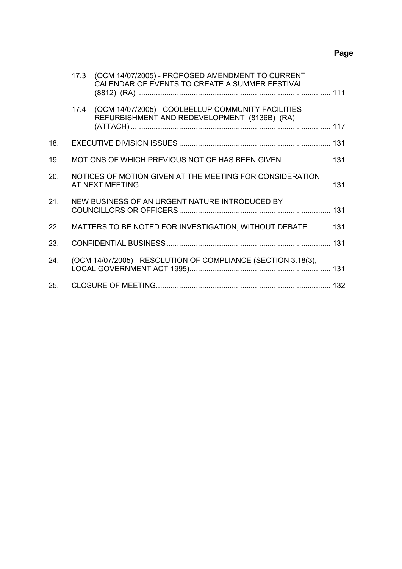# **Page**

|     |      | 17.3 (OCM 14/07/2005) - PROPOSED AMENDMENT TO CURRENT<br>CALENDAR OF EVENTS TO CREATE A SUMMER FESTIVAL |  |
|-----|------|---------------------------------------------------------------------------------------------------------|--|
|     | 17.4 | (OCM 14/07/2005) - COOLBELLUP COMMUNITY FACILITIES<br>REFURBISHMENT AND REDEVELOPMENT (8136B) (RA)      |  |
| 18. |      |                                                                                                         |  |
| 19. |      | MOTIONS OF WHICH PREVIOUS NOTICE HAS BEEN GIVEN  131                                                    |  |
| 20. |      | NOTICES OF MOTION GIVEN AT THE MEETING FOR CONSIDERATION                                                |  |
| 21. |      | NEW BUSINESS OF AN URGENT NATURE INTRODUCED BY                                                          |  |
| 22. |      | MATTERS TO BE NOTED FOR INVESTIGATION, WITHOUT DEBATE 131                                               |  |
| 23. |      |                                                                                                         |  |
| 24. |      | (OCM 14/07/2005) - RESOLUTION OF COMPLIANCE (SECTION 3.18(3),                                           |  |
| 25. |      |                                                                                                         |  |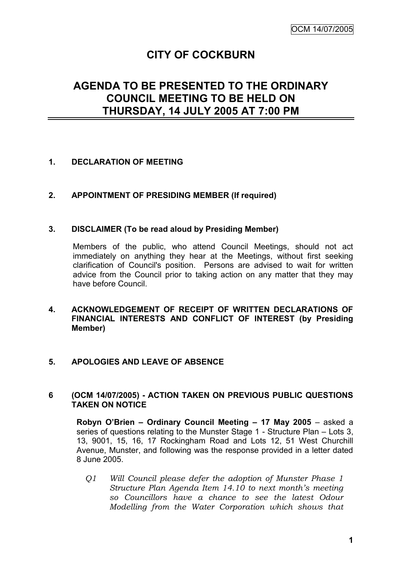# **CITY OF COCKBURN**

# **AGENDA TO BE PRESENTED TO THE ORDINARY COUNCIL MEETING TO BE HELD ON THURSDAY, 14 JULY 2005 AT 7:00 PM**

# **1. DECLARATION OF MEETING**

# **2. APPOINTMENT OF PRESIDING MEMBER (If required)**

#### **3. DISCLAIMER (To be read aloud by Presiding Member)**

Members of the public, who attend Council Meetings, should not act immediately on anything they hear at the Meetings, without first seeking clarification of Council's position. Persons are advised to wait for written advice from the Council prior to taking action on any matter that they may have before Council.

#### **4. ACKNOWLEDGEMENT OF RECEIPT OF WRITTEN DECLARATIONS OF FINANCIAL INTERESTS AND CONFLICT OF INTEREST (by Presiding Member)**

#### **5. APOLOGIES AND LEAVE OF ABSENCE**

#### **6 (OCM 14/07/2005) - ACTION TAKEN ON PREVIOUS PUBLIC QUESTIONS TAKEN ON NOTICE**

**Robyn O'Brien – Ordinary Council Meeting – 17 May 2005** – asked a series of questions relating to the Munster Stage 1 - Structure Plan – Lots 3, 13, 9001, 15, 16, 17 Rockingham Road and Lots 12, 51 West Churchill Avenue, Munster, and following was the response provided in a letter dated 8 June 2005.

*Q1 Will Council please defer the adoption of Munster Phase 1 Structure Plan Agenda Item 14.10 to next month's meeting so Councillors have a chance to see the latest Odour Modelling from the Water Corporation which shows that*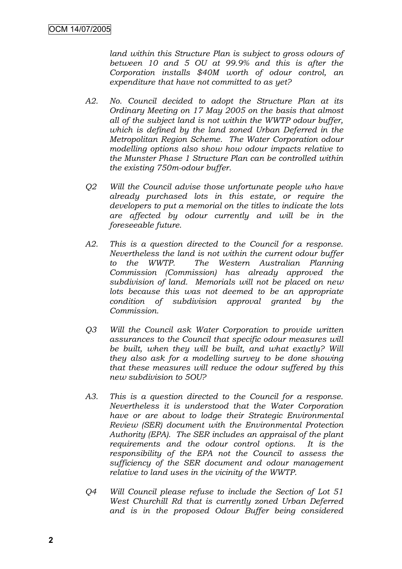*land within this Structure Plan is subject to gross odours of between 10 and 5 OU at 99.9% and this is after the Corporation installs \$40M worth of odour control, an expenditure that have not committed to as yet?*

- *A2. No. Council decided to adopt the Structure Plan at its Ordinary Meeting on 17 May 2005 on the basis that almost all of the subject land is not within the WWTP odour buffer, which is defined by the land zoned Urban Deferred in the Metropolitan Region Scheme. The Water Corporation odour modelling options also show how odour impacts relative to the Munster Phase 1 Structure Plan can be controlled within the existing 750m-odour buffer.*
- *Q2 Will the Council advise those unfortunate people who have already purchased lots in this estate, or require the developers to put a memorial on the titles to indicate the lots are affected by odour currently and will be in the foreseeable future.*
- *A2. This is a question directed to the Council for a response. Nevertheless the land is not within the current odour buffer to the WWTP. The Western Australian Planning Commission (Commission) has already approved the subdivision of land. Memorials will not be placed on new lots because this was not deemed to be an appropriate condition of subdivision approval granted by the Commission.*
- *Q3 Will the Council ask Water Corporation to provide written assurances to the Council that specific odour measures will be built, when they will be built, and what exactly? Will they also ask for a modelling survey to be done showing that these measures will reduce the odour suffered by this new subdivision to 5OU?*
- *A3. This is a question directed to the Council for a response. Nevertheless it is understood that the Water Corporation have or are about to lodge their Strategic Environmental Review (SER) document with the Environmental Protection Authority (EPA). The SER includes an appraisal of the plant requirements and the odour control options. It is the responsibility of the EPA not the Council to assess the sufficiency of the SER document and odour management relative to land uses in the vicinity of the WWTP.*
- *Q4 Will Council please refuse to include the Section of Lot 51 West Churchill Rd that is currently zoned Urban Deferred and is in the proposed Odour Buffer being considered*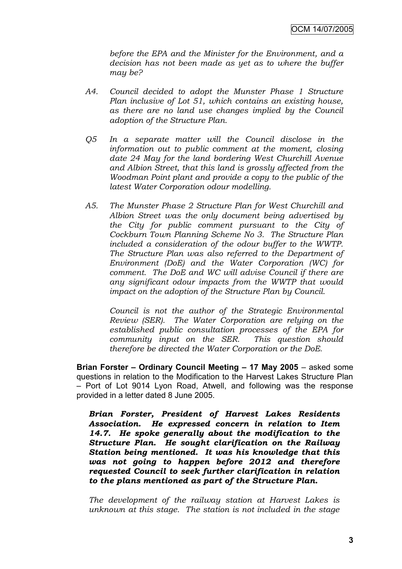*before the EPA and the Minister for the Environment, and a decision has not been made as yet as to where the buffer may be?*

- *A4. Council decided to adopt the Munster Phase 1 Structure Plan inclusive of Lot 51, which contains an existing house, as there are no land use changes implied by the Council adoption of the Structure Plan.*
- *Q5 In a separate matter will the Council disclose in the information out to public comment at the moment, closing date 24 May for the land bordering West Churchill Avenue and Albion Street, that this land is grossly affected from the Woodman Point plant and provide a copy to the public of the latest Water Corporation odour modelling.*
- *A5. The Munster Phase 2 Structure Plan for West Churchill and Albion Street was the only document being advertised by the City for public comment pursuant to the City of Cockburn Town Planning Scheme No 3. The Structure Plan included a consideration of the odour buffer to the WWTP. The Structure Plan was also referred to the Department of Environment (DoE) and the Water Corporation (WC) for comment. The DoE and WC will advise Council if there are any significant odour impacts from the WWTP that would impact on the adoption of the Structure Plan by Council.*

*Council is not the author of the Strategic Environmental Review (SER). The Water Corporation are relying on the established public consultation processes of the EPA for community input on the SER. This question should therefore be directed the Water Corporation or the DoE*.

**Brian Forster – Ordinary Council Meeting – 17 May 2005** – asked some questions in relation to the Modification to the Harvest Lakes Structure Plan – Port of Lot 9014 Lyon Road, Atwell, and following was the response provided in a letter dated 8 June 2005.

*Brian Forster, President of Harvest Lakes Residents Association. He expressed concern in relation to Item 14.7. He spoke generally about the modification to the Structure Plan. He sought clarification on the Railway Station being mentioned. It was his knowledge that this was not going to happen before 2012 and therefore requested Council to seek further clarification in relation to the plans mentioned as part of the Structure Plan.*

*The development of the railway station at Harvest Lakes is unknown at this stage. The station is not included in the stage*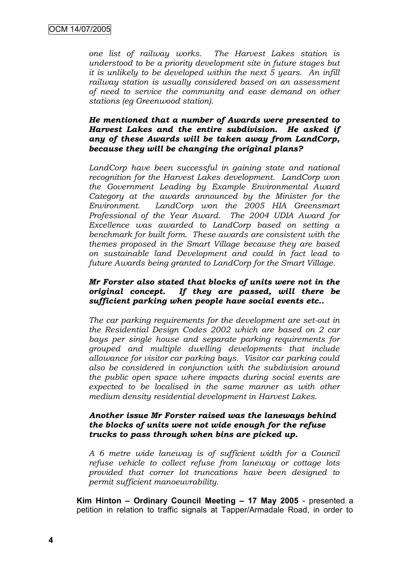*one list of railway works. The Harvest Lakes station is understood to be a priority development site in future stages but it is unlikely to be developed within the next 5 years. An infill railway station is usually considered based on an assessment of need to service the community and ease demand on other stations (eg Greenwood station).*

#### *He mentioned that a number of Awards were presented to Harvest Lakes and the entire subdivision. He asked if any of these Awards will be taken away from LandCorp, because they will be changing the original plans?*

LandCorp have been successful in gaining state and national *recognition for the Harvest Lakes development. LandCorp won the Government Leading by Example Environmental Award Category at the awards announced by the Minister for the Environment. LandCorp won the 2005 HIA Greensmart Professional of the Year Award. The 2004 UDIA Award for Excellence was awarded to LandCorp based on setting a benchmark for built form. These awards are consistent with the themes proposed in the Smart Village because they are based on sustainable land Development and could in fact lead to future Awards being granted to LandCorp for the Smart Village.*

#### *Mr Forster also stated that blocks of units were not in the original concept. If they are passed, will there be sufficient parking when people have social events etc..*

*The car parking requirements for the development are set-out in the Residential Design Codes 2002 which are based on 2 car bays per single house and separate parking requirements for grouped and multiple dwelling developments that include allowance for visitor car parking bays. Visitor car parking could also be considered in conjunction with the subdivision around the public open space where impacts during social events are expected to be localised in the same manner as with other medium density residential development in Harvest Lakes.*

#### *Another issue Mr Forster raised was the laneways behind the blocks of units were not wide enough for the refuse trucks to pass through when bins are picked up.*

*A 6 metre wide laneway is of sufficient width for a Council refuse vehicle to collect refuse from laneway or cottage lots provided that corner lot truncations have been designed to permit sufficient manoeuvrability*.

**Kim Hinton – Ordinary Council Meeting – 17 May 2005** - presented a petition in relation to traffic signals at Tapper/Armadale Road, in order to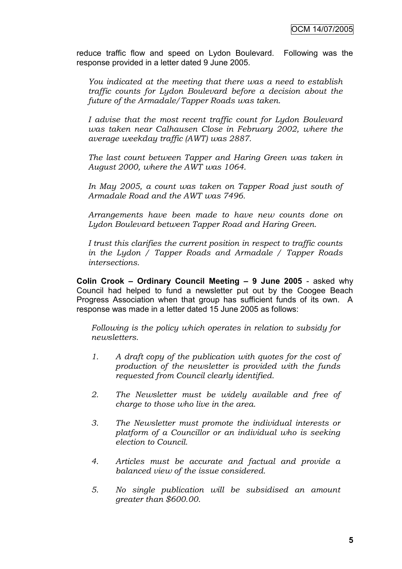reduce traffic flow and speed on Lydon Boulevard. Following was the response provided in a letter dated 9 June 2005.

*You indicated at the meeting that there was a need to establish traffic counts for Lydon Boulevard before a decision about the future of the Armadale/Tapper Roads was taken.*

*I advise that the most recent traffic count for Lydon Boulevard was taken near Calhausen Close in February 2002, where the average weekday traffic (AWT) was 2887.*

*The last count between Tapper and Haring Green was taken in August 2000, where the AWT was 1064.*

*In May 2005, a count was taken on Tapper Road just south of Armadale Road and the AWT was 7496.*

*Arrangements have been made to have new counts done on Lydon Boulevard between Tapper Road and Haring Green.*

*I trust this clarifies the current position in respect to traffic counts in the Lydon / Tapper Roads and Armadale / Tapper Roads intersections.*

**Colin Crook – Ordinary Council Meeting – 9 June 2005** - asked why Council had helped to fund a newsletter put out by the Coogee Beach Progress Association when that group has sufficient funds of its own. A response was made in a letter dated 15 June 2005 as follows:

*Following is the policy which operates in relation to subsidy for newsletters.*

- *1. A draft copy of the publication with quotes for the cost of production of the newsletter is provided with the funds requested from Council clearly identified.*
- *2. The Newsletter must be widely available and free of charge to those who live in the area.*
- *3. The Newsletter must promote the individual interests or platform of a Councillor or an individual who is seeking election to Council.*
- *4. Articles must be accurate and factual and provide a balanced view of the issue considered.*
- *5. No single publication will be subsidised an amount greater than \$600.00.*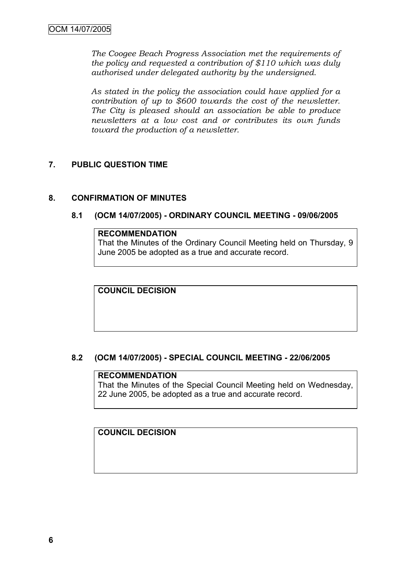*The Coogee Beach Progress Association met the requirements of the policy and requested a contribution of \$110 which was duly authorised under delegated authority by the undersigned.*

*As stated in the policy the association could have applied for a contribution of up to \$600 towards the cost of the newsletter. The City is pleased should an association be able to produce newsletters at a low cost and or contributes its own funds toward the production of a newsletter.*

# **7. PUBLIC QUESTION TIME**

# **8. CONFIRMATION OF MINUTES**

# **8.1 (OCM 14/07/2005) - ORDINARY COUNCIL MEETING - 09/06/2005**

# **RECOMMENDATION**

That the Minutes of the Ordinary Council Meeting held on Thursday, 9 June 2005 be adopted as a true and accurate record.

**COUNCIL DECISION**

# **8.2 (OCM 14/07/2005) - SPECIAL COUNCIL MEETING - 22/06/2005**

#### **RECOMMENDATION**

That the Minutes of the Special Council Meeting held on Wednesday, 22 June 2005, be adopted as a true and accurate record.

# **COUNCIL DECISION**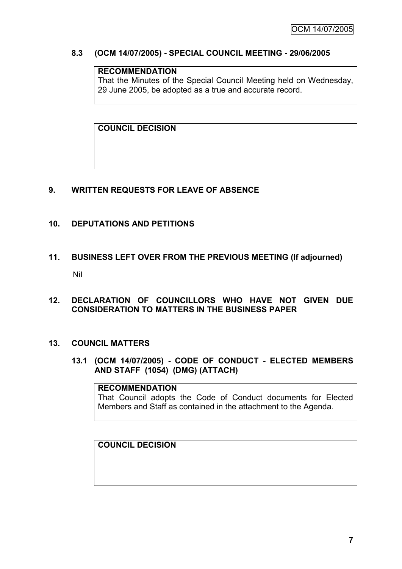# **8.3 (OCM 14/07/2005) - SPECIAL COUNCIL MEETING - 29/06/2005**

# **RECOMMENDATION**

That the Minutes of the Special Council Meeting held on Wednesday, 29 June 2005, be adopted as a true and accurate record.

**COUNCIL DECISION**

# **9. WRITTEN REQUESTS FOR LEAVE OF ABSENCE**

# **10. DEPUTATIONS AND PETITIONS**

# **11. BUSINESS LEFT OVER FROM THE PREVIOUS MEETING (If adjourned)** Nil

**12. DECLARATION OF COUNCILLORS WHO HAVE NOT GIVEN DUE CONSIDERATION TO MATTERS IN THE BUSINESS PAPER**

#### **13. COUNCIL MATTERS**

**13.1 (OCM 14/07/2005) - CODE OF CONDUCT - ELECTED MEMBERS AND STAFF (1054) (DMG) (ATTACH)**

#### **RECOMMENDATION**

That Council adopts the Code of Conduct documents for Elected Members and Staff as contained in the attachment to the Agenda.

**COUNCIL DECISION**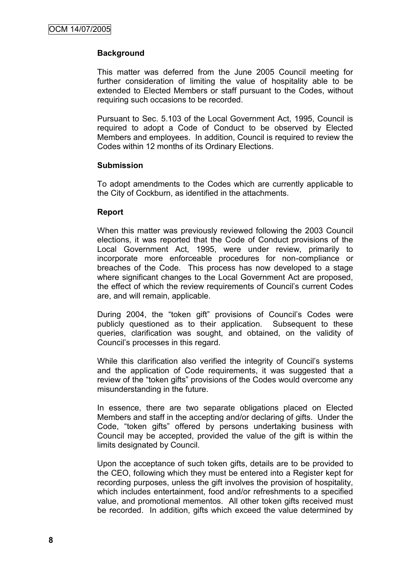# **Background**

This matter was deferred from the June 2005 Council meeting for further consideration of limiting the value of hospitality able to be extended to Elected Members or staff pursuant to the Codes, without requiring such occasions to be recorded.

Pursuant to Sec. 5.103 of the Local Government Act, 1995, Council is required to adopt a Code of Conduct to be observed by Elected Members and employees. In addition, Council is required to review the Codes within 12 months of its Ordinary Elections.

#### **Submission**

To adopt amendments to the Codes which are currently applicable to the City of Cockburn, as identified in the attachments.

#### **Report**

When this matter was previously reviewed following the 2003 Council elections, it was reported that the Code of Conduct provisions of the Local Government Act, 1995, were under review, primarily to incorporate more enforceable procedures for non-compliance or breaches of the Code. This process has now developed to a stage where significant changes to the Local Government Act are proposed, the effect of which the review requirements of Council"s current Codes are, and will remain, applicable.

During 2004, the "token gift" provisions of Council"s Codes were publicly questioned as to their application. Subsequent to these queries, clarification was sought, and obtained, on the validity of Council"s processes in this regard.

While this clarification also verified the integrity of Council's systems and the application of Code requirements, it was suggested that a review of the "token gifts" provisions of the Codes would overcome any misunderstanding in the future.

In essence, there are two separate obligations placed on Elected Members and staff in the accepting and/or declaring of gifts. Under the Code, "token gifts" offered by persons undertaking business with Council may be accepted, provided the value of the gift is within the limits designated by Council.

Upon the acceptance of such token gifts, details are to be provided to the CEO, following which they must be entered into a Register kept for recording purposes, unless the gift involves the provision of hospitality, which includes entertainment, food and/or refreshments to a specified value, and promotional mementos. All other token gifts received must be recorded. In addition, gifts which exceed the value determined by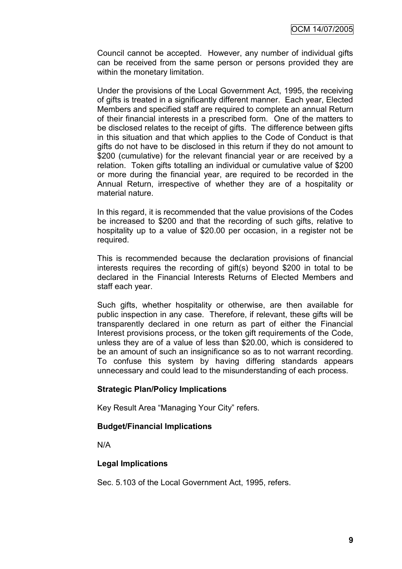Council cannot be accepted. However, any number of individual gifts can be received from the same person or persons provided they are within the monetary limitation.

Under the provisions of the Local Government Act, 1995, the receiving of gifts is treated in a significantly different manner. Each year, Elected Members and specified staff are required to complete an annual Return of their financial interests in a prescribed form. One of the matters to be disclosed relates to the receipt of gifts. The difference between gifts in this situation and that which applies to the Code of Conduct is that gifts do not have to be disclosed in this return if they do not amount to \$200 (cumulative) for the relevant financial year or are received by a relation. Token gifts totalling an individual or cumulative value of \$200 or more during the financial year, are required to be recorded in the Annual Return, irrespective of whether they are of a hospitality or material nature.

In this regard, it is recommended that the value provisions of the Codes be increased to \$200 and that the recording of such gifts, relative to hospitality up to a value of \$20.00 per occasion, in a register not be required.

This is recommended because the declaration provisions of financial interests requires the recording of gift(s) beyond \$200 in total to be declared in the Financial Interests Returns of Elected Members and staff each year.

Such gifts, whether hospitality or otherwise, are then available for public inspection in any case. Therefore, if relevant, these gifts will be transparently declared in one return as part of either the Financial Interest provisions process, or the token gift requirements of the Code, unless they are of a value of less than \$20.00, which is considered to be an amount of such an insignificance so as to not warrant recording. To confuse this system by having differing standards appears unnecessary and could lead to the misunderstanding of each process.

#### **Strategic Plan/Policy Implications**

Key Result Area "Managing Your City" refers.

#### **Budget/Financial Implications**

N/A

#### **Legal Implications**

Sec. 5.103 of the Local Government Act, 1995, refers.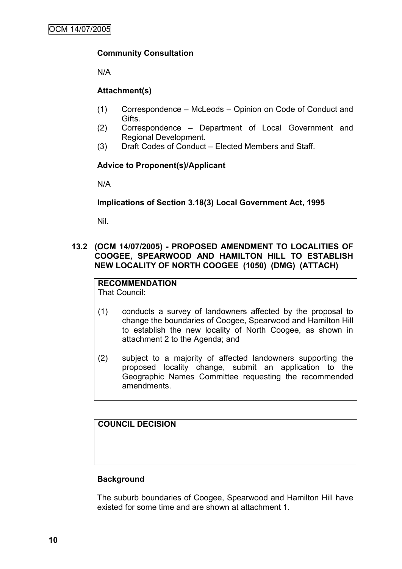# **Community Consultation**

N/A

# **Attachment(s)**

- (1) Correspondence McLeods Opinion on Code of Conduct and Gifts.
- (2) Correspondence Department of Local Government and Regional Development.
- (3) Draft Codes of Conduct Elected Members and Staff.

# **Advice to Proponent(s)/Applicant**

N/A

#### **Implications of Section 3.18(3) Local Government Act, 1995**

Nil.

# **13.2 (OCM 14/07/2005) - PROPOSED AMENDMENT TO LOCALITIES OF COOGEE, SPEARWOOD AND HAMILTON HILL TO ESTABLISH NEW LOCALITY OF NORTH COOGEE (1050) (DMG) (ATTACH)**

#### **RECOMMENDATION** That Council:

- (1) conducts a survey of landowners affected by the proposal to change the boundaries of Coogee, Spearwood and Hamilton Hill to establish the new locality of North Coogee, as shown in attachment 2 to the Agenda; and
- (2) subject to a majority of affected landowners supporting the proposed locality change, submit an application to the Geographic Names Committee requesting the recommended amendments.

**COUNCIL DECISION**

#### **Background**

The suburb boundaries of Coogee, Spearwood and Hamilton Hill have existed for some time and are shown at attachment 1.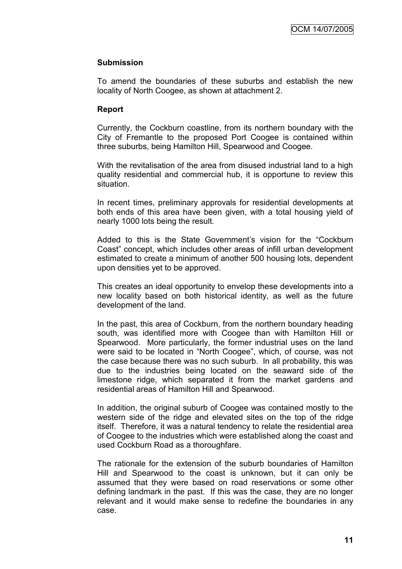#### **Submission**

To amend the boundaries of these suburbs and establish the new locality of North Coogee, as shown at attachment 2.

#### **Report**

Currently, the Cockburn coastline, from its northern boundary with the City of Fremantle to the proposed Port Coogee is contained within three suburbs, being Hamilton Hill, Spearwood and Coogee.

With the revitalisation of the area from disused industrial land to a high quality residential and commercial hub, it is opportune to review this situation.

In recent times, preliminary approvals for residential developments at both ends of this area have been given, with a total housing yield of nearly 1000 lots being the result.

Added to this is the State Government"s vision for the "Cockburn Coast" concept, which includes other areas of infill urban development estimated to create a minimum of another 500 housing lots, dependent upon densities yet to be approved.

This creates an ideal opportunity to envelop these developments into a new locality based on both historical identity, as well as the future development of the land.

In the past, this area of Cockburn, from the northern boundary heading south, was identified more with Coogee than with Hamilton Hill or Spearwood. More particularly, the former industrial uses on the land were said to be located in "North Coogee", which, of course, was not the case because there was no such suburb. In all probability, this was due to the industries being located on the seaward side of the limestone ridge, which separated it from the market gardens and residential areas of Hamilton Hill and Spearwood.

In addition, the original suburb of Coogee was contained mostly to the western side of the ridge and elevated sites on the top of the ridge itself. Therefore, it was a natural tendency to relate the residential area of Coogee to the industries which were established along the coast and used Cockburn Road as a thoroughfare.

The rationale for the extension of the suburb boundaries of Hamilton Hill and Spearwood to the coast is unknown, but it can only be assumed that they were based on road reservations or some other defining landmark in the past. If this was the case, they are no longer relevant and it would make sense to redefine the boundaries in any case.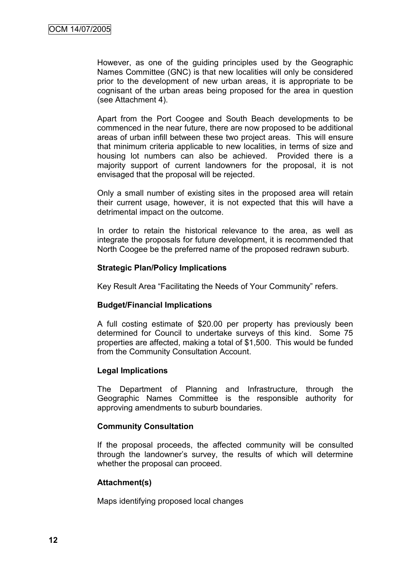However, as one of the guiding principles used by the Geographic Names Committee (GNC) is that new localities will only be considered prior to the development of new urban areas, it is appropriate to be cognisant of the urban areas being proposed for the area in question (see Attachment 4).

Apart from the Port Coogee and South Beach developments to be commenced in the near future, there are now proposed to be additional areas of urban infill between these two project areas. This will ensure that minimum criteria applicable to new localities, in terms of size and housing lot numbers can also be achieved. Provided there is a majority support of current landowners for the proposal, it is not envisaged that the proposal will be rejected.

Only a small number of existing sites in the proposed area will retain their current usage, however, it is not expected that this will have a detrimental impact on the outcome.

In order to retain the historical relevance to the area, as well as integrate the proposals for future development, it is recommended that North Coogee be the preferred name of the proposed redrawn suburb.

#### **Strategic Plan/Policy Implications**

Key Result Area "Facilitating the Needs of Your Community" refers.

#### **Budget/Financial Implications**

A full costing estimate of \$20.00 per property has previously been determined for Council to undertake surveys of this kind. Some 75 properties are affected, making a total of \$1,500. This would be funded from the Community Consultation Account.

#### **Legal Implications**

The Department of Planning and Infrastructure, through the Geographic Names Committee is the responsible authority for approving amendments to suburb boundaries.

#### **Community Consultation**

If the proposal proceeds, the affected community will be consulted through the landowner"s survey, the results of which will determine whether the proposal can proceed.

#### **Attachment(s)**

Maps identifying proposed local changes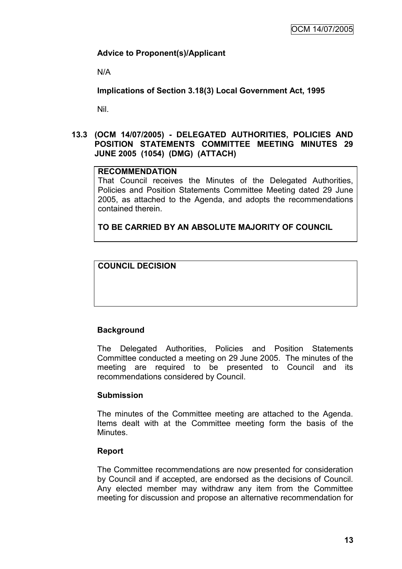# **Advice to Proponent(s)/Applicant**

N/A

**Implications of Section 3.18(3) Local Government Act, 1995**

Nil.

#### **13.3 (OCM 14/07/2005) - DELEGATED AUTHORITIES, POLICIES AND POSITION STATEMENTS COMMITTEE MEETING MINUTES 29 JUNE 2005 (1054) (DMG) (ATTACH)**

#### **RECOMMENDATION**

That Council receives the Minutes of the Delegated Authorities, Policies and Position Statements Committee Meeting dated 29 June 2005, as attached to the Agenda, and adopts the recommendations contained therein.

**TO BE CARRIED BY AN ABSOLUTE MAJORITY OF COUNCIL**

# **COUNCIL DECISION**

# **Background**

The Delegated Authorities, Policies and Position Statements Committee conducted a meeting on 29 June 2005. The minutes of the meeting are required to be presented to Council and its recommendations considered by Council.

# **Submission**

The minutes of the Committee meeting are attached to the Agenda. Items dealt with at the Committee meeting form the basis of the Minutes.

#### **Report**

The Committee recommendations are now presented for consideration by Council and if accepted, are endorsed as the decisions of Council. Any elected member may withdraw any item from the Committee meeting for discussion and propose an alternative recommendation for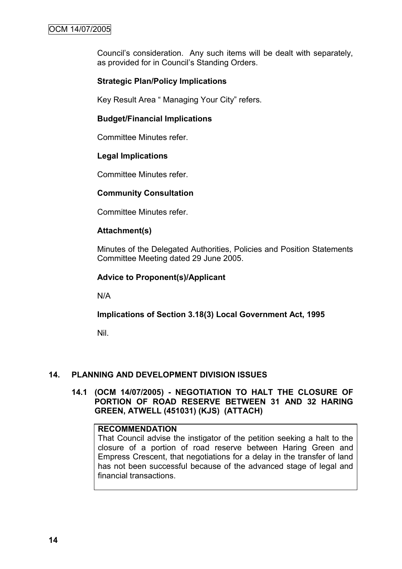Council"s consideration. Any such items will be dealt with separately, as provided for in Council's Standing Orders.

# **Strategic Plan/Policy Implications**

Key Result Area " Managing Your City" refers.

#### **Budget/Financial Implications**

Committee Minutes refer.

#### **Legal Implications**

Committee Minutes refer.

#### **Community Consultation**

Committee Minutes refer.

#### **Attachment(s)**

Minutes of the Delegated Authorities, Policies and Position Statements Committee Meeting dated 29 June 2005.

#### **Advice to Proponent(s)/Applicant**

N/A

#### **Implications of Section 3.18(3) Local Government Act, 1995**

Nil.

#### **14. PLANNING AND DEVELOPMENT DIVISION ISSUES**

**14.1 (OCM 14/07/2005) - NEGOTIATION TO HALT THE CLOSURE OF PORTION OF ROAD RESERVE BETWEEN 31 AND 32 HARING GREEN, ATWELL (451031) (KJS) (ATTACH)**

#### **RECOMMENDATION**

That Council advise the instigator of the petition seeking a halt to the closure of a portion of road reserve between Haring Green and Empress Crescent, that negotiations for a delay in the transfer of land has not been successful because of the advanced stage of legal and financial transactions.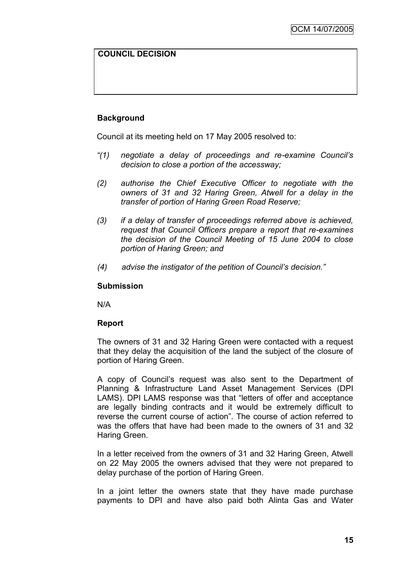# **COUNCIL DECISION**

# **Background**

Council at its meeting held on 17 May 2005 resolved to:

- *"(1) negotiate a delay of proceedings and re-examine Council"s decision to close a portion of the accessway;*
- *(2) authorise the Chief Executive Officer to negotiate with the owners of 31 and 32 Haring Green, Atwell for a delay in the transfer of portion of Haring Green Road Reserve;*
- *(3) if a delay of transfer of proceedings referred above is achieved, request that Council Officers prepare a report that re-examines the decision of the Council Meeting of 15 June 2004 to close portion of Haring Green; and*
- *(4) advise the instigator of the petition of Council"s decision."*

#### **Submission**

N/A

#### **Report**

The owners of 31 and 32 Haring Green were contacted with a request that they delay the acquisition of the land the subject of the closure of portion of Haring Green.

A copy of Council"s request was also sent to the Department of Planning & Infrastructure Land Asset Management Services (DPI LAMS). DPI LAMS response was that "letters of offer and acceptance are legally binding contracts and it would be extremely difficult to reverse the current course of action". The course of action referred to was the offers that have had been made to the owners of 31 and 32 Haring Green.

In a letter received from the owners of 31 and 32 Haring Green, Atwell on 22 May 2005 the owners advised that they were not prepared to delay purchase of the portion of Haring Green.

In a joint letter the owners state that they have made purchase payments to DPI and have also paid both Alinta Gas and Water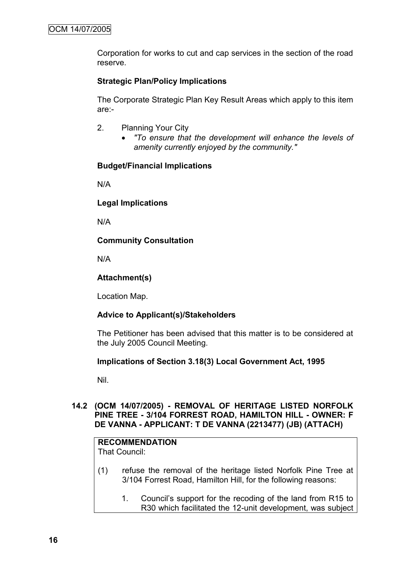Corporation for works to cut and cap services in the section of the road reserve.

# **Strategic Plan/Policy Implications**

The Corporate Strategic Plan Key Result Areas which apply to this item are:-

- 2. Planning Your City
	- *"To ensure that the development will enhance the levels of amenity currently enjoyed by the community."*

#### **Budget/Financial Implications**

N/A

**Legal Implications**

N/A

#### **Community Consultation**

N/A

#### **Attachment(s)**

Location Map.

#### **Advice to Applicant(s)/Stakeholders**

The Petitioner has been advised that this matter is to be considered at the July 2005 Council Meeting.

#### **Implications of Section 3.18(3) Local Government Act, 1995**

Nil.

#### **14.2 (OCM 14/07/2005) - REMOVAL OF HERITAGE LISTED NORFOLK PINE TREE - 3/104 FORREST ROAD, HAMILTON HILL - OWNER: F DE VANNA - APPLICANT: T DE VANNA (2213477) (JB) (ATTACH)**

# **RECOMMENDATION**

That Council:

- (1) refuse the removal of the heritage listed Norfolk Pine Tree at 3/104 Forrest Road, Hamilton Hill, for the following reasons:
	- 1. Council"s support for the recoding of the land from R15 to R30 which facilitated the 12-unit development, was subject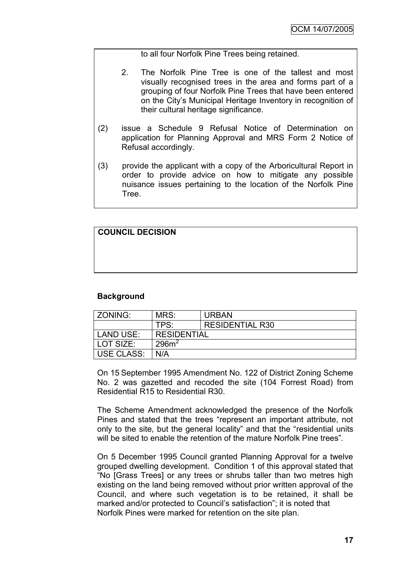to all four Norfolk Pine Trees being retained.

- 2. The Norfolk Pine Tree is one of the tallest and most visually recognised trees in the area and forms part of a grouping of four Norfolk Pine Trees that have been entered on the City"s Municipal Heritage Inventory in recognition of their cultural heritage significance.
- (2) issue a Schedule 9 Refusal Notice of Determination on application for Planning Approval and MRS Form 2 Notice of Refusal accordingly.
- (3) provide the applicant with a copy of the Arboricultural Report in order to provide advice on how to mitigate any possible nuisance issues pertaining to the location of the Norfolk Pine Tree.

| <b>COUNCIL DECISION</b> |  |
|-------------------------|--|
|-------------------------|--|

# **Background**

| ZONING:           | MRS:               | <b>URBAN</b>           |
|-------------------|--------------------|------------------------|
|                   | TPS:               | <b>RESIDENTIAL R30</b> |
| <b>LAND USE:</b>  | <b>RESIDENTIAL</b> |                        |
| LOT SIZE:         | 296m <sup>2</sup>  |                        |
| <b>USE CLASS:</b> | N/A                |                        |

On 15 September 1995 Amendment No. 122 of District Zoning Scheme No. 2 was gazetted and recoded the site (104 Forrest Road) from Residential R15 to Residential R30.

The Scheme Amendment acknowledged the presence of the Norfolk Pines and stated that the trees "represent an important attribute, not only to the site, but the general locality" and that the "residential units will be sited to enable the retention of the mature Norfolk Pine trees".

On 5 December 1995 Council granted Planning Approval for a twelve grouped dwelling development. Condition 1 of this approval stated that "No [Grass Trees] or any trees or shrubs taller than two metres high existing on the land being removed without prior written approval of the Council, and where such vegetation is to be retained, it shall be marked and/or protected to Council's satisfaction"; it is noted that Norfolk Pines were marked for retention on the site plan.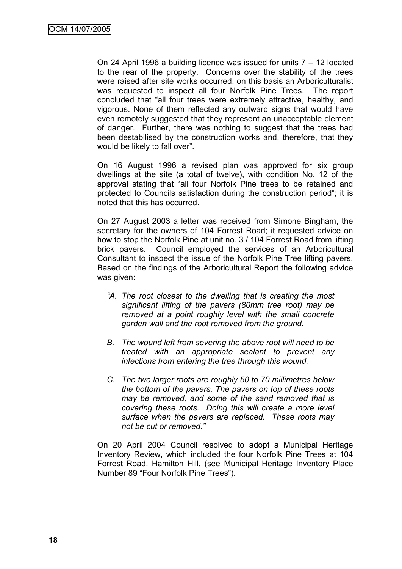On 24 April 1996 a building licence was issued for units 7 – 12 located to the rear of the property. Concerns over the stability of the trees were raised after site works occurred; on this basis an Arboriculturalist was requested to inspect all four Norfolk Pine Trees. The report concluded that "all four trees were extremely attractive, healthy, and vigorous. None of them reflected any outward signs that would have even remotely suggested that they represent an unacceptable element of danger. Further, there was nothing to suggest that the trees had been destabilised by the construction works and, therefore, that they would be likely to fall over".

On 16 August 1996 a revised plan was approved for six group dwellings at the site (a total of twelve), with condition No. 12 of the approval stating that "all four Norfolk Pine trees to be retained and protected to Councils satisfaction during the construction period"; it is noted that this has occurred.

On 27 August 2003 a letter was received from Simone Bingham, the secretary for the owners of 104 Forrest Road; it requested advice on how to stop the Norfolk Pine at unit no. 3 / 104 Forrest Road from lifting brick pavers. Council employed the services of an Arboricultural Consultant to inspect the issue of the Norfolk Pine Tree lifting pavers. Based on the findings of the Arboricultural Report the following advice was given:

- *"A. The root closest to the dwelling that is creating the most significant lifting of the pavers (80mm tree root) may be removed at a point roughly level with the small concrete garden wall and the root removed from the ground.*
- *B. The wound left from severing the above root will need to be treated with an appropriate sealant to prevent any infections from entering the tree through this wound.*
- *C. The two larger roots are roughly 50 to 70 millimetres below the bottom of the pavers. The pavers on top of these roots may be removed, and some of the sand removed that is covering these roots. Doing this will create a more level surface when the pavers are replaced. These roots may not be cut or removed."*

On 20 April 2004 Council resolved to adopt a Municipal Heritage Inventory Review, which included the four Norfolk Pine Trees at 104 Forrest Road, Hamilton Hill, (see Municipal Heritage Inventory Place Number 89 "Four Norfolk Pine Trees").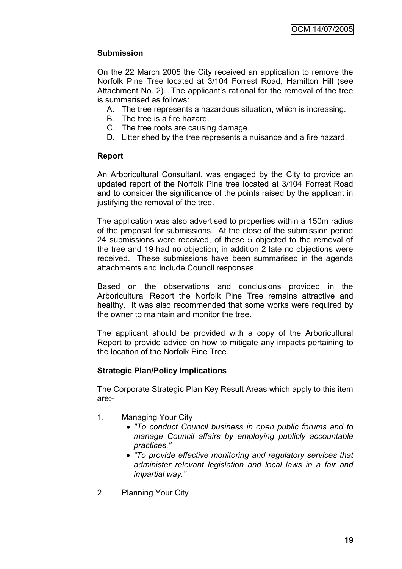# **Submission**

On the 22 March 2005 the City received an application to remove the Norfolk Pine Tree located at 3/104 Forrest Road, Hamilton Hill (see Attachment No. 2). The applicant"s rational for the removal of the tree is summarised as follows:

- A. The tree represents a hazardous situation, which is increasing.
- B. The tree is a fire hazard.
- C. The tree roots are causing damage.
- D. Litter shed by the tree represents a nuisance and a fire hazard.

# **Report**

An Arboricultural Consultant, was engaged by the City to provide an updated report of the Norfolk Pine tree located at 3/104 Forrest Road and to consider the significance of the points raised by the applicant in justifying the removal of the tree.

The application was also advertised to properties within a 150m radius of the proposal for submissions. At the close of the submission period 24 submissions were received, of these 5 objected to the removal of the tree and 19 had no objection; in addition 2 late no objections were received. These submissions have been summarised in the agenda attachments and include Council responses.

Based on the observations and conclusions provided in the Arboricultural Report the Norfolk Pine Tree remains attractive and healthy. It was also recommended that some works were required by the owner to maintain and monitor the tree.

The applicant should be provided with a copy of the Arboricultural Report to provide advice on how to mitigate any impacts pertaining to the location of the Norfolk Pine Tree.

# **Strategic Plan/Policy Implications**

The Corporate Strategic Plan Key Result Areas which apply to this item are:-

- 1. Managing Your City
	- *"To conduct Council business in open public forums and to manage Council affairs by employing publicly accountable practices."*
	- *"To provide effective monitoring and regulatory services that administer relevant legislation and local laws in a fair and impartial way."*
- 2. Planning Your City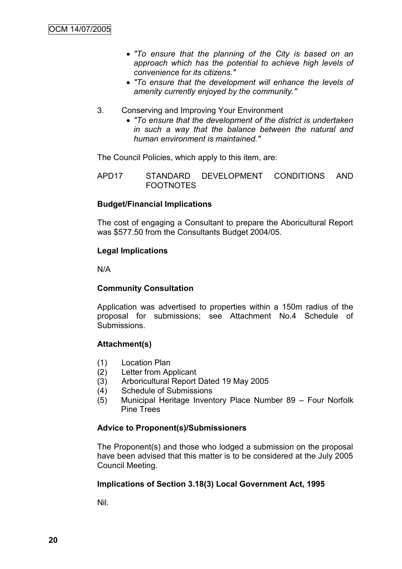- *"To ensure that the planning of the City is based on an approach which has the potential to achieve high levels of convenience for its citizens."*
- *"To ensure that the development will enhance the levels of amenity currently enjoyed by the community."*
- 3. Conserving and Improving Your Environment
	- *"To ensure that the development of the district is undertaken in such a way that the balance between the natural and human environment is maintained."*

The Council Policies, which apply to this item, are:

APD17 STANDARD DEVELOPMENT CONDITIONS AND FOOTNOTES

#### **Budget/Financial Implications**

The cost of engaging a Consultant to prepare the Aboricultural Report was \$577.50 from the Consultants Budget 2004/05.

#### **Legal Implications**

N/A

#### **Community Consultation**

Application was advertised to properties within a 150m radius of the proposal for submissions; see Attachment No.4 Schedule of Submissions.

#### **Attachment(s)**

- (1) Location Plan
- (2) Letter from Applicant
- (3) Arboricultural Report Dated 19 May 2005
- (4) Schedule of Submissions
- (5) Municipal Heritage Inventory Place Number 89 Four Norfolk Pine Trees

#### **Advice to Proponent(s)/Submissioners**

The Proponent(s) and those who lodged a submission on the proposal have been advised that this matter is to be considered at the July 2005 Council Meeting.

#### **Implications of Section 3.18(3) Local Government Act, 1995**

Nil.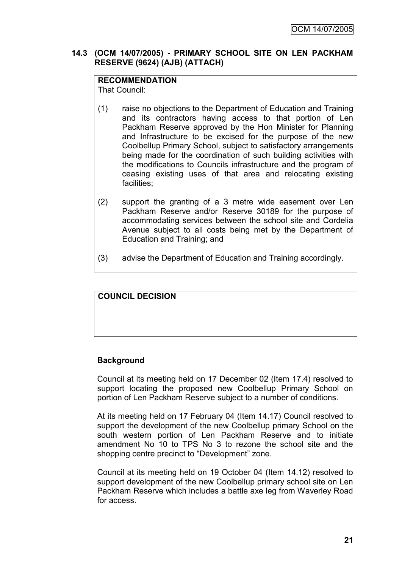# **14.3 (OCM 14/07/2005) - PRIMARY SCHOOL SITE ON LEN PACKHAM RESERVE (9624) (AJB) (ATTACH)**

# **RECOMMENDATION**

That Council:

- (1) raise no objections to the Department of Education and Training and its contractors having access to that portion of Len Packham Reserve approved by the Hon Minister for Planning and Infrastructure to be excised for the purpose of the new Coolbellup Primary School, subject to satisfactory arrangements being made for the coordination of such building activities with the modifications to Councils infrastructure and the program of ceasing existing uses of that area and relocating existing facilities;
- (2) support the granting of a 3 metre wide easement over Len Packham Reserve and/or Reserve 30189 for the purpose of accommodating services between the school site and Cordelia Avenue subject to all costs being met by the Department of Education and Training; and
- (3) advise the Department of Education and Training accordingly.

# **COUNCIL DECISION**

#### **Background**

Council at its meeting held on 17 December 02 (Item 17.4) resolved to support locating the proposed new Coolbellup Primary School on portion of Len Packham Reserve subject to a number of conditions.

At its meeting held on 17 February 04 (Item 14.17) Council resolved to support the development of the new Coolbellup primary School on the south western portion of Len Packham Reserve and to initiate amendment No 10 to TPS No 3 to rezone the school site and the shopping centre precinct to "Development" zone.

Council at its meeting held on 19 October 04 (Item 14.12) resolved to support development of the new Coolbellup primary school site on Len Packham Reserve which includes a battle axe leg from Waverley Road for access.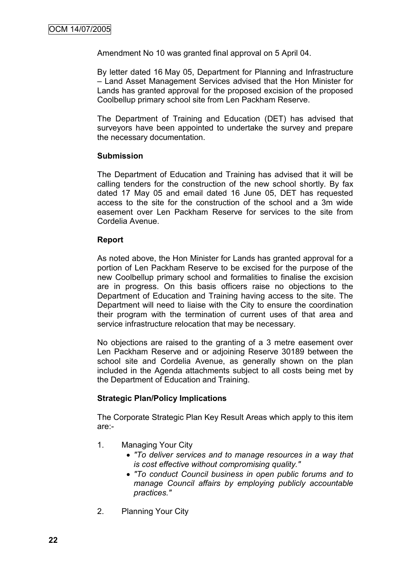Amendment No 10 was granted final approval on 5 April 04.

By letter dated 16 May 05, Department for Planning and Infrastructure – Land Asset Management Services advised that the Hon Minister for Lands has granted approval for the proposed excision of the proposed Coolbellup primary school site from Len Packham Reserve.

The Department of Training and Education (DET) has advised that surveyors have been appointed to undertake the survey and prepare the necessary documentation.

#### **Submission**

The Department of Education and Training has advised that it will be calling tenders for the construction of the new school shortly. By fax dated 17 May 05 and email dated 16 June 05, DET has requested access to the site for the construction of the school and a 3m wide easement over Len Packham Reserve for services to the site from Cordelia Avenue.

#### **Report**

As noted above, the Hon Minister for Lands has granted approval for a portion of Len Packham Reserve to be excised for the purpose of the new Coolbellup primary school and formalities to finalise the excision are in progress. On this basis officers raise no objections to the Department of Education and Training having access to the site. The Department will need to liaise with the City to ensure the coordination their program with the termination of current uses of that area and service infrastructure relocation that may be necessary.

No objections are raised to the granting of a 3 metre easement over Len Packham Reserve and or adjoining Reserve 30189 between the school site and Cordelia Avenue, as generally shown on the plan included in the Agenda attachments subject to all costs being met by the Department of Education and Training.

#### **Strategic Plan/Policy Implications**

The Corporate Strategic Plan Key Result Areas which apply to this item are:-

- 1. Managing Your City
	- *"To deliver services and to manage resources in a way that is cost effective without compromising quality."*
	- *"To conduct Council business in open public forums and to manage Council affairs by employing publicly accountable practices."*
- 2. Planning Your City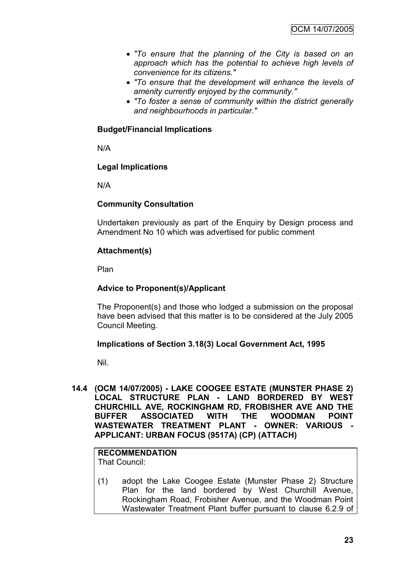- *"To ensure that the planning of the City is based on an approach which has the potential to achieve high levels of convenience for its citizens."*
- *"To ensure that the development will enhance the levels of amenity currently enjoyed by the community."*
- *"To foster a sense of community within the district generally and neighbourhoods in particular."*

# **Budget/Financial Implications**

N/A

#### **Legal Implications**

N/A

# **Community Consultation**

Undertaken previously as part of the Enquiry by Design process and Amendment No 10 which was advertised for public comment

# **Attachment(s)**

Plan

## **Advice to Proponent(s)/Applicant**

The Proponent(s) and those who lodged a submission on the proposal have been advised that this matter is to be considered at the July 2005 Council Meeting.

#### **Implications of Section 3.18(3) Local Government Act, 1995**

Nil.

**14.4 (OCM 14/07/2005) - LAKE COOGEE ESTATE (MUNSTER PHASE 2) LOCAL STRUCTURE PLAN - LAND BORDERED BY WEST CHURCHILL AVE, ROCKINGHAM RD, FROBISHER AVE AND THE BUFFER ASSOCIATED WITH THE WOODMAN POINT WASTEWATER TREATMENT PLANT - OWNER: VARIOUS - APPLICANT: URBAN FOCUS (9517A) (CP) (ATTACH)**

#### **RECOMMENDATION** That Council:

(1) adopt the Lake Coogee Estate (Munster Phase 2) Structure Plan for the land bordered by West Churchill Avenue, Rockingham Road, Frobisher Avenue, and the Woodman Point Wastewater Treatment Plant buffer pursuant to clause 6.2.9 of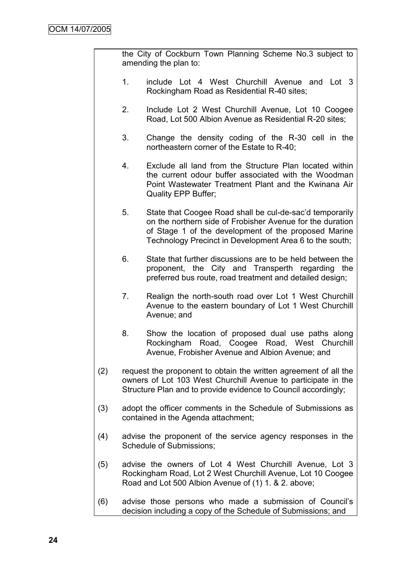the City of Cockburn Town Planning Scheme No.3 subject to amending the plan to:

- 1. include Lot 4 West Churchill Avenue and Lot 3 Rockingham Road as Residential R-40 sites;
- 2. Include Lot 2 West Churchill Avenue, Lot 10 Coogee Road, Lot 500 Albion Avenue as Residential R-20 sites;
- 3. Change the density coding of the R-30 cell in the northeastern corner of the Estate to R-40;
- 4. Exclude all land from the Structure Plan located within the current odour buffer associated with the Woodman Point Wastewater Treatment Plant and the Kwinana Air Quality EPP Buffer;
- 5. State that Coogee Road shall be cul-de-sac"d temporarily on the northern side of Frobisher Avenue for the duration of Stage 1 of the development of the proposed Marine Technology Precinct in Development Area 6 to the south;
- 6. State that further discussions are to be held between the proponent, the City and Transperth regarding the preferred bus route, road treatment and detailed design;
- 7. Realign the north-south road over Lot 1 West Churchill Avenue to the eastern boundary of Lot 1 West Churchill Avenue; and
- 8. Show the location of proposed dual use paths along Rockingham Road, Coogee Road, West Churchill Avenue, Frobisher Avenue and Albion Avenue; and
- (2) request the proponent to obtain the written agreement of all the owners of Lot 103 West Churchill Avenue to participate in the Structure Plan and to provide evidence to Council accordingly;
- (3) adopt the officer comments in the Schedule of Submissions as contained in the Agenda attachment;
- (4) advise the proponent of the service agency responses in the Schedule of Submissions;
- (5) advise the owners of Lot 4 West Churchill Avenue, Lot 3 Rockingham Road, Lot 2 West Churchill Avenue, Lot 10 Coogee Road and Lot 500 Albion Avenue of (1) 1. & 2. above;
- (6) advise those persons who made a submission of Council"s decision including a copy of the Schedule of Submissions; and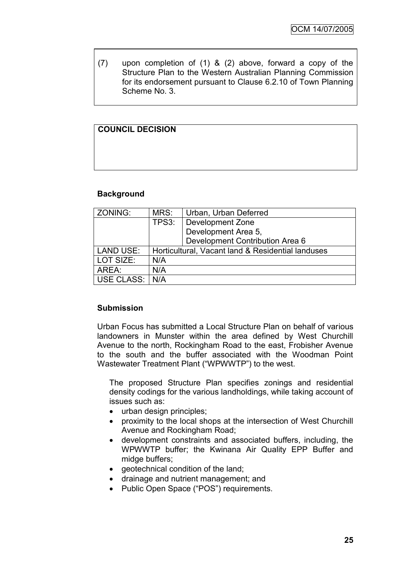(7) upon completion of (1) & (2) above, forward a copy of the Structure Plan to the Western Australian Planning Commission for its endorsement pursuant to Clause 6.2.10 of Town Planning Scheme No. 3.

# **COUNCIL DECISION**

# **Background**

| ZONING:          | MRS:  | Urban, Urban Deferred                             |
|------------------|-------|---------------------------------------------------|
|                  | TPS3: | Development Zone                                  |
|                  |       | Development Area 5,                               |
|                  |       | Development Contribution Area 6                   |
| <b>LAND USE:</b> |       | Horticultural, Vacant land & Residential landuses |
| LOT SIZE:        | N/A   |                                                   |
| AREA:            | N/A   |                                                   |
| USE CLASS: I     | N/A   |                                                   |

# **Submission**

Urban Focus has submitted a Local Structure Plan on behalf of various landowners in Munster within the area defined by West Churchill Avenue to the north, Rockingham Road to the east, Frobisher Avenue to the south and the buffer associated with the Woodman Point Wastewater Treatment Plant ("WPWWTP") to the west.

The proposed Structure Plan specifies zonings and residential density codings for the various landholdings, while taking account of issues such as:

- urban design principles;
- proximity to the local shops at the intersection of West Churchill Avenue and Rockingham Road;
- development constraints and associated buffers, including, the WPWWTP buffer; the Kwinana Air Quality EPP Buffer and midge buffers;
- geotechnical condition of the land;
- drainage and nutrient management; and
- Public Open Space ("POS") requirements.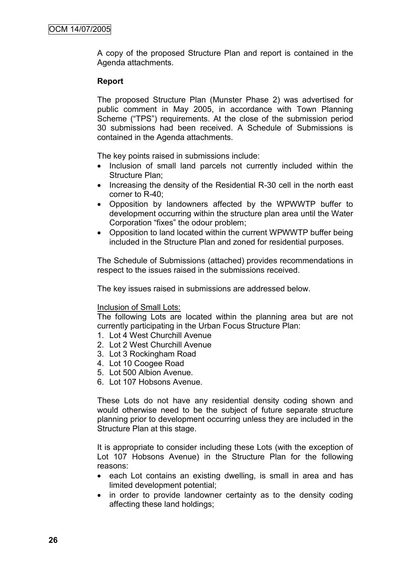A copy of the proposed Structure Plan and report is contained in the Agenda attachments.

# **Report**

The proposed Structure Plan (Munster Phase 2) was advertised for public comment in May 2005, in accordance with Town Planning Scheme ("TPS") requirements. At the close of the submission period 30 submissions had been received. A Schedule of Submissions is contained in the Agenda attachments.

The key points raised in submissions include:

- Inclusion of small land parcels not currently included within the Structure Plan;
- Increasing the density of the Residential R-30 cell in the north east corner to R-40;
- Opposition by landowners affected by the WPWWTP buffer to development occurring within the structure plan area until the Water Corporation "fixes" the odour problem;
- Opposition to land located within the current WPWWTP buffer being included in the Structure Plan and zoned for residential purposes.

The Schedule of Submissions (attached) provides recommendations in respect to the issues raised in the submissions received.

The key issues raised in submissions are addressed below.

#### Inclusion of Small Lots:

The following Lots are located within the planning area but are not currently participating in the Urban Focus Structure Plan:

- 1. Lot 4 West Churchill Avenue
- 2. Lot 2 West Churchill Avenue
- 3. Lot 3 Rockingham Road
- 4. Lot 10 Coogee Road
- 5. Lot 500 Albion Avenue.
- 6. Lot 107 Hobsons Avenue.

These Lots do not have any residential density coding shown and would otherwise need to be the subject of future separate structure planning prior to development occurring unless they are included in the Structure Plan at this stage.

It is appropriate to consider including these Lots (with the exception of Lot 107 Hobsons Avenue) in the Structure Plan for the following reasons:

- each Lot contains an existing dwelling, is small in area and has limited development potential;
- in order to provide landowner certainty as to the density coding affecting these land holdings;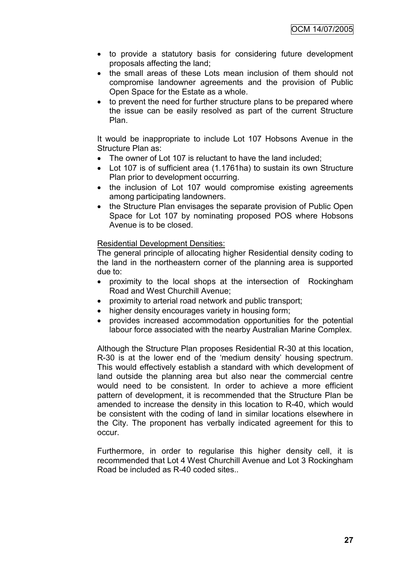- to provide a statutory basis for considering future development proposals affecting the land;
- the small areas of these Lots mean inclusion of them should not compromise landowner agreements and the provision of Public Open Space for the Estate as a whole.
- to prevent the need for further structure plans to be prepared where the issue can be easily resolved as part of the current Structure Plan.

It would be inappropriate to include Lot 107 Hobsons Avenue in the Structure Plan as:

- The owner of Lot 107 is reluctant to have the land included;
- Lot 107 is of sufficient area (1.1761ha) to sustain its own Structure Plan prior to development occurring.
- the inclusion of Lot 107 would compromise existing agreements among participating landowners.
- the Structure Plan envisages the separate provision of Public Open Space for Lot 107 by nominating proposed POS where Hobsons Avenue is to be closed.

# Residential Development Densities:

The general principle of allocating higher Residential density coding to the land in the northeastern corner of the planning area is supported due to:

- proximity to the local shops at the intersection of Rockingham Road and West Churchill Avenue;
- proximity to arterial road network and public transport;
- higher density encourages variety in housing form;
- provides increased accommodation opportunities for the potential labour force associated with the nearby Australian Marine Complex.

Although the Structure Plan proposes Residential R-30 at this location, R-30 is at the lower end of the "medium density" housing spectrum. This would effectively establish a standard with which development of land outside the planning area but also near the commercial centre would need to be consistent. In order to achieve a more efficient pattern of development, it is recommended that the Structure Plan be amended to increase the density in this location to R-40, which would be consistent with the coding of land in similar locations elsewhere in the City. The proponent has verbally indicated agreement for this to occur.

Furthermore, in order to regularise this higher density cell, it is recommended that Lot 4 West Churchill Avenue and Lot 3 Rockingham Road be included as R-40 coded sites..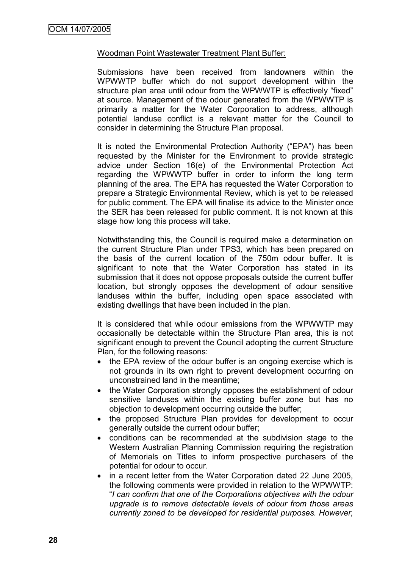## Woodman Point Wastewater Treatment Plant Buffer:

Submissions have been received from landowners within the WPWWTP buffer which do not support development within the structure plan area until odour from the WPWWTP is effectively "fixed" at source. Management of the odour generated from the WPWWTP is primarily a matter for the Water Corporation to address, although potential landuse conflict is a relevant matter for the Council to consider in determining the Structure Plan proposal.

It is noted the Environmental Protection Authority ("EPA") has been requested by the Minister for the Environment to provide strategic advice under Section 16(e) of the Environmental Protection Act regarding the WPWWTP buffer in order to inform the long term planning of the area. The EPA has requested the Water Corporation to prepare a Strategic Environmental Review, which is yet to be released for public comment. The EPA will finalise its advice to the Minister once the SER has been released for public comment. It is not known at this stage how long this process will take.

Notwithstanding this, the Council is required make a determination on the current Structure Plan under TPS3, which has been prepared on the basis of the current location of the 750m odour buffer. It is significant to note that the Water Corporation has stated in its submission that it does not oppose proposals outside the current buffer location, but strongly opposes the development of odour sensitive landuses within the buffer, including open space associated with existing dwellings that have been included in the plan.

It is considered that while odour emissions from the WPWWTP may occasionally be detectable within the Structure Plan area, this is not significant enough to prevent the Council adopting the current Structure Plan, for the following reasons:

- the EPA review of the odour buffer is an ongoing exercise which is not grounds in its own right to prevent development occurring on unconstrained land in the meantime;
- the Water Corporation strongly opposes the establishment of odour sensitive landuses within the existing buffer zone but has no objection to development occurring outside the buffer;
- the proposed Structure Plan provides for development to occur generally outside the current odour buffer;
- conditions can be recommended at the subdivision stage to the Western Australian Planning Commission requiring the registration of Memorials on Titles to inform prospective purchasers of the potential for odour to occur.
- in a recent letter from the Water Corporation dated 22 June 2005, the following comments were provided in relation to the WPWWTP: "*I can confirm that one of the Corporations objectives with the odour upgrade is to remove detectable levels of odour from those areas currently zoned to be developed for residential purposes. However,*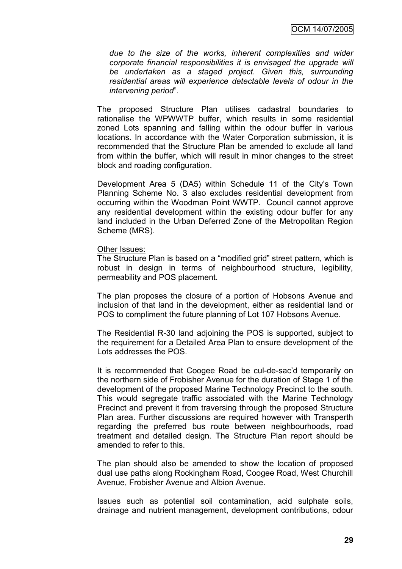*due to the size of the works, inherent complexities and wider corporate financial responsibilities it is envisaged the upgrade will be undertaken as a staged project. Given this, surrounding residential areas will experience detectable levels of odour in the intervening period*".

The proposed Structure Plan utilises cadastral boundaries to rationalise the WPWWTP buffer, which results in some residential zoned Lots spanning and falling within the odour buffer in various locations. In accordance with the Water Corporation submission, it is recommended that the Structure Plan be amended to exclude all land from within the buffer, which will result in minor changes to the street block and roading configuration.

Development Area 5 (DA5) within Schedule 11 of the City's Town Planning Scheme No. 3 also excludes residential development from occurring within the Woodman Point WWTP. Council cannot approve any residential development within the existing odour buffer for any land included in the Urban Deferred Zone of the Metropolitan Region Scheme (MRS).

#### Other Issues:

The Structure Plan is based on a "modified grid" street pattern, which is robust in design in terms of neighbourhood structure, legibility, permeability and POS placement.

The plan proposes the closure of a portion of Hobsons Avenue and inclusion of that land in the development, either as residential land or POS to compliment the future planning of Lot 107 Hobsons Avenue.

The Residential R-30 land adjoining the POS is supported, subject to the requirement for a Detailed Area Plan to ensure development of the Lots addresses the POS.

It is recommended that Coogee Road be cul-de-sac"d temporarily on the northern side of Frobisher Avenue for the duration of Stage 1 of the development of the proposed Marine Technology Precinct to the south. This would segregate traffic associated with the Marine Technology Precinct and prevent it from traversing through the proposed Structure Plan area. Further discussions are required however with Transperth regarding the preferred bus route between neighbourhoods, road treatment and detailed design. The Structure Plan report should be amended to refer to this.

The plan should also be amended to show the location of proposed dual use paths along Rockingham Road, Coogee Road, West Churchill Avenue, Frobisher Avenue and Albion Avenue.

Issues such as potential soil contamination, acid sulphate soils, drainage and nutrient management, development contributions, odour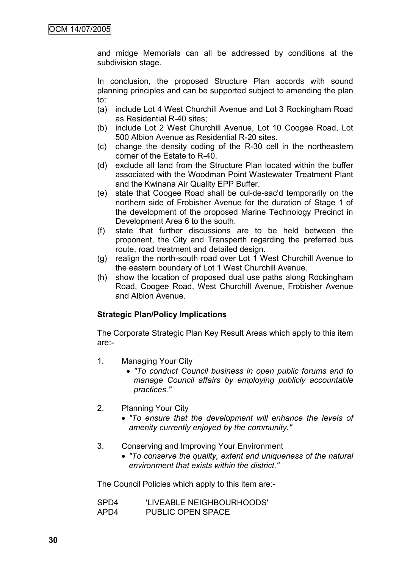and midge Memorials can all be addressed by conditions at the subdivision stage.

In conclusion, the proposed Structure Plan accords with sound planning principles and can be supported subject to amending the plan to:

- (a) include Lot 4 West Churchill Avenue and Lot 3 Rockingham Road as Residential R-40 sites;
- (b) include Lot 2 West Churchill Avenue, Lot 10 Coogee Road, Lot 500 Albion Avenue as Residential R-20 sites.
- (c) change the density coding of the R-30 cell in the northeastern corner of the Estate to R-40.
- (d) exclude all land from the Structure Plan located within the buffer associated with the Woodman Point Wastewater Treatment Plant and the Kwinana Air Quality EPP Buffer.
- (e) state that Coogee Road shall be cul-de-sac"d temporarily on the northern side of Frobisher Avenue for the duration of Stage 1 of the development of the proposed Marine Technology Precinct in Development Area 6 to the south.
- (f) state that further discussions are to be held between the proponent, the City and Transperth regarding the preferred bus route, road treatment and detailed design.
- (g) realign the north-south road over Lot 1 West Churchill Avenue to the eastern boundary of Lot 1 West Churchill Avenue.
- (h) show the location of proposed dual use paths along Rockingham Road, Coogee Road, West Churchill Avenue, Frobisher Avenue and Albion Avenue.

#### **Strategic Plan/Policy Implications**

The Corporate Strategic Plan Key Result Areas which apply to this item are:-

- 1. Managing Your City
	- *"To conduct Council business in open public forums and to manage Council affairs by employing publicly accountable practices."*
- 2. Planning Your City
	- *"To ensure that the development will enhance the levels of amenity currently enjoyed by the community."*
- 3. Conserving and Improving Your Environment
	- *"To conserve the quality, extent and uniqueness of the natural environment that exists within the district."*

The Council Policies which apply to this item are:-

| SPD4 | 'LIVEABLE NEIGHBOURHOODS' |
|------|---------------------------|
| APD4 | <b>PUBLIC OPEN SPACE</b>  |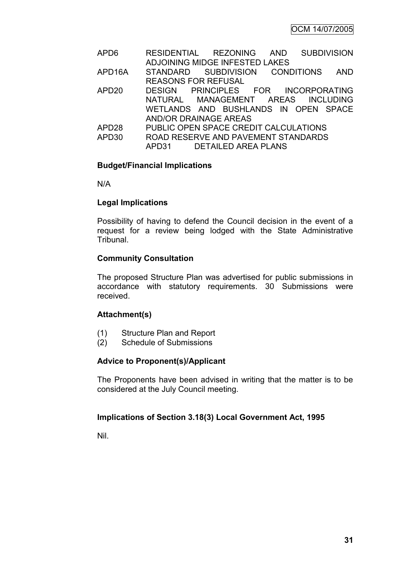| APD <sub>6</sub>    | <b>SUBDIVISION</b><br>RESIDENTIAL REZONING<br>AND |
|---------------------|---------------------------------------------------|
|                     | ADJOINING MIDGE INFESTED LAKES                    |
| APD <sub>16</sub> A | <b>AND</b><br>STANDARD SUBDIVISION CONDITIONS     |
|                     | <b>REASONS FOR REFUSAL</b>                        |
| APD <sub>20</sub>   | DESIGN PRINCIPLES FOR INCORPORATING               |
|                     | NATURAL MANAGEMENT AREAS INCLUDING                |
|                     | WETLANDS AND BUSHLANDS IN OPEN SPACE              |
|                     | <b>AND/OR DRAINAGE AREAS</b>                      |
| APD <sub>28</sub>   | PUBLIC OPEN SPACE CREDIT CALCULATIONS             |
| APD30               | ROAD RESERVE AND PAVEMENT STANDARDS               |
|                     | APD31 DETAILED AREA PLANS                         |

### **Budget/Financial Implications**

N/A

### **Legal Implications**

Possibility of having to defend the Council decision in the event of a request for a review being lodged with the State Administrative Tribunal.

### **Community Consultation**

The proposed Structure Plan was advertised for public submissions in accordance with statutory requirements. 30 Submissions were received.

### **Attachment(s)**

- (1) Structure Plan and Report
- (2) Schedule of Submissions

### **Advice to Proponent(s)/Applicant**

The Proponents have been advised in writing that the matter is to be considered at the July Council meeting.

### **Implications of Section 3.18(3) Local Government Act, 1995**

Nil.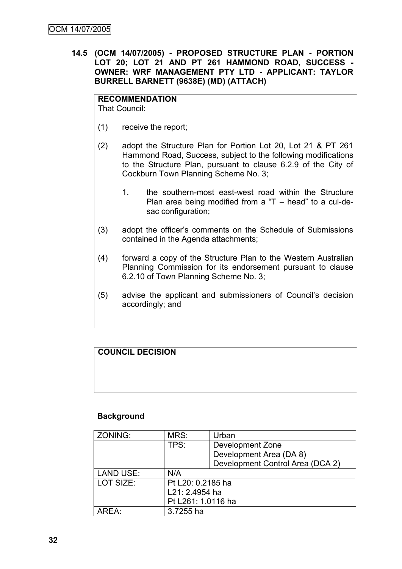**14.5 (OCM 14/07/2005) - PROPOSED STRUCTURE PLAN - PORTION LOT 20; LOT 21 AND PT 261 HAMMOND ROAD, SUCCESS - OWNER: WRF MANAGEMENT PTY LTD - APPLICANT: TAYLOR BURRELL BARNETT (9638E) (MD) (ATTACH)**

## **RECOMMENDATION**

That Council:

- (1) receive the report;
- (2) adopt the Structure Plan for Portion Lot 20, Lot 21 & PT 261 Hammond Road, Success, subject to the following modifications to the Structure Plan, pursuant to clause 6.2.9 of the City of Cockburn Town Planning Scheme No. 3;
	- 1. the southern-most east-west road within the Structure Plan area being modified from a "T  $-$  head" to a cul-desac configuration;
- (3) adopt the officer"s comments on the Schedule of Submissions contained in the Agenda attachments;
- (4) forward a copy of the Structure Plan to the Western Australian Planning Commission for its endorsement pursuant to clause 6.2.10 of Town Planning Scheme No. 3;
- (5) advise the applicant and submissioners of Council"s decision accordingly; and

# **COUNCIL DECISION**

### **Background**

| ZONING:          | MRS:               | Urban                            |
|------------------|--------------------|----------------------------------|
|                  | TPS:               | Development Zone                 |
|                  |                    | Development Area (DA 8)          |
|                  |                    | Development Control Area (DCA 2) |
| <b>LAND USE:</b> | N/A                |                                  |
| LOT SIZE:        | Pt L20: 0.2185 ha  |                                  |
|                  | L21: 2.4954 ha     |                                  |
|                  | Pt L261: 1.0116 ha |                                  |
| AREA:            | 3.7255 ha          |                                  |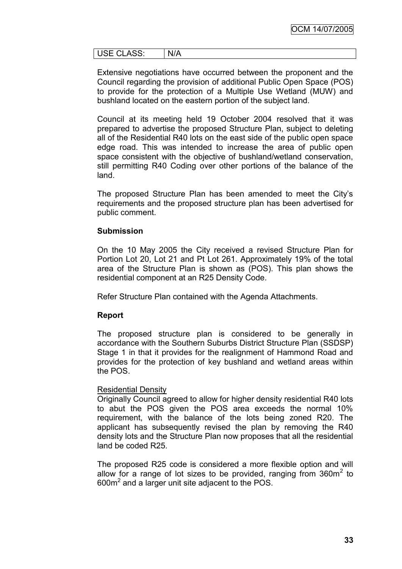| $\overline{110}$ $\overline{1}$ $\overline{1}$ $\overline{1}$ $\overline{1}$ $\overline{1}$<br>-<br>.ບບ.<br>◡◡∟<br>◡∟ | 47 A<br>. |
|-----------------------------------------------------------------------------------------------------------------------|-----------|

Extensive negotiations have occurred between the proponent and the Council regarding the provision of additional Public Open Space (POS) to provide for the protection of a Multiple Use Wetland (MUW) and bushland located on the eastern portion of the subject land.

Council at its meeting held 19 October 2004 resolved that it was prepared to advertise the proposed Structure Plan, subject to deleting all of the Residential R40 lots on the east side of the public open space edge road. This was intended to increase the area of public open space consistent with the objective of bushland/wetland conservation, still permitting R40 Coding over other portions of the balance of the land.

The proposed Structure Plan has been amended to meet the City"s requirements and the proposed structure plan has been advertised for public comment.

#### **Submission**

On the 10 May 2005 the City received a revised Structure Plan for Portion Lot 20, Lot 21 and Pt Lot 261. Approximately 19% of the total area of the Structure Plan is shown as (POS). This plan shows the residential component at an R25 Density Code.

Refer Structure Plan contained with the Agenda Attachments.

### **Report**

The proposed structure plan is considered to be generally in accordance with the Southern Suburbs District Structure Plan (SSDSP) Stage 1 in that it provides for the realignment of Hammond Road and provides for the protection of key bushland and wetland areas within the POS.

### Residential Density

Originally Council agreed to allow for higher density residential R40 lots to abut the POS given the POS area exceeds the normal 10% requirement, with the balance of the lots being zoned R20. The applicant has subsequently revised the plan by removing the R40 density lots and the Structure Plan now proposes that all the residential land be coded R25.

The proposed R25 code is considered a more flexible option and will allow for a range of lot sizes to be provided, ranging from  $360m^2$  to  $600m<sup>2</sup>$  and a larger unit site adjacent to the POS.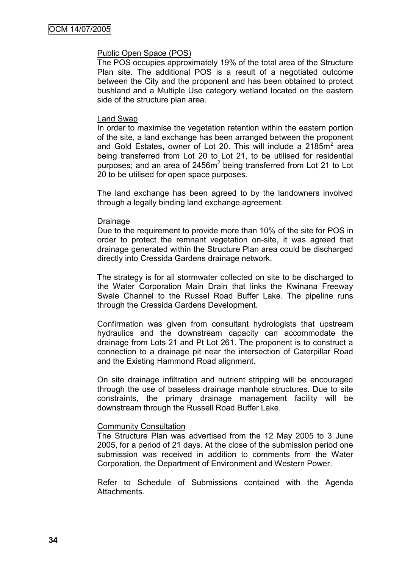#### Public Open Space (POS)

The POS occupies approximately 19% of the total area of the Structure Plan site. The additional POS is a result of a negotiated outcome between the City and the proponent and has been obtained to protect bushland and a Multiple Use category wetland located on the eastern side of the structure plan area.

#### Land Swap

In order to maximise the vegetation retention within the eastern portion of the site, a land exchange has been arranged between the proponent and Gold Estates, owner of Lot 20. This will include a 2185 $m^2$  area being transferred from Lot 20 to Lot 21, to be utilised for residential purposes; and an area of 2456m<sup>2</sup> being transferred from Lot 21 to Lot 20 to be utilised for open space purposes.

The land exchange has been agreed to by the landowners involved through a legally binding land exchange agreement.

#### Drainage

Due to the requirement to provide more than 10% of the site for POS in order to protect the remnant vegetation on-site, it was agreed that drainage generated within the Structure Plan area could be discharged directly into Cressida Gardens drainage network.

The strategy is for all stormwater collected on site to be discharged to the Water Corporation Main Drain that links the Kwinana Freeway Swale Channel to the Russel Road Buffer Lake. The pipeline runs through the Cressida Gardens Development.

Confirmation was given from consultant hydrologists that upstream hydraulics and the downstream capacity can accommodate the drainage from Lots 21 and Pt Lot 261. The proponent is to construct a connection to a drainage pit near the intersection of Caterpillar Road and the Existing Hammond Road alignment.

On site drainage infiltration and nutrient stripping will be encouraged through the use of baseless drainage manhole structures. Due to site constraints, the primary drainage management facility will be downstream through the Russell Road Buffer Lake.

#### Community Consultation

The Structure Plan was advertised from the 12 May 2005 to 3 June 2005, for a period of 21 days. At the close of the submission period one submission was received in addition to comments from the Water Corporation, the Department of Environment and Western Power.

Refer to Schedule of Submissions contained with the Agenda Attachments.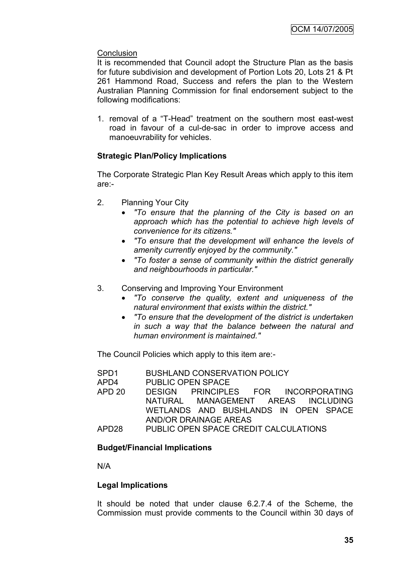# **Conclusion**

It is recommended that Council adopt the Structure Plan as the basis for future subdivision and development of Portion Lots 20, Lots 21 & Pt 261 Hammond Road, Success and refers the plan to the Western Australian Planning Commission for final endorsement subject to the following modifications:

1. removal of a "T-Head" treatment on the southern most east-west road in favour of a cul-de-sac in order to improve access and manoeuvrability for vehicles.

# **Strategic Plan/Policy Implications**

The Corporate Strategic Plan Key Result Areas which apply to this item are:-

- 2. Planning Your City
	- *"To ensure that the planning of the City is based on an approach which has the potential to achieve high levels of convenience for its citizens."*
	- *"To ensure that the development will enhance the levels of amenity currently enjoyed by the community."*
	- *"To foster a sense of community within the district generally and neighbourhoods in particular."*
- 3. Conserving and Improving Your Environment
	- *"To conserve the quality, extent and uniqueness of the natural environment that exists within the district."*
	- *"To ensure that the development of the district is undertaken in such a way that the balance between the natural and human environment is maintained."*

The Council Policies which apply to this item are:-

SPD1 BUSHLAND CONSERVATION POLICY APD4 PUBLIC OPEN SPACE APD 20 DESIGN PRINCIPLES FOR INCORPORATING NATURAL MANAGEMENT AREAS INCLUDING WETLANDS AND BUSHLANDS IN OPEN SPACE AND/OR DRAINAGE AREAS APD28 PUBLIC OPEN SPACE CREDIT CALCULATIONS

# **Budget/Financial Implications**

N/A

### **Legal Implications**

It should be noted that under clause 6.2.7.4 of the Scheme, the Commission must provide comments to the Council within 30 days of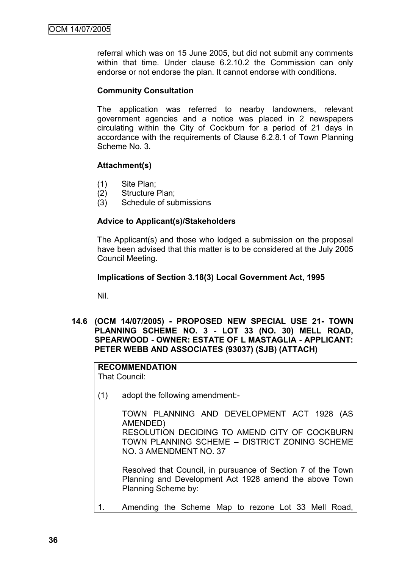referral which was on 15 June 2005, but did not submit any comments within that time. Under clause 6.2.10.2 the Commission can only endorse or not endorse the plan. It cannot endorse with conditions.

## **Community Consultation**

The application was referred to nearby landowners, relevant government agencies and a notice was placed in 2 newspapers circulating within the City of Cockburn for a period of 21 days in accordance with the requirements of Clause 6.2.8.1 of Town Planning Scheme No. 3.

## **Attachment(s)**

- (1) Site Plan;
- (2) Structure Plan;
- (3) Schedule of submissions

## **Advice to Applicant(s)/Stakeholders**

The Applicant(s) and those who lodged a submission on the proposal have been advised that this matter is to be considered at the July 2005 Council Meeting.

## **Implications of Section 3.18(3) Local Government Act, 1995**

Nil.

**14.6 (OCM 14/07/2005) - PROPOSED NEW SPECIAL USE 21- TOWN PLANNING SCHEME NO. 3 - LOT 33 (NO. 30) MELL ROAD, SPEARWOOD - OWNER: ESTATE OF L MASTAGLIA - APPLICANT: PETER WEBB AND ASSOCIATES (93037) (SJB) (ATTACH)**

# **RECOMMENDATION**

That Council:

(1) adopt the following amendment:-

TOWN PLANNING AND DEVELOPMENT ACT 1928 (AS AMENDED) RESOLUTION DECIDING TO AMEND CITY OF COCKBURN TOWN PLANNING SCHEME – DISTRICT ZONING SCHEME NO. 3 AMENDMENT NO. 37

Resolved that Council, in pursuance of Section 7 of the Town Planning and Development Act 1928 amend the above Town Planning Scheme by:

1. Amending the Scheme Map to rezone Lot 33 Mell Road,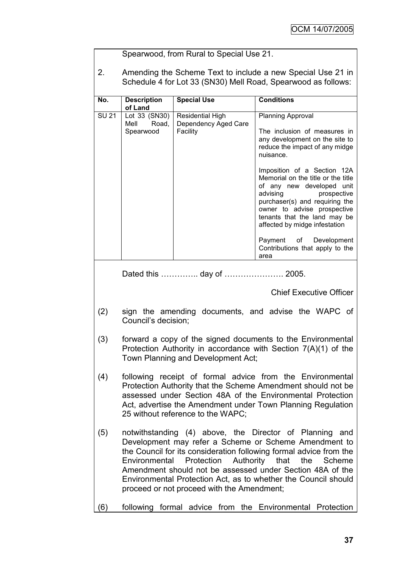|              |                                                                                                                                                                                                                                                                                                                                                                                                                                 | Spearwood, from Rural to Special Use 21.                    |                                                                                                                                                                                                                                                             |
|--------------|---------------------------------------------------------------------------------------------------------------------------------------------------------------------------------------------------------------------------------------------------------------------------------------------------------------------------------------------------------------------------------------------------------------------------------|-------------------------------------------------------------|-------------------------------------------------------------------------------------------------------------------------------------------------------------------------------------------------------------------------------------------------------------|
| 2.           |                                                                                                                                                                                                                                                                                                                                                                                                                                 |                                                             | Amending the Scheme Text to include a new Special Use 21 in<br>Schedule 4 for Lot 33 (SN30) Mell Road, Spearwood as follows:                                                                                                                                |
| No.          | <b>Description</b><br>of Land                                                                                                                                                                                                                                                                                                                                                                                                   | <b>Special Use</b>                                          | <b>Conditions</b>                                                                                                                                                                                                                                           |
| <b>SU 21</b> | Lot 33 (SN30)<br>Mell<br>Road,<br>Spearwood                                                                                                                                                                                                                                                                                                                                                                                     | <b>Residential High</b><br>Dependency Aged Care<br>Facility | Planning Approval<br>The inclusion of measures in<br>any development on the site to<br>reduce the impact of any midge<br>nuisance.                                                                                                                          |
|              |                                                                                                                                                                                                                                                                                                                                                                                                                                 |                                                             | Imposition of a Section 12A<br>Memorial on the title or the title<br>of any new developed unit<br>advising<br>prospective<br>purchaser(s) and requiring the<br>owner to advise prospective<br>tenants that the land may be<br>affected by midge infestation |
|              |                                                                                                                                                                                                                                                                                                                                                                                                                                 |                                                             | Payment<br>of Development<br>Contributions that apply to the<br>area                                                                                                                                                                                        |
|              |                                                                                                                                                                                                                                                                                                                                                                                                                                 | Dated this  day of  2005.                                   |                                                                                                                                                                                                                                                             |
|              |                                                                                                                                                                                                                                                                                                                                                                                                                                 |                                                             | <b>Chief Executive Officer</b>                                                                                                                                                                                                                              |
| (2)          | sign the amending documents, and advise the WAPC of<br>Council's decision;                                                                                                                                                                                                                                                                                                                                                      |                                                             |                                                                                                                                                                                                                                                             |
| (3)          | forward a copy of the signed documents to the Environmental<br>Protection Authority in accordance with Section 7(A)(1) of the<br>Town Planning and Development Act;                                                                                                                                                                                                                                                             |                                                             |                                                                                                                                                                                                                                                             |
| (4)          | following receipt of formal advice from the Environmental<br>Protection Authority that the Scheme Amendment should not be<br>assessed under Section 48A of the Environmental Protection<br>Act, advertise the Amendment under Town Planning Regulation<br>25 without reference to the WAPC;                                                                                                                                     |                                                             |                                                                                                                                                                                                                                                             |
| (5)          | notwithstanding (4) above, the Director of Planning and<br>Development may refer a Scheme or Scheme Amendment to<br>the Council for its consideration following formal advice from the<br>Authority that the<br>Environmental Protection<br>Scheme<br>Amendment should not be assessed under Section 48A of the<br>Environmental Protection Act, as to whether the Council should<br>proceed or not proceed with the Amendment; |                                                             |                                                                                                                                                                                                                                                             |
| (6)          |                                                                                                                                                                                                                                                                                                                                                                                                                                 |                                                             | following formal advice from the Environmental Protection                                                                                                                                                                                                   |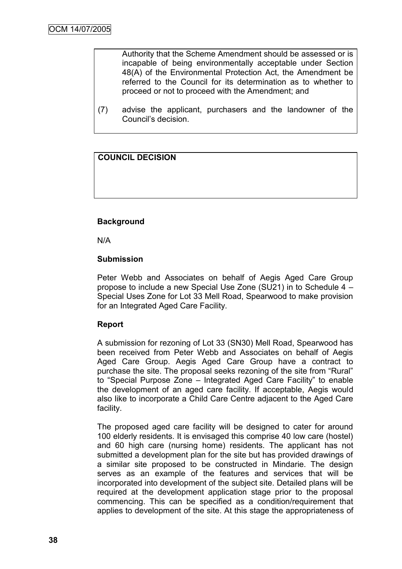Authority that the Scheme Amendment should be assessed or is incapable of being environmentally acceptable under Section 48(A) of the Environmental Protection Act, the Amendment be referred to the Council for its determination as to whether to proceed or not to proceed with the Amendment; and

(7) advise the applicant, purchasers and the landowner of the Council"s decision.

## **COUNCIL DECISION**

## **Background**

N/A

### **Submission**

Peter Webb and Associates on behalf of Aegis Aged Care Group propose to include a new Special Use Zone (SU21) in to Schedule 4 – Special Uses Zone for Lot 33 Mell Road, Spearwood to make provision for an Integrated Aged Care Facility.

### **Report**

A submission for rezoning of Lot 33 (SN30) Mell Road, Spearwood has been received from Peter Webb and Associates on behalf of Aegis Aged Care Group. Aegis Aged Care Group have a contract to purchase the site. The proposal seeks rezoning of the site from "Rural" to "Special Purpose Zone – Integrated Aged Care Facility" to enable the development of an aged care facility. If acceptable, Aegis would also like to incorporate a Child Care Centre adjacent to the Aged Care facility.

The proposed aged care facility will be designed to cater for around 100 elderly residents. It is envisaged this comprise 40 low care (hostel) and 60 high care (nursing home) residents. The applicant has not submitted a development plan for the site but has provided drawings of a similar site proposed to be constructed in Mindarie. The design serves as an example of the features and services that will be incorporated into development of the subject site. Detailed plans will be required at the development application stage prior to the proposal commencing. This can be specified as a condition/requirement that applies to development of the site. At this stage the appropriateness of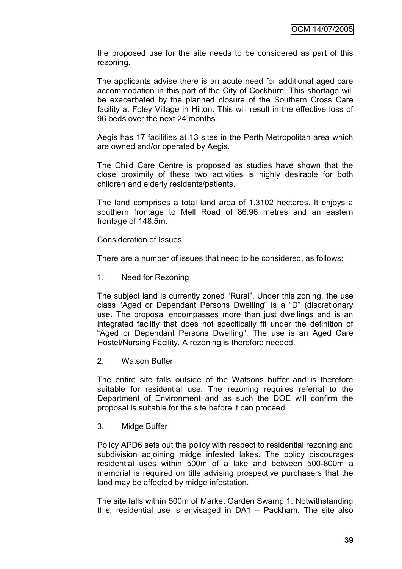the proposed use for the site needs to be considered as part of this rezoning.

The applicants advise there is an acute need for additional aged care accommodation in this part of the City of Cockburn. This shortage will be exacerbated by the planned closure of the Southern Cross Care facility at Foley Village in Hilton. This will result in the effective loss of 96 beds over the next 24 months.

Aegis has 17 facilities at 13 sites in the Perth Metropolitan area which are owned and/or operated by Aegis.

The Child Care Centre is proposed as studies have shown that the close proximity of these two activities is highly desirable for both children and elderly residents/patients.

The land comprises a total land area of 1.3102 hectares. It enjoys a southern frontage to Mell Road of 86.96 metres and an eastern frontage of 148.5m.

#### Consideration of Issues

There are a number of issues that need to be considered, as follows:

1. Need for Rezoning

The subject land is currently zoned "Rural". Under this zoning, the use class "Aged or Dependant Persons Dwelling" is a "D" (discretionary use. The proposal encompasses more than just dwellings and is an integrated facility that does not specifically fit under the definition of "Aged or Dependant Persons Dwelling". The use is an Aged Care Hostel/Nursing Facility. A rezoning is therefore needed.

2. Watson Buffer

The entire site falls outside of the Watsons buffer and is therefore suitable for residential use. The rezoning requires referral to the Department of Environment and as such the DOE will confirm the proposal is suitable for the site before it can proceed.

3. Midge Buffer

Policy APD6 sets out the policy with respect to residential rezoning and subdivision adjoining midge infested lakes. The policy discourages residential uses within 500m of a lake and between 500-800m a memorial is required on title advising prospective purchasers that the land may be affected by midge infestation.

The site falls within 500m of Market Garden Swamp 1. Notwithstanding this, residential use is envisaged in DA1 – Packham. The site also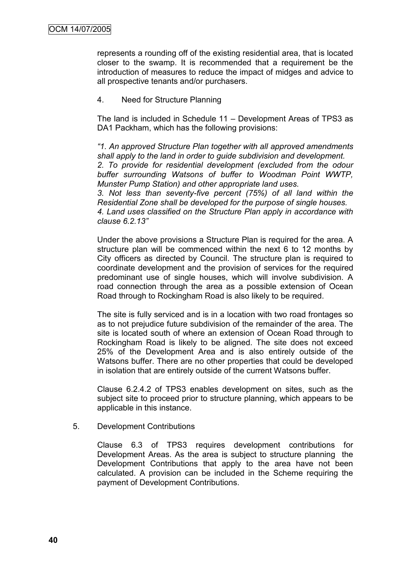represents a rounding off of the existing residential area, that is located closer to the swamp. It is recommended that a requirement be the introduction of measures to reduce the impact of midges and advice to all prospective tenants and/or purchasers.

### 4. Need for Structure Planning

The land is included in Schedule 11 – Development Areas of TPS3 as DA1 Packham, which has the following provisions:

*"1. An approved Structure Plan together with all approved amendments shall apply to the land in order to guide subdivision and development. 2. To provide for residential development (excluded from the odour* 

*buffer surrounding Watsons of buffer to Woodman Point WWTP, Munster Pump Station) and other appropriate land uses. 3. Not less than seventy-five percent (75%) of all land within the* 

*Residential Zone shall be developed for the purpose of single houses. 4. Land uses classified on the Structure Plan apply in accordance with clause 6.2.13"*

Under the above provisions a Structure Plan is required for the area. A structure plan will be commenced within the next 6 to 12 months by City officers as directed by Council. The structure plan is required to coordinate development and the provision of services for the required predominant use of single houses, which will involve subdivision. A road connection through the area as a possible extension of Ocean Road through to Rockingham Road is also likely to be required.

The site is fully serviced and is in a location with two road frontages so as to not prejudice future subdivision of the remainder of the area. The site is located south of where an extension of Ocean Road through to Rockingham Road is likely to be aligned. The site does not exceed 25% of the Development Area and is also entirely outside of the Watsons buffer. There are no other properties that could be developed in isolation that are entirely outside of the current Watsons buffer.

Clause 6.2.4.2 of TPS3 enables development on sites, such as the subject site to proceed prior to structure planning, which appears to be applicable in this instance.

### 5. Development Contributions

Clause 6.3 of TPS3 requires development contributions for Development Areas. As the area is subject to structure planning the Development Contributions that apply to the area have not been calculated. A provision can be included in the Scheme requiring the payment of Development Contributions.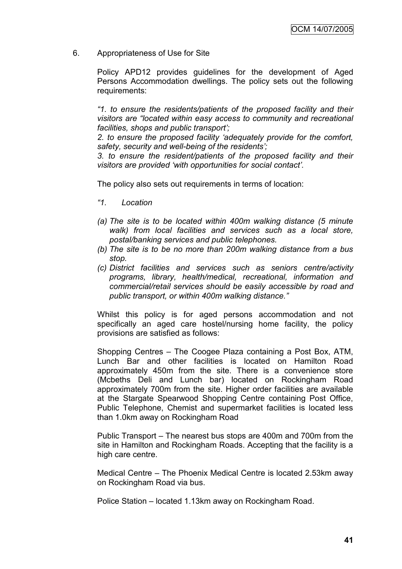6. Appropriateness of Use for Site

Policy APD12 provides guidelines for the development of Aged Persons Accommodation dwellings. The policy sets out the following requirements:

*"1. to ensure the residents/patients of the proposed facility and their visitors are "located within easy access to community and recreational facilities, shops and public transport";*

*2. to ensure the proposed facility "adequately provide for the comfort, safety, security and well-being of the residents";*

*3. to ensure the resident/patients of the proposed facility and their visitors are provided "with opportunities for social contact".*

The policy also sets out requirements in terms of location:

- *"1. Location*
- *(a) The site is to be located within 400m walking distance (5 minute walk) from local facilities and services such as a local store, postal/banking services and public telephones.*
- *(b) The site is to be no more than 200m walking distance from a bus stop.*
- *(c) District facilities and services such as seniors centre/activity programs, library, health/medical, recreational, information and commercial/retail services should be easily accessible by road and public transport, or within 400m walking distance."*

Whilst this policy is for aged persons accommodation and not specifically an aged care hostel/nursing home facility, the policy provisions are satisfied as follows:

Shopping Centres – The Coogee Plaza containing a Post Box, ATM, Lunch Bar and other facilities is located on Hamilton Road approximately 450m from the site. There is a convenience store (Mcbeths Deli and Lunch bar) located on Rockingham Road approximately 700m from the site. Higher order facilities are available at the Stargate Spearwood Shopping Centre containing Post Office, Public Telephone, Chemist and supermarket facilities is located less than 1.0km away on Rockingham Road

Public Transport – The nearest bus stops are 400m and 700m from the site in Hamilton and Rockingham Roads. Accepting that the facility is a high care centre.

Medical Centre – The Phoenix Medical Centre is located 2.53km away on Rockingham Road via bus.

Police Station – located 1.13km away on Rockingham Road.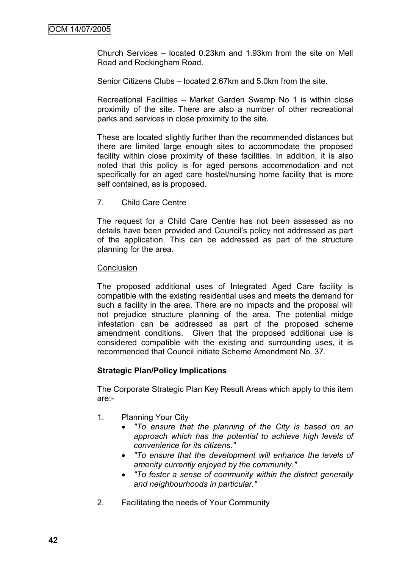Church Services – located 0.23km and 1.93km from the site on Mell Road and Rockingham Road.

Senior Citizens Clubs – located 2.67km and 5.0km from the site.

Recreational Facilities – Market Garden Swamp No 1 is within close proximity of the site. There are also a number of other recreational parks and services in close proximity to the site.

These are located slightly further than the recommended distances but there are limited large enough sites to accommodate the proposed facility within close proximity of these facilities. In addition, it is also noted that this policy is for aged persons accommodation and not specifically for an aged care hostel/nursing home facility that is more self contained, as is proposed.

7. Child Care Centre

The request for a Child Care Centre has not been assessed as no details have been provided and Council"s policy not addressed as part of the application. This can be addressed as part of the structure planning for the area.

#### **Conclusion**

The proposed additional uses of Integrated Aged Care facility is compatible with the existing residential uses and meets the demand for such a facility in the area. There are no impacts and the proposal will not prejudice structure planning of the area. The potential midge infestation can be addressed as part of the proposed scheme amendment conditions. Given that the proposed additional use is considered compatible with the existing and surrounding uses, it is recommended that Council initiate Scheme Amendment No. 37.

### **Strategic Plan/Policy Implications**

The Corporate Strategic Plan Key Result Areas which apply to this item are:-

- 1. Planning Your City
	- *"To ensure that the planning of the City is based on an approach which has the potential to achieve high levels of convenience for its citizens."*
	- *"To ensure that the development will enhance the levels of amenity currently enjoyed by the community."*
	- *"To foster a sense of community within the district generally and neighbourhoods in particular."*
- 2. Facilitating the needs of Your Community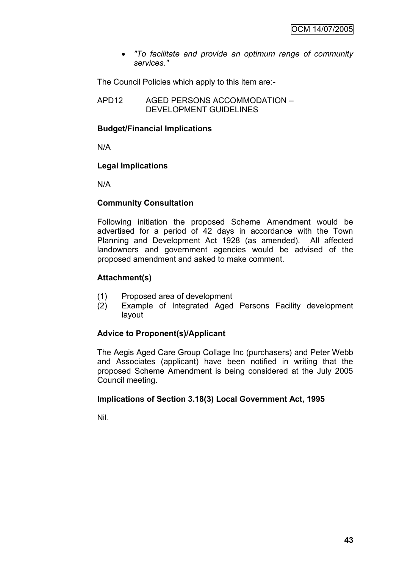*"To facilitate and provide an optimum range of community services."*

The Council Policies which apply to this item are:-

APD12 AGED PERSONS ACCOMMODATION – DEVELOPMENT GUIDELINES

# **Budget/Financial Implications**

N/A

## **Legal Implications**

N/A

## **Community Consultation**

Following initiation the proposed Scheme Amendment would be advertised for a period of 42 days in accordance with the Town Planning and Development Act 1928 (as amended). All affected landowners and government agencies would be advised of the proposed amendment and asked to make comment.

## **Attachment(s)**

- (1) Proposed area of development
- (2) Example of Integrated Aged Persons Facility development layout

# **Advice to Proponent(s)/Applicant**

The Aegis Aged Care Group Collage Inc (purchasers) and Peter Webb and Associates (applicant) have been notified in writing that the proposed Scheme Amendment is being considered at the July 2005 Council meeting.

# **Implications of Section 3.18(3) Local Government Act, 1995**

Nil.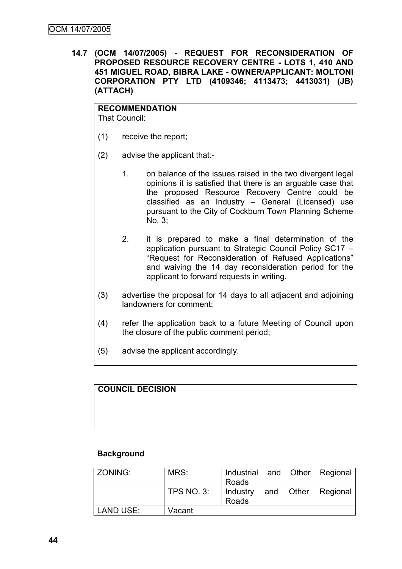**14.7 (OCM 14/07/2005) - REQUEST FOR RECONSIDERATION OF PROPOSED RESOURCE RECOVERY CENTRE - LOTS 1, 410 AND 451 MIGUEL ROAD, BIBRA LAKE - OWNER/APPLICANT: MOLTONI CORPORATION PTY LTD (4109346; 4113473; 4413031) (JB) (ATTACH)**

**RECOMMENDATION** That Council:

- (1) receive the report;
- (2) advise the applicant that:-
	- 1. on balance of the issues raised in the two divergent legal opinions it is satisfied that there is an arguable case that the proposed Resource Recovery Centre could be classified as an Industry – General (Licensed) use pursuant to the City of Cockburn Town Planning Scheme No. 3;
	- 2. it is prepared to make a final determination of the application pursuant to Strategic Council Policy SC17 – "Request for Reconsideration of Refused Applications" and waiving the 14 day reconsideration period for the applicant to forward requests in writing.
- (3) advertise the proposal for 14 days to all adjacent and adjoining landowners for comment;
- (4) refer the application back to a future Meeting of Council upon the closure of the public comment period;
- (5) advise the applicant accordingly.

**COUNCIL DECISION**

#### **Background**

| ZONING:          | MRS:              | Industrial and Other Regional<br>Roads |  |                    |
|------------------|-------------------|----------------------------------------|--|--------------------|
|                  | <b>TPS NO. 3:</b> | Industry<br>Roads                      |  | and Other Regional |
| <b>LAND USE:</b> | Vacant            |                                        |  |                    |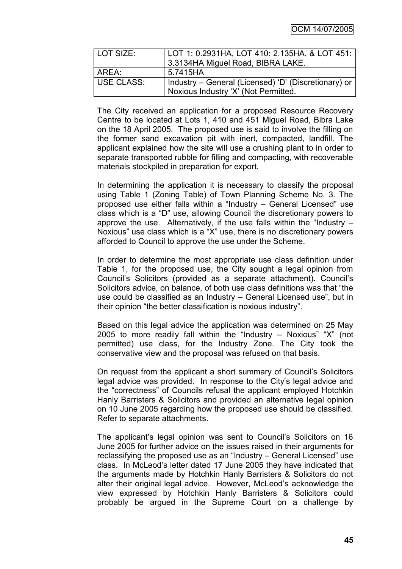OCM 14/07/2005

| LOT SIZE:  | LOT 1: 0.2931HA, LOT 410: 2.135HA, & LOT 451:        |
|------------|------------------------------------------------------|
|            | 3.3134HA Miguel Road, BIBRA LAKE.                    |
| AREA:      | 5.7415HA                                             |
| USE CLASS: | Industry – General (Licensed) 'D' (Discretionary) or |
|            | Noxious Industry 'X' (Not Permitted.                 |

The City received an application for a proposed Resource Recovery Centre to be located at Lots 1, 410 and 451 Miguel Road, Bibra Lake on the 18 April 2005. The proposed use is said to involve the filling on the former sand excavation pit with inert, compacted, landfill. The applicant explained how the site will use a crushing plant to in order to separate transported rubble for filling and compacting, with recoverable materials stockpiled in preparation for export.

In determining the application it is necessary to classify the proposal using Table 1 (Zoning Table) of Town Planning Scheme No. 3. The proposed use either falls within a "Industry – General Licensed" use class which is a "D" use, allowing Council the discretionary powers to approve the use. Alternatively, if the use falls within the "Industry – Noxious" use class which is a "X" use, there is no discretionary powers afforded to Council to approve the use under the Scheme.

In order to determine the most appropriate use class definition under Table 1, for the proposed use, the City sought a legal opinion from Council"s Solicitors (provided as a separate attachment). Council"s Solicitors advice, on balance, of both use class definitions was that "the use could be classified as an Industry – General Licensed use", but in their opinion "the better classification is noxious industry".

Based on this legal advice the application was determined on 25 May 2005 to more readily fall within the "Industry – Noxious" "X" (not permitted) use class, for the Industry Zone. The City took the conservative view and the proposal was refused on that basis.

On request from the applicant a short summary of Council"s Solicitors legal advice was provided. In response to the City"s legal advice and the "correctness" of Councils refusal the applicant employed Hotchkin Hanly Barristers & Solicitors and provided an alternative legal opinion on 10 June 2005 regarding how the proposed use should be classified. Refer to separate attachments.

The applicant's legal opinion was sent to Council's Solicitors on 16 June 2005 for further advice on the issues raised in their arguments for reclassifying the proposed use as an "Industry – General Licensed" use class. In McLeod"s letter dated 17 June 2005 they have indicated that the arguments made by Hotchkin Hanly Barristers & Solicitors do not alter their original legal advice. However, McLeod"s acknowledge the view expressed by Hotchkin Hanly Barristers & Solicitors could probably be argued in the Supreme Court on a challenge by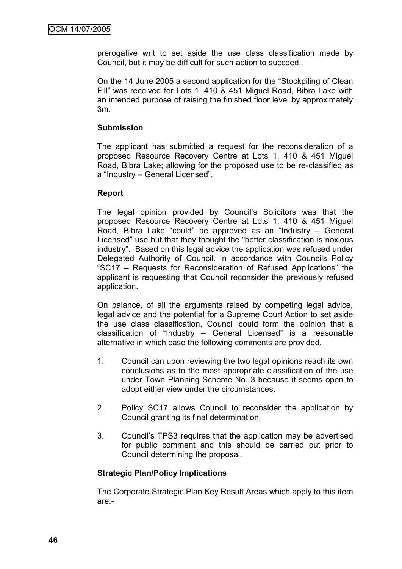prerogative writ to set aside the use class classification made by Council, but it may be difficult for such action to succeed.

On the 14 June 2005 a second application for the "Stockpiling of Clean Fill" was received for Lots 1, 410 & 451 Miguel Road, Bibra Lake with an intended purpose of raising the finished floor level by approximately 3m.

### **Submission**

The applicant has submitted a request for the reconsideration of a proposed Resource Recovery Centre at Lots 1, 410 & 451 Miguel Road, Bibra Lake; allowing for the proposed use to be re-classified as a "Industry – General Licensed".

## **Report**

The legal opinion provided by Council's Solicitors was that the proposed Resource Recovery Centre at Lots 1, 410 & 451 Miguel Road, Bibra Lake "could" be approved as an "Industry – General Licensed" use but that they thought the "better classification is noxious industry". Based on this legal advice the application was refused under Delegated Authority of Council. In accordance with Councils Policy "SC17 – Requests for Reconsideration of Refused Applications" the applicant is requesting that Council reconsider the previously refused application.

On balance, of all the arguments raised by competing legal advice, legal advice and the potential for a Supreme Court Action to set aside the use class classification, Council could form the opinion that a classification of "Industry – General Licensed" is a reasonable alternative in which case the following comments are provided.

- 1. Council can upon reviewing the two legal opinions reach its own conclusions as to the most appropriate classification of the use under Town Planning Scheme No. 3 because it seems open to adopt either view under the circumstances.
- 2. Policy SC17 allows Council to reconsider the application by Council granting its final determination.
- 3. Council"s TPS3 requires that the application may be advertised for public comment and this should be carried out prior to Council determining the proposal.

# **Strategic Plan/Policy Implications**

The Corporate Strategic Plan Key Result Areas which apply to this item are:-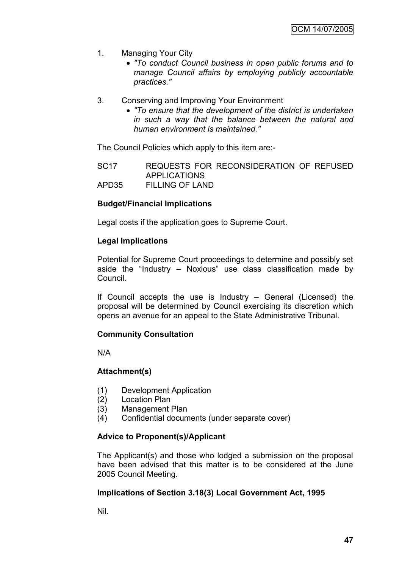- 1. Managing Your City
	- *"To conduct Council business in open public forums and to manage Council affairs by employing publicly accountable practices."*
- 3. Conserving and Improving Your Environment
	- *"To ensure that the development of the district is undertaken in such a way that the balance between the natural and human environment is maintained."*

The Council Policies which apply to this item are:-

SC17 REQUESTS FOR RECONSIDERATION OF REFUSED APPLICATIONS APD35 FILLING OF LAND

### **Budget/Financial Implications**

Legal costs if the application goes to Supreme Court.

### **Legal Implications**

Potential for Supreme Court proceedings to determine and possibly set aside the "Industry – Noxious" use class classification made by Council.

If Council accepts the use is Industry – General (Licensed) the proposal will be determined by Council exercising its discretion which opens an avenue for an appeal to the State Administrative Tribunal.

### **Community Consultation**

N/A

### **Attachment(s)**

- (1) Development Application
- (2) Location Plan
- (3) Management Plan
- (4) Confidential documents (under separate cover)

# **Advice to Proponent(s)/Applicant**

The Applicant(s) and those who lodged a submission on the proposal have been advised that this matter is to be considered at the June 2005 Council Meeting.

# **Implications of Section 3.18(3) Local Government Act, 1995**

Nil.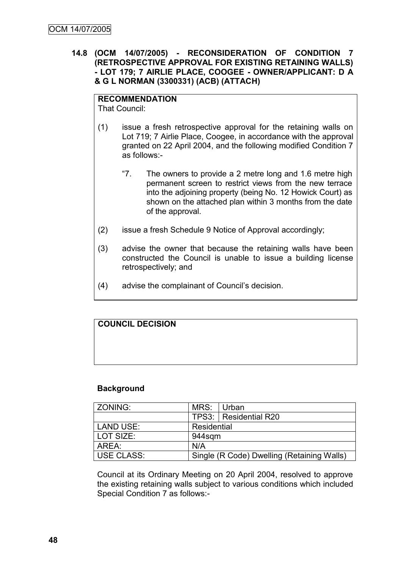### **14.8 (OCM 14/07/2005) - RECONSIDERATION OF CONDITION 7 (RETROSPECTIVE APPROVAL FOR EXISTING RETAINING WALLS) - LOT 179; 7 AIRLIE PLACE, COOGEE - OWNER/APPLICANT: D A & G L NORMAN (3300331) (ACB) (ATTACH)**

# **RECOMMENDATION**

That Council:

- (1) issue a fresh retrospective approval for the retaining walls on Lot 719; 7 Airlie Place, Coogee, in accordance with the approval granted on 22 April 2004, and the following modified Condition 7 as follows:-
	- "7. The owners to provide a 2 metre long and 1.6 metre high permanent screen to restrict views from the new terrace into the adjoining property (being No. 12 Howick Court) as shown on the attached plan within 3 months from the date of the approval.
- (2) issue a fresh Schedule 9 Notice of Approval accordingly;
- (3) advise the owner that because the retaining walls have been constructed the Council is unable to issue a building license retrospectively; and
- (4) advise the complainant of Council"s decision.

# **COUNCIL DECISION**

### **Background**

| l ZONING:         | MRS:        | l Urban                                    |
|-------------------|-------------|--------------------------------------------|
|                   |             | TPS3:   Residential R20                    |
| LAND USE:         | Residential |                                            |
| LOT SIZE:         | 944sqm      |                                            |
| AREA:             | N/A         |                                            |
| <b>USE CLASS:</b> |             | Single (R Code) Dwelling (Retaining Walls) |

Council at its Ordinary Meeting on 20 April 2004, resolved to approve the existing retaining walls subject to various conditions which included Special Condition 7 as follows:-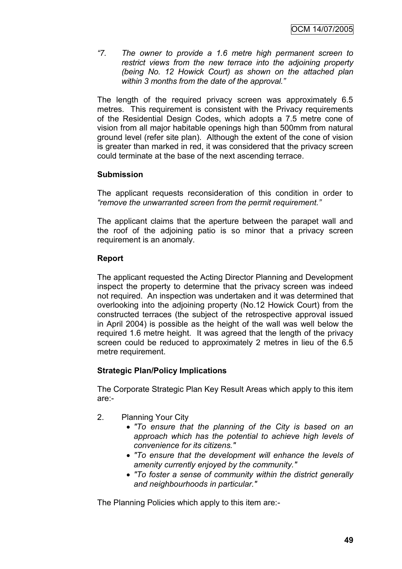*"7. The owner to provide a 1.6 metre high permanent screen to restrict views from the new terrace into the adjoining property (being No. 12 Howick Court) as shown on the attached plan within 3 months from the date of the approval."*

The length of the required privacy screen was approximately 6.5 metres. This requirement is consistent with the Privacy requirements of the Residential Design Codes, which adopts a 7.5 metre cone of vision from all major habitable openings high than 500mm from natural ground level (refer site plan). Although the extent of the cone of vision is greater than marked in red, it was considered that the privacy screen could terminate at the base of the next ascending terrace.

## **Submission**

The applicant requests reconsideration of this condition in order to *"remove the unwarranted screen from the permit requirement."*

The applicant claims that the aperture between the parapet wall and the roof of the adjoining patio is so minor that a privacy screen requirement is an anomaly.

## **Report**

The applicant requested the Acting Director Planning and Development inspect the property to determine that the privacy screen was indeed not required. An inspection was undertaken and it was determined that overlooking into the adjoining property (No.12 Howick Court) from the constructed terraces (the subject of the retrospective approval issued in April 2004) is possible as the height of the wall was well below the required 1.6 metre height. It was agreed that the length of the privacy screen could be reduced to approximately 2 metres in lieu of the 6.5 metre requirement.

# **Strategic Plan/Policy Implications**

The Corporate Strategic Plan Key Result Areas which apply to this item are:-

- 2. Planning Your City
	- *"To ensure that the planning of the City is based on an approach which has the potential to achieve high levels of convenience for its citizens."*
	- *"To ensure that the development will enhance the levels of amenity currently enjoyed by the community."*
	- *"To foster a sense of community within the district generally and neighbourhoods in particular."*

The Planning Policies which apply to this item are:-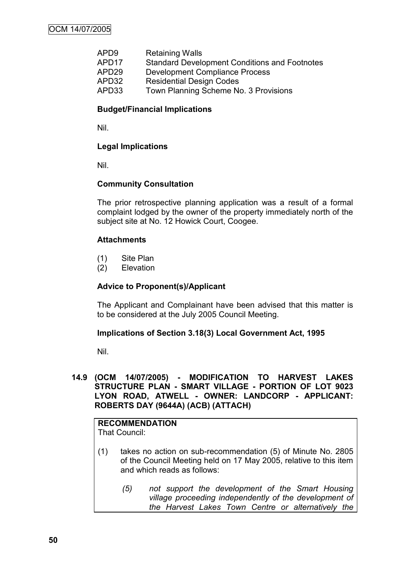| APD <sub>9</sub>  | <b>Retaining Walls</b>                               |
|-------------------|------------------------------------------------------|
| APD <sub>17</sub> | <b>Standard Development Conditions and Footnotes</b> |
| APD <sub>29</sub> | <b>Development Compliance Process</b>                |
| APD32             | <b>Residential Design Codes</b>                      |
| APD33             | Town Planning Scheme No. 3 Provisions                |

### **Budget/Financial Implications**

Nil.

### **Legal Implications**

Nil.

#### **Community Consultation**

The prior retrospective planning application was a result of a formal complaint lodged by the owner of the property immediately north of the subject site at No. 12 Howick Court, Coogee.

#### **Attachments**

- (1) Site Plan
- (2) Elevation

### **Advice to Proponent(s)/Applicant**

The Applicant and Complainant have been advised that this matter is to be considered at the July 2005 Council Meeting.

#### **Implications of Section 3.18(3) Local Government Act, 1995**

Nil.

### **14.9 (OCM 14/07/2005) - MODIFICATION TO HARVEST LAKES STRUCTURE PLAN - SMART VILLAGE - PORTION OF LOT 9023 LYON ROAD, ATWELL - OWNER: LANDCORP - APPLICANT: ROBERTS DAY (9644A) (ACB) (ATTACH)**

#### **RECOMMENDATION** That Council:

- (1) takes no action on sub-recommendation (5) of Minute No. 2805 of the Council Meeting held on 17 May 2005, relative to this item and which reads as follows:
	- *(5) not support the development of the Smart Housing village proceeding independently of the development of the Harvest Lakes Town Centre or alternatively the*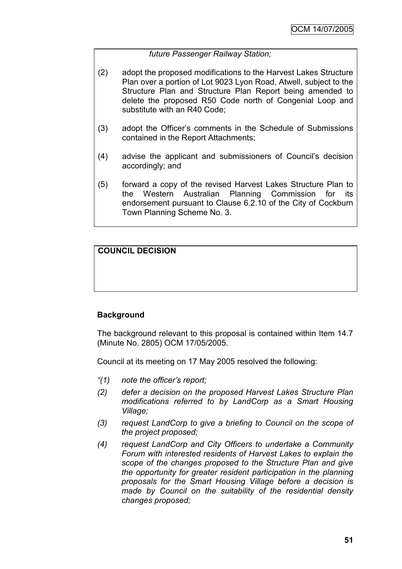## *future Passenger Railway Station;*

- (2) adopt the proposed modifications to the Harvest Lakes Structure Plan over a portion of Lot 9023 Lyon Road, Atwell, subject to the Structure Plan and Structure Plan Report being amended to delete the proposed R50 Code north of Congenial Loop and substitute with an R40 Code;
- (3) adopt the Officer"s comments in the Schedule of Submissions contained in the Report Attachments;
- (4) advise the applicant and submissioners of Council"s decision accordingly; and
- (5) forward a copy of the revised Harvest Lakes Structure Plan to the Western Australian Planning Commission for its endorsement pursuant to Clause 6.2.10 of the City of Cockburn Town Planning Scheme No. 3.

# **COUNCIL DECISION**

### **Background**

The background relevant to this proposal is contained within Item 14.7 (Minute No. 2805) OCM 17/05/2005.

Council at its meeting on 17 May 2005 resolved the following:

- *"(1) note the officer"s report;*
- *(2) defer a decision on the proposed Harvest Lakes Structure Plan modifications referred to by LandCorp as a Smart Housing Village;*
- *(3) request LandCorp to give a briefing to Council on the scope of the project proposed;*
- *(4) request LandCorp and City Officers to undertake a Community Forum with interested residents of Harvest Lakes to explain the scope of the changes proposed to the Structure Plan and give the opportunity for greater resident participation in the planning proposals for the Smart Housing Village before a decision is made by Council on the suitability of the residential density changes proposed;*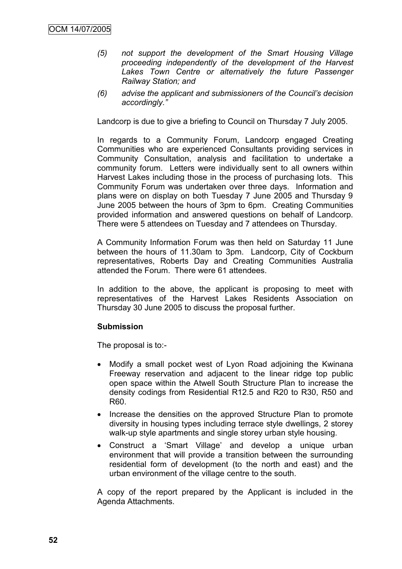- *(5) not support the development of the Smart Housing Village proceeding independently of the development of the Harvest*  Lakes Town Centre or alternatively the future Passenger *Railway Station; and*
- *(6) advise the applicant and submissioners of the Council"s decision accordingly."*

Landcorp is due to give a briefing to Council on Thursday 7 July 2005.

In regards to a Community Forum, Landcorp engaged Creating Communities who are experienced Consultants providing services in Community Consultation, analysis and facilitation to undertake a community forum. Letters were individually sent to all owners within Harvest Lakes including those in the process of purchasing lots. This Community Forum was undertaken over three days. Information and plans were on display on both Tuesday 7 June 2005 and Thursday 9 June 2005 between the hours of 3pm to 6pm. Creating Communities provided information and answered questions on behalf of Landcorp. There were 5 attendees on Tuesday and 7 attendees on Thursday.

A Community Information Forum was then held on Saturday 11 June between the hours of 11.30am to 3pm. Landcorp, City of Cockburn representatives, Roberts Day and Creating Communities Australia attended the Forum. There were 61 attendees.

In addition to the above, the applicant is proposing to meet with representatives of the Harvest Lakes Residents Association on Thursday 30 June 2005 to discuss the proposal further.

### **Submission**

The proposal is to:-

- Modify a small pocket west of Lyon Road adjoining the Kwinana Freeway reservation and adjacent to the linear ridge top public open space within the Atwell South Structure Plan to increase the density codings from Residential R12.5 and R20 to R30, R50 and R60.
- Increase the densities on the approved Structure Plan to promote diversity in housing types including terrace style dwellings, 2 storey walk-up style apartments and single storey urban style housing.
- Construct a "Smart Village" and develop a unique urban environment that will provide a transition between the surrounding residential form of development (to the north and east) and the urban environment of the village centre to the south.

A copy of the report prepared by the Applicant is included in the Agenda Attachments.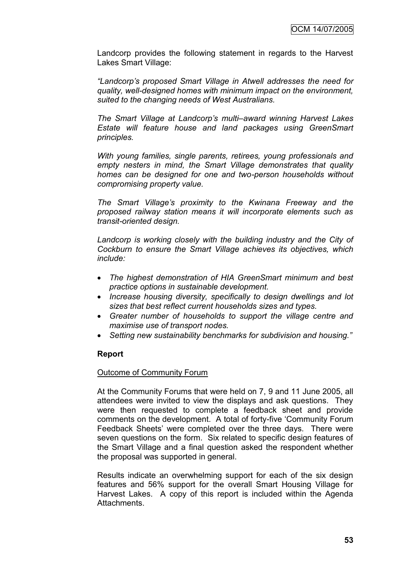Landcorp provides the following statement in regards to the Harvest Lakes Smart Village:

*"Landcorp"s proposed Smart Village in Atwell addresses the need for quality, well-designed homes with minimum impact on the environment, suited to the changing needs of West Australians.*

*The Smart Village at Landcorp"s multi–award winning Harvest Lakes Estate will feature house and land packages using GreenSmart principles.*

*With young families, single parents, retirees, young professionals and empty nesters in mind, the Smart Village demonstrates that quality homes can be designed for one and two-person households without compromising property value.*

*The Smart Village"s proximity to the Kwinana Freeway and the proposed railway station means it will incorporate elements such as transit-oriented design.*

*Landcorp is working closely with the building industry and the City of Cockburn to ensure the Smart Village achieves its objectives, which include:*

- *The highest demonstration of HIA GreenSmart minimum and best practice options in sustainable development.*
- *Increase housing diversity, specifically to design dwellings and lot sizes that best reflect current households sizes and types.*
- *Greater number of households to support the village centre and maximise use of transport nodes.*
- *Setting new sustainability benchmarks for subdivision and housing."*

### **Report**

#### Outcome of Community Forum

At the Community Forums that were held on 7, 9 and 11 June 2005, all attendees were invited to view the displays and ask questions. They were then requested to complete a feedback sheet and provide comments on the development. A total of forty-five "Community Forum Feedback Sheets" were completed over the three days. There were seven questions on the form. Six related to specific design features of the Smart Village and a final question asked the respondent whether the proposal was supported in general.

Results indicate an overwhelming support for each of the six design features and 56% support for the overall Smart Housing Village for Harvest Lakes. A copy of this report is included within the Agenda Attachments.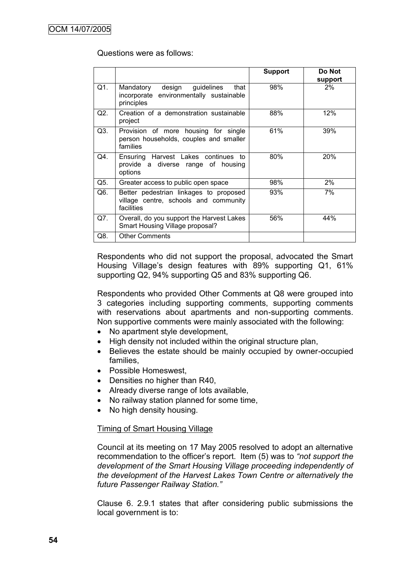#### Questions were as follows:

|     |                                                                                               | <b>Support</b> | Do Not        |
|-----|-----------------------------------------------------------------------------------------------|----------------|---------------|
| Q1. | Mandatory design guidelines<br>that<br>incorporate environmentally sustainable<br>principles  | 98%            | support<br>2% |
| Q2. | Creation of a demonstration sustainable<br>project                                            | 88%            | 12%           |
| Q3. | Provision of more housing for single<br>person households, couples and smaller<br>families    | 61%            | 39%           |
| Q4. | Ensuring Harvest Lakes continues<br>to<br>provide a diverse range of housing<br>options       | 80%            | <b>20%</b>    |
| Q5. | Greater access to public open space                                                           | 98%            | $2\%$         |
| Q6. | Better pedestrian linkages to proposed<br>village centre, schools and community<br>facilities | 93%            | 7%            |
| Q7. | Overall, do you support the Harvest Lakes<br>Smart Housing Village proposal?                  | 56%            | 44%           |
| Q8. | <b>Other Comments</b>                                                                         |                |               |

Respondents who did not support the proposal, advocated the Smart Housing Village's design features with 89% supporting Q1, 61% supporting Q2, 94% supporting Q5 and 83% supporting Q6.

Respondents who provided Other Comments at Q8 were grouped into 3 categories including supporting comments, supporting comments with reservations about apartments and non-supporting comments. Non supportive comments were mainly associated with the following:

- No apartment style development,
- High density not included within the original structure plan,
- Believes the estate should be mainly occupied by owner-occupied families,
- Possible Homeswest,
- Densities no higher than R40,
- Already diverse range of lots available,
- No railway station planned for some time,
- No high density housing.

#### Timing of Smart Housing Village

Council at its meeting on 17 May 2005 resolved to adopt an alternative recommendation to the officer"s report. Item (5) was to *"not support the development of the Smart Housing Village proceeding independently of the development of the Harvest Lakes Town Centre or alternatively the future Passenger Railway Station."*

Clause 6. 2.9.1 states that after considering public submissions the local government is to: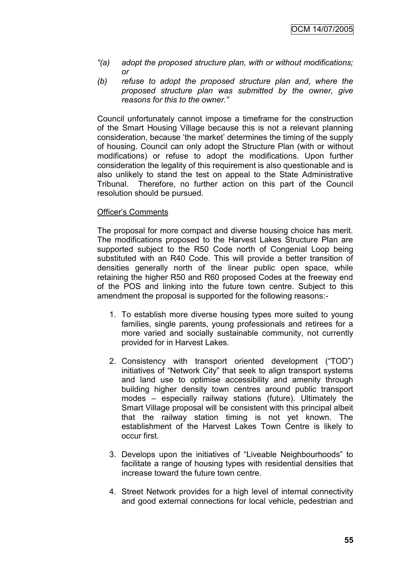- *"(a) adopt the proposed structure plan, with or without modifications; or*
- *(b) refuse to adopt the proposed structure plan and, where the proposed structure plan was submitted by the owner, give reasons for this to the owner."*

Council unfortunately cannot impose a timeframe for the construction of the Smart Housing Village because this is not a relevant planning consideration, because "the market" determines the timing of the supply of housing. Council can only adopt the Structure Plan (with or without modifications) or refuse to adopt the modifications. Upon further consideration the legality of this requirement is also questionable and is also unlikely to stand the test on appeal to the State Administrative Tribunal. Therefore, no further action on this part of the Council resolution should be pursued.

#### Officer"s Comments

The proposal for more compact and diverse housing choice has merit. The modifications proposed to the Harvest Lakes Structure Plan are supported subject to the R50 Code north of Congenial Loop being substituted with an R40 Code. This will provide a better transition of densities generally north of the linear public open space, while retaining the higher R50 and R60 proposed Codes at the freeway end of the POS and linking into the future town centre. Subject to this amendment the proposal is supported for the following reasons:-

- 1. To establish more diverse housing types more suited to young families, single parents, young professionals and retirees for a more varied and socially sustainable community, not currently provided for in Harvest Lakes.
- 2. Consistency with transport oriented development ("TOD") initiatives of "Network City" that seek to align transport systems and land use to optimise accessibility and amenity through building higher density town centres around public transport modes – especially railway stations (future). Ultimately the Smart Village proposal will be consistent with this principal albeit that the railway station timing is not yet known. The establishment of the Harvest Lakes Town Centre is likely to occur first.
- 3. Develops upon the initiatives of "Liveable Neighbourhoods" to facilitate a range of housing types with residential densities that increase toward the future town centre.
- 4. Street Network provides for a high level of internal connectivity and good external connections for local vehicle, pedestrian and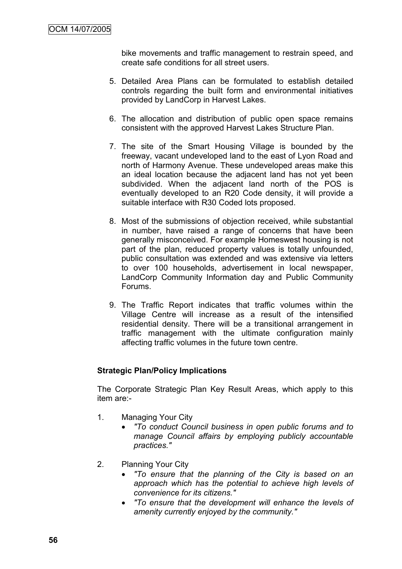bike movements and traffic management to restrain speed, and create safe conditions for all street users.

- 5. Detailed Area Plans can be formulated to establish detailed controls regarding the built form and environmental initiatives provided by LandCorp in Harvest Lakes.
- 6. The allocation and distribution of public open space remains consistent with the approved Harvest Lakes Structure Plan.
- 7. The site of the Smart Housing Village is bounded by the freeway, vacant undeveloped land to the east of Lyon Road and north of Harmony Avenue. These undeveloped areas make this an ideal location because the adjacent land has not yet been subdivided. When the adjacent land north of the POS is eventually developed to an R20 Code density, it will provide a suitable interface with R30 Coded lots proposed.
- 8. Most of the submissions of objection received, while substantial in number, have raised a range of concerns that have been generally misconceived. For example Homeswest housing is not part of the plan, reduced property values is totally unfounded, public consultation was extended and was extensive via letters to over 100 households, advertisement in local newspaper, LandCorp Community Information day and Public Community Forums.
- 9. The Traffic Report indicates that traffic volumes within the Village Centre will increase as a result of the intensified residential density. There will be a transitional arrangement in traffic management with the ultimate configuration mainly affecting traffic volumes in the future town centre.

### **Strategic Plan/Policy Implications**

The Corporate Strategic Plan Key Result Areas, which apply to this item are:-

- 1. Managing Your City
	- *"To conduct Council business in open public forums and to manage Council affairs by employing publicly accountable practices."*
- 2. Planning Your City
	- *"To ensure that the planning of the City is based on an approach which has the potential to achieve high levels of convenience for its citizens."*
	- *"To ensure that the development will enhance the levels of amenity currently enjoyed by the community."*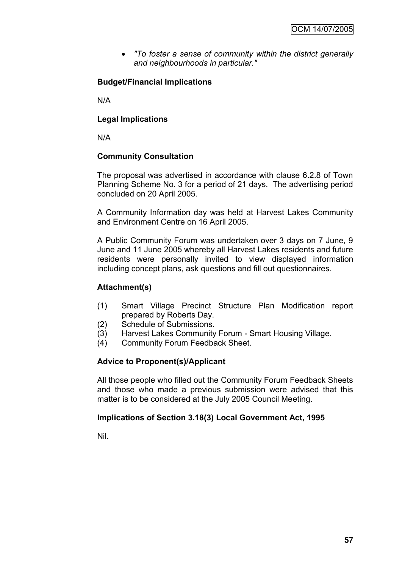*"To foster a sense of community within the district generally and neighbourhoods in particular."*

# **Budget/Financial Implications**

N/A

### **Legal Implications**

N/A

## **Community Consultation**

The proposal was advertised in accordance with clause 6.2.8 of Town Planning Scheme No. 3 for a period of 21 days. The advertising period concluded on 20 April 2005.

A Community Information day was held at Harvest Lakes Community and Environment Centre on 16 April 2005.

A Public Community Forum was undertaken over 3 days on 7 June, 9 June and 11 June 2005 whereby all Harvest Lakes residents and future residents were personally invited to view displayed information including concept plans, ask questions and fill out questionnaires.

### **Attachment(s)**

- (1) Smart Village Precinct Structure Plan Modification report prepared by Roberts Day.
- (2) Schedule of Submissions.
- (3) Harvest Lakes Community Forum Smart Housing Village.
- (4) Community Forum Feedback Sheet.

### **Advice to Proponent(s)/Applicant**

All those people who filled out the Community Forum Feedback Sheets and those who made a previous submission were advised that this matter is to be considered at the July 2005 Council Meeting.

### **Implications of Section 3.18(3) Local Government Act, 1995**

Nil.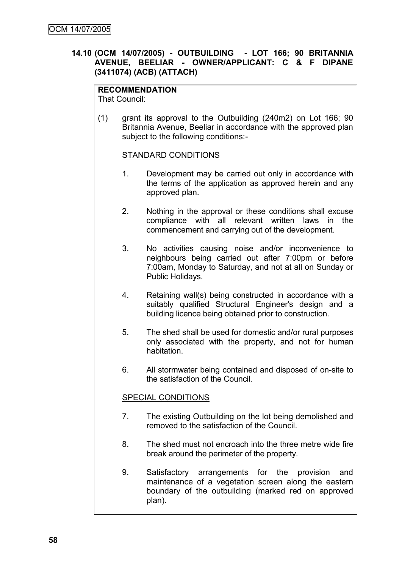## **14.10 (OCM 14/07/2005) - OUTBUILDING - LOT 166; 90 BRITANNIA AVENUE, BEELIAR - OWNER/APPLICANT: C & F DIPANE (3411074) (ACB) (ATTACH)**

# **RECOMMENDATION**

That Council:

(1) grant its approval to the Outbuilding (240m2) on Lot 166; 90 Britannia Avenue, Beeliar in accordance with the approved plan subject to the following conditions:-

#### STANDARD CONDITIONS

- 1. Development may be carried out only in accordance with the terms of the application as approved herein and any approved plan.
- 2. Nothing in the approval or these conditions shall excuse compliance with all relevant written laws in the commencement and carrying out of the development.
- 3. No activities causing noise and/or inconvenience to neighbours being carried out after 7:00pm or before 7:00am, Monday to Saturday, and not at all on Sunday or Public Holidays.
- 4. Retaining wall(s) being constructed in accordance with a suitably qualified Structural Engineer's design and a building licence being obtained prior to construction.
- 5. The shed shall be used for domestic and/or rural purposes only associated with the property, and not for human habitation.
- 6. All stormwater being contained and disposed of on-site to the satisfaction of the Council.

### SPECIAL CONDITIONS

- 7. The existing Outbuilding on the lot being demolished and removed to the satisfaction of the Council.
- 8. The shed must not encroach into the three metre wide fire break around the perimeter of the property.
- 9. Satisfactory arrangements for the provision and maintenance of a vegetation screen along the eastern boundary of the outbuilding (marked red on approved plan).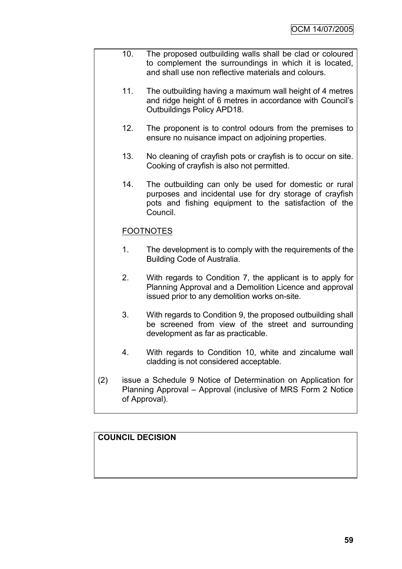- 10. The proposed outbuilding walls shall be clad or coloured to complement the surroundings in which it is located, and shall use non reflective materials and colours.
	- 11. The outbuilding having a maximum wall height of 4 metres and ridge height of 6 metres in accordance with Council"s Outbuildings Policy APD18.
	- 12. The proponent is to control odours from the premises to ensure no nuisance impact on adjoining properties.
	- 13. No cleaning of crayfish pots or crayfish is to occur on site. Cooking of crayfish is also not permitted.
	- 14. The outbuilding can only be used for domestic or rural purposes and incidental use for dry storage of crayfish pots and fishing equipment to the satisfaction of the Council.

# FOOTNOTES

- 1. The development is to comply with the requirements of the Building Code of Australia.
- 2. With regards to Condition 7, the applicant is to apply for Planning Approval and a Demolition Licence and approval issued prior to any demolition works on-site.
- 3. With regards to Condition 9, the proposed outbuilding shall be screened from view of the street and surrounding development as far as practicable.
- 4. With regards to Condition 10, white and zincalume wall cladding is not considered acceptable.
- (2) issue a Schedule 9 Notice of Determination on Application for Planning Approval – Approval (inclusive of MRS Form 2 Notice of Approval).

# **COUNCIL DECISION**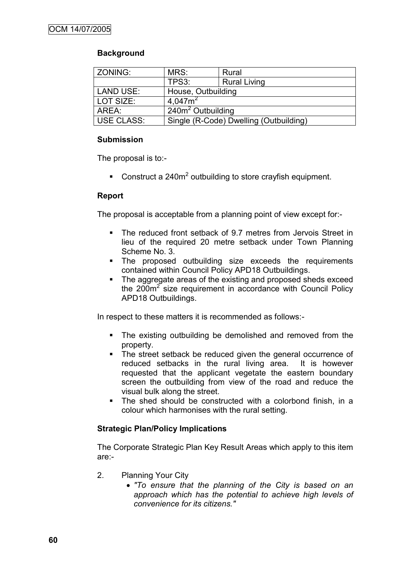# **Background**

| ZONING:           | MRS:                          | Rural                                  |  |
|-------------------|-------------------------------|----------------------------------------|--|
|                   | TPS3:                         | <b>Rural Living</b>                    |  |
| <b>LAND USE:</b>  | House, Outbuilding            |                                        |  |
| LOT SIZE:         | 4.047 $m2$                    |                                        |  |
| AREA:             | 240m <sup>2</sup> Outbuilding |                                        |  |
| <b>USE CLASS:</b> |                               | Single (R-Code) Dwelling (Outbuilding) |  |

## **Submission**

The proposal is to:-

Construct a 240 $m^2$  outbuilding to store crayfish equipment.

## **Report**

The proposal is acceptable from a planning point of view except for:-

- The reduced front setback of 9.7 metres from Jervois Street in lieu of the required 20 metre setback under Town Planning Scheme No. 3.
- The proposed outbuilding size exceeds the requirements contained within Council Policy APD18 Outbuildings.
- The aggregate areas of the existing and proposed sheds exceed the  $200m^2$  size requirement in accordance with Council Policy APD18 Outbuildings.

In respect to these matters it is recommended as follows:-

- The existing outbuilding be demolished and removed from the property.
- The street setback be reduced given the general occurrence of reduced setbacks in the rural living area. It is however requested that the applicant vegetate the eastern boundary screen the outbuilding from view of the road and reduce the visual bulk along the street.
- The shed should be constructed with a colorbond finish, in a colour which harmonises with the rural setting.

# **Strategic Plan/Policy Implications**

The Corporate Strategic Plan Key Result Areas which apply to this item are:-

- 2. Planning Your City
	- *"To ensure that the planning of the City is based on an approach which has the potential to achieve high levels of convenience for its citizens."*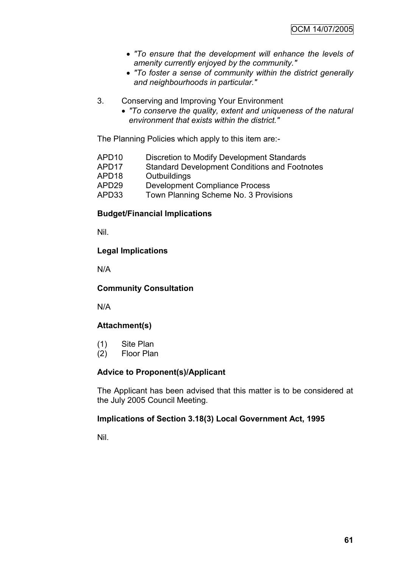- *"To ensure that the development will enhance the levels of amenity currently enjoyed by the community."*
- *"To foster a sense of community within the district generally and neighbourhoods in particular."*
- 3. Conserving and Improving Your Environment
	- *"To conserve the quality, extent and uniqueness of the natural environment that exists within the district."*

The Planning Policies which apply to this item are:-

- APD10 Discretion to Modify Development Standards
- APD17 Standard Development Conditions and Footnotes
- APD18 Outbuildings<br>APD29 Developmen
- Development Compliance Process
- APD33 Town Planning Scheme No. 3 Provisions

## **Budget/Financial Implications**

Nil.

## **Legal Implications**

N/A

### **Community Consultation**

N/A

# **Attachment(s)**

- (1) Site Plan
- (2) Floor Plan

### **Advice to Proponent(s)/Applicant**

The Applicant has been advised that this matter is to be considered at the July 2005 Council Meeting.

### **Implications of Section 3.18(3) Local Government Act, 1995**

Nil.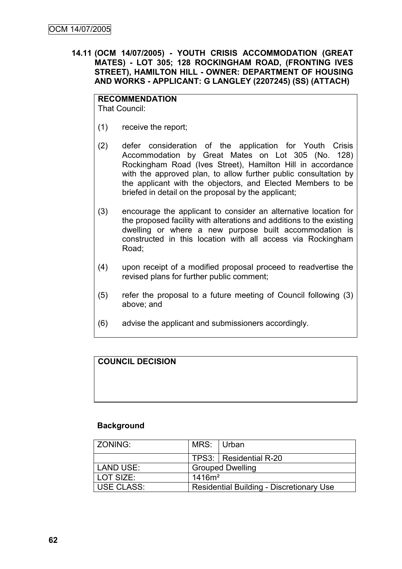**14.11 (OCM 14/07/2005) - YOUTH CRISIS ACCOMMODATION (GREAT MATES) - LOT 305; 128 ROCKINGHAM ROAD, (FRONTING IVES STREET), HAMILTON HILL - OWNER: DEPARTMENT OF HOUSING AND WORKS - APPLICANT: G LANGLEY (2207245) (SS) (ATTACH)**

# **RECOMMENDATION**

That Council:

- (1) receive the report;
- (2) defer consideration of the application for Youth Crisis Accommodation by Great Mates on Lot 305 (No. 128) Rockingham Road (Ives Street), Hamilton Hill in accordance with the approved plan, to allow further public consultation by the applicant with the objectors, and Elected Members to be briefed in detail on the proposal by the applicant;
- (3) encourage the applicant to consider an alternative location for the proposed facility with alterations and additions to the existing dwelling or where a new purpose built accommodation is constructed in this location with all access via Rockingham Road;
- (4) upon receipt of a modified proposal proceed to readvertise the revised plans for further public comment;
- (5) refer the proposal to a future meeting of Council following (3) above; and
- (6) advise the applicant and submissioners accordingly.

# **COUNCIL DECISION**

# **Background**

| <b>ZONING:</b>    | MRS: Urban                                      |                          |
|-------------------|-------------------------------------------------|--------------------------|
|                   |                                                 | TPS3:   Residential R-20 |
| <b>LAND USE:</b>  | <b>Grouped Dwelling</b>                         |                          |
| LOT SIZE:         | 1416m <sup>2</sup>                              |                          |
| <b>USE CLASS:</b> | <b>Residential Building - Discretionary Use</b> |                          |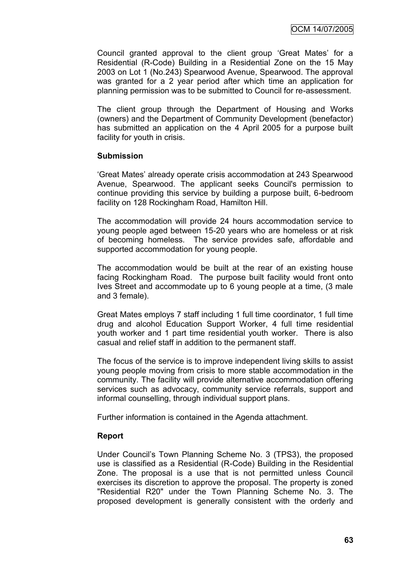Council granted approval to the client group "Great Mates" for a Residential (R-Code) Building in a Residential Zone on the 15 May 2003 on Lot 1 (No.243) Spearwood Avenue, Spearwood. The approval was granted for a 2 year period after which time an application for planning permission was to be submitted to Council for re-assessment.

The client group through the Department of Housing and Works (owners) and the Department of Community Development (benefactor) has submitted an application on the 4 April 2005 for a purpose built facility for youth in crisis.

### **Submission**

"Great Mates" already operate crisis accommodation at 243 Spearwood Avenue, Spearwood. The applicant seeks Council's permission to continue providing this service by building a purpose built, 6-bedroom facility on 128 Rockingham Road, Hamilton Hill.

The accommodation will provide 24 hours accommodation service to young people aged between 15-20 years who are homeless or at risk of becoming homeless. The service provides safe, affordable and supported accommodation for young people.

The accommodation would be built at the rear of an existing house facing Rockingham Road. The purpose built facility would front onto Ives Street and accommodate up to 6 young people at a time, (3 male and 3 female).

Great Mates employs 7 staff including 1 full time coordinator, 1 full time drug and alcohol Education Support Worker, 4 full time residential youth worker and 1 part time residential youth worker. There is also casual and relief staff in addition to the permanent staff.

The focus of the service is to improve independent living skills to assist young people moving from crisis to more stable accommodation in the community. The facility will provide alternative accommodation offering services such as advocacy, community service referrals, support and informal counselling, through individual support plans.

Further information is contained in the Agenda attachment.

### **Report**

Under Council"s Town Planning Scheme No. 3 (TPS3), the proposed use is classified as a Residential (R-Code) Building in the Residential Zone. The proposal is a use that is not permitted unless Council exercises its discretion to approve the proposal. The property is zoned "Residential R20" under the Town Planning Scheme No. 3. The proposed development is generally consistent with the orderly and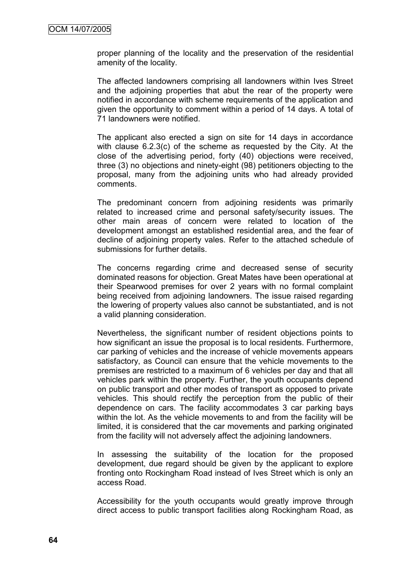proper planning of the locality and the preservation of the residential amenity of the locality.

The affected landowners comprising all landowners within Ives Street and the adioining properties that abut the rear of the property were notified in accordance with scheme requirements of the application and given the opportunity to comment within a period of 14 days. A total of 71 landowners were notified.

The applicant also erected a sign on site for 14 days in accordance with clause 6.2.3(c) of the scheme as requested by the City. At the close of the advertising period, forty (40) objections were received, three (3) no objections and ninety-eight (98) petitioners objecting to the proposal, many from the adjoining units who had already provided comments.

The predominant concern from adjoining residents was primarily related to increased crime and personal safety/security issues. The other main areas of concern were related to location of the development amongst an established residential area, and the fear of decline of adjoining property vales. Refer to the attached schedule of submissions for further details.

The concerns regarding crime and decreased sense of security dominated reasons for objection. Great Mates have been operational at their Spearwood premises for over 2 years with no formal complaint being received from adjoining landowners. The issue raised regarding the lowering of property values also cannot be substantiated, and is not a valid planning consideration.

Nevertheless, the significant number of resident objections points to how significant an issue the proposal is to local residents. Furthermore, car parking of vehicles and the increase of vehicle movements appears satisfactory, as Council can ensure that the vehicle movements to the premises are restricted to a maximum of 6 vehicles per day and that all vehicles park within the property. Further, the youth occupants depend on public transport and other modes of transport as opposed to private vehicles. This should rectify the perception from the public of their dependence on cars. The facility accommodates 3 car parking bays within the lot. As the vehicle movements to and from the facility will be limited, it is considered that the car movements and parking originated from the facility will not adversely affect the adjoining landowners.

In assessing the suitability of the location for the proposed development, due regard should be given by the applicant to explore fronting onto Rockingham Road instead of Ives Street which is only an access Road.

Accessibility for the youth occupants would greatly improve through direct access to public transport facilities along Rockingham Road, as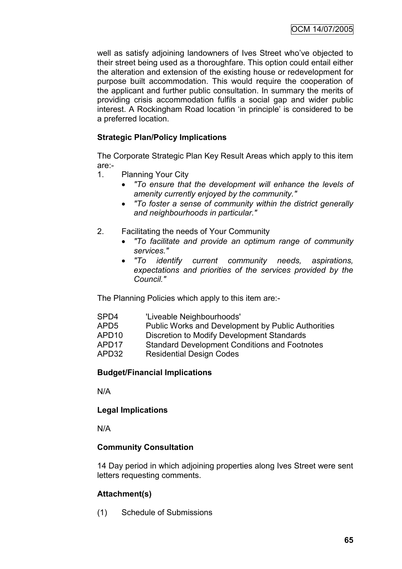well as satisfy adjoining landowners of Ives Street who"ve objected to their street being used as a thoroughfare. This option could entail either the alteration and extension of the existing house or redevelopment for purpose built accommodation. This would require the cooperation of the applicant and further public consultation. In summary the merits of providing crisis accommodation fulfils a social gap and wider public interest. A Rockingham Road location "in principle" is considered to be a preferred location.

# **Strategic Plan/Policy Implications**

The Corporate Strategic Plan Key Result Areas which apply to this item are:-

- 1. Planning Your City
	- *"To ensure that the development will enhance the levels of amenity currently enjoyed by the community."*
	- *"To foster a sense of community within the district generally and neighbourhoods in particular."*
- 2. Facilitating the needs of Your Community
	- *"To facilitate and provide an optimum range of community services."*
	- *"To identify current community needs, aspirations, expectations and priorities of the services provided by the Council."*

The Planning Policies which apply to this item are:-

| SPD4  | 'Liveable Neighbourhoods'                            |
|-------|------------------------------------------------------|
| APD5  | Public Works and Development by Public Authorities   |
| APD10 | Discretion to Modify Development Standards           |
| APD17 | <b>Standard Development Conditions and Footnotes</b> |
| APD32 | <b>Residential Design Codes</b>                      |
|       |                                                      |

# **Budget/Financial Implications**

N/A

# **Legal Implications**

N/A

# **Community Consultation**

14 Day period in which adjoining properties along Ives Street were sent letters requesting comments.

# **Attachment(s)**

(1) Schedule of Submissions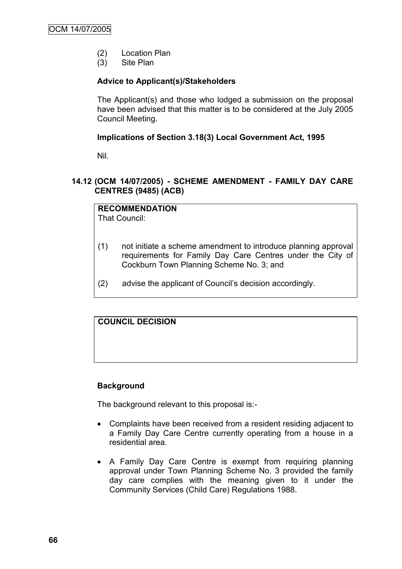- (2) Location Plan
- (3) Site Plan

# **Advice to Applicant(s)/Stakeholders**

The Applicant(s) and those who lodged a submission on the proposal have been advised that this matter is to be considered at the July 2005 Council Meeting.

## **Implications of Section 3.18(3) Local Government Act, 1995**

Nil.

### **14.12 (OCM 14/07/2005) - SCHEME AMENDMENT - FAMILY DAY CARE CENTRES (9485) (ACB)**

**RECOMMENDATION** That Council:

- (1) not initiate a scheme amendment to introduce planning approval requirements for Family Day Care Centres under the City of Cockburn Town Planning Scheme No. 3; and
- (2) advise the applicant of Council"s decision accordingly.

# **COUNCIL DECISION**

### **Background**

The background relevant to this proposal is:-

- Complaints have been received from a resident residing adjacent to a Family Day Care Centre currently operating from a house in a residential area.
- A Family Day Care Centre is exempt from requiring planning approval under Town Planning Scheme No. 3 provided the family day care complies with the meaning given to it under the Community Services (Child Care) Regulations 1988.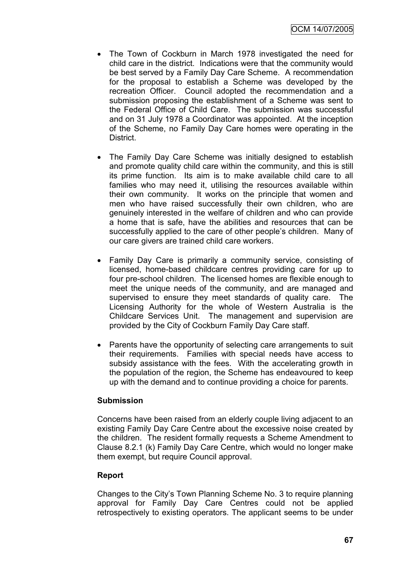- The Town of Cockburn in March 1978 investigated the need for child care in the district. Indications were that the community would be best served by a Family Day Care Scheme. A recommendation for the proposal to establish a Scheme was developed by the recreation Officer. Council adopted the recommendation and a submission proposing the establishment of a Scheme was sent to the Federal Office of Child Care. The submission was successful and on 31 July 1978 a Coordinator was appointed. At the inception of the Scheme, no Family Day Care homes were operating in the District.
- The Family Day Care Scheme was initially designed to establish and promote quality child care within the community, and this is still its prime function. Its aim is to make available child care to all families who may need it, utilising the resources available within their own community. It works on the principle that women and men who have raised successfully their own children, who are genuinely interested in the welfare of children and who can provide a home that is safe, have the abilities and resources that can be successfully applied to the care of other people's children. Many of our care givers are trained child care workers.
- Family Day Care is primarily a community service, consisting of licensed, home-based childcare centres providing care for up to four pre-school children. The licensed homes are flexible enough to meet the unique needs of the community, and are managed and supervised to ensure they meet standards of quality care. The Licensing Authority for the whole of Western Australia is the Childcare Services Unit. The management and supervision are provided by the City of Cockburn Family Day Care staff.
- Parents have the opportunity of selecting care arrangements to suit their requirements. Families with special needs have access to subsidy assistance with the fees. With the accelerating growth in the population of the region, the Scheme has endeavoured to keep up with the demand and to continue providing a choice for parents.

#### **Submission**

Concerns have been raised from an elderly couple living adjacent to an existing Family Day Care Centre about the excessive noise created by the children. The resident formally requests a Scheme Amendment to Clause 8.2.1 (k) Family Day Care Centre, which would no longer make them exempt, but require Council approval.

#### **Report**

Changes to the City"s Town Planning Scheme No. 3 to require planning approval for Family Day Care Centres could not be applied retrospectively to existing operators. The applicant seems to be under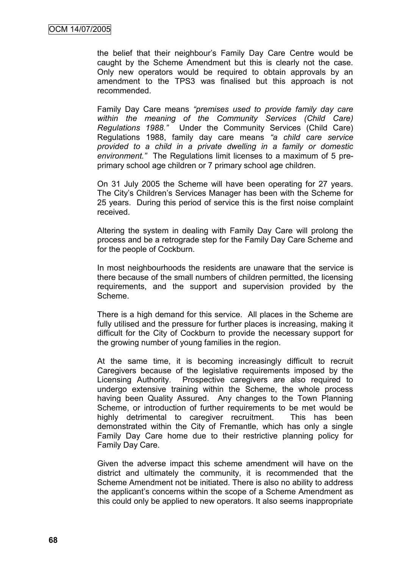the belief that their neighbour"s Family Day Care Centre would be caught by the Scheme Amendment but this is clearly not the case. Only new operators would be required to obtain approvals by an amendment to the TPS3 was finalised but this approach is not recommended.

Family Day Care means *"premises used to provide family day care within the meaning of the Community Services (Child Care) Regulations 1988."* Under the Community Services (Child Care) Regulations 1988, family day care means *"a child care service provided to a child in a private dwelling in a family or domestic environment."* The Regulations limit licenses to a maximum of 5 preprimary school age children or 7 primary school age children.

On 31 July 2005 the Scheme will have been operating for 27 years. The City"s Children"s Services Manager has been with the Scheme for 25 years. During this period of service this is the first noise complaint received.

Altering the system in dealing with Family Day Care will prolong the process and be a retrograde step for the Family Day Care Scheme and for the people of Cockburn.

In most neighbourhoods the residents are unaware that the service is there because of the small numbers of children permitted, the licensing requirements, and the support and supervision provided by the Scheme.

There is a high demand for this service. All places in the Scheme are fully utilised and the pressure for further places is increasing, making it difficult for the City of Cockburn to provide the necessary support for the growing number of young families in the region.

At the same time, it is becoming increasingly difficult to recruit Caregivers because of the legislative requirements imposed by the Licensing Authority. Prospective caregivers are also required to undergo extensive training within the Scheme, the whole process having been Quality Assured. Any changes to the Town Planning Scheme, or introduction of further requirements to be met would be highly detrimental to caregiver recruitment. This has been demonstrated within the City of Fremantle, which has only a single Family Day Care home due to their restrictive planning policy for Family Day Care.

Given the adverse impact this scheme amendment will have on the district and ultimately the community, it is recommended that the Scheme Amendment not be initiated. There is also no ability to address the applicant"s concerns within the scope of a Scheme Amendment as this could only be applied to new operators. It also seems inappropriate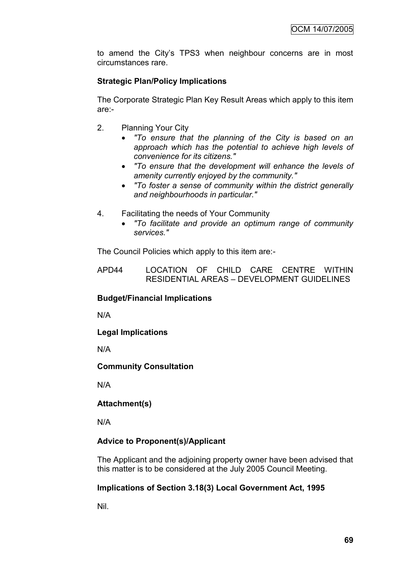to amend the City"s TPS3 when neighbour concerns are in most circumstances rare.

# **Strategic Plan/Policy Implications**

The Corporate Strategic Plan Key Result Areas which apply to this item are:-

- 2. Planning Your City
	- *"To ensure that the planning of the City is based on an approach which has the potential to achieve high levels of convenience for its citizens."*
	- *"To ensure that the development will enhance the levels of amenity currently enjoyed by the community."*
	- *"To foster a sense of community within the district generally and neighbourhoods in particular."*
- 4. Facilitating the needs of Your Community
	- *"To facilitate and provide an optimum range of community services."*

The Council Policies which apply to this item are:-

APD44 LOCATION OF CHILD CARE CENTRE WITHIN RESIDENTIAL AREAS – DEVELOPMENT GUIDELINES

#### **Budget/Financial Implications**

N/A

# **Legal Implications**

N/A

#### **Community Consultation**

N/A

# **Attachment(s)**

N/A

# **Advice to Proponent(s)/Applicant**

The Applicant and the adjoining property owner have been advised that this matter is to be considered at the July 2005 Council Meeting.

#### **Implications of Section 3.18(3) Local Government Act, 1995**

Nil.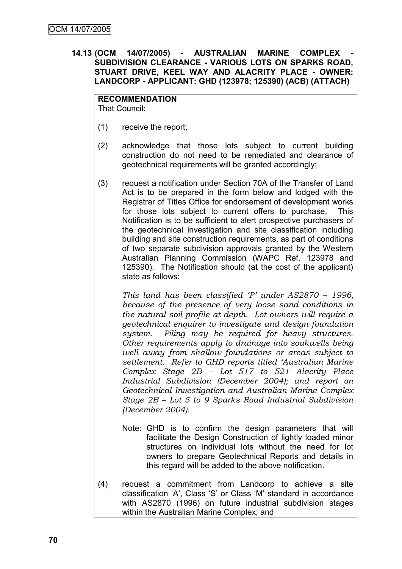#### **14.13 (OCM 14/07/2005) - AUSTRALIAN MARINE COMPLEX - SUBDIVISION CLEARANCE - VARIOUS LOTS ON SPARKS ROAD, STUART DRIVE, KEEL WAY AND ALACRITY PLACE - OWNER: LANDCORP - APPLICANT: GHD (123978; 125390) (ACB) (ATTACH)**

#### **RECOMMENDATION**

That Council:

- (1) receive the report;
- (2) acknowledge that those lots subject to current building construction do not need to be remediated and clearance of geotechnical requirements will be granted accordingly;
- (3) request a notification under Section 70A of the Transfer of Land Act is to be prepared in the form below and lodged with the Registrar of Titles Office for endorsement of development works for those lots subject to current offers to purchase. This Notification is to be sufficient to alert prospective purchasers of the geotechnical investigation and site classification including building and site construction requirements, as part of conditions of two separate subdivision approvals granted by the Western Australian Planning Commission (WAPC Ref. 123978 and 125390). The Notification should (at the cost of the applicant) state as follows:

*This land has been classified 'P' under AS2870 – 1996, because of the presence of very loose sand conditions in the natural soil profile at depth. Lot owners will require a geotechnical enquirer to investigate and design foundation system. Piling may be required for heavy structures. Other requirements apply to drainage into soakwells being well away from shallow foundations or areas subject to settlement. Refer to GHD reports titled 'Australian Marine Complex Stage 2B – Lot 517 to 521 Alacrity Place Industrial Subdivision (December 2004); and report on Geotechnical Investigation and Australian Marine Complex Stage 2B – Lot 5 to 9 Sparks Road Industrial Subdivision (December 2004).*

- Note: GHD is to confirm the design parameters that will facilitate the Design Construction of lightly loaded minor structures on individual lots without the need for lot owners to prepare Geotechnical Reports and details in this regard will be added to the above notification.
- (4) request a commitment from Landcorp to achieve a site classification "A", Class "S" or Class "M" standard in accordance with AS2870 (1996) on future industrial subdivision stages within the Australian Marine Complex; and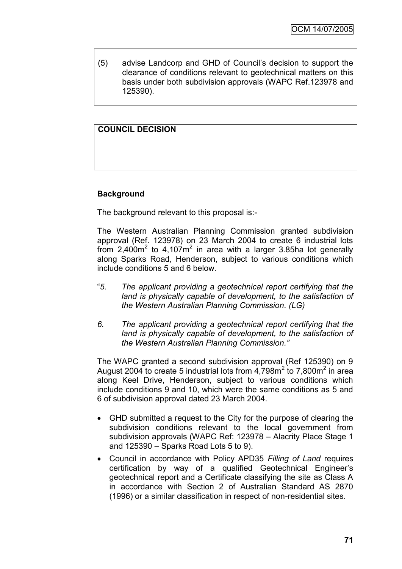(5) advise Landcorp and GHD of Council"s decision to support the clearance of conditions relevant to geotechnical matters on this basis under both subdivision approvals (WAPC Ref.123978 and 125390).

# **COUNCIL DECISION**

## **Background**

The background relevant to this proposal is:-

The Western Australian Planning Commission granted subdivision approval (Ref. 123978) on 23 March 2004 to create 6 industrial lots from 2,400 $m^2$  to 4,107 $m^2$  in area with a larger 3.85ha lot generally along Sparks Road, Henderson, subject to various conditions which include conditions 5 and 6 below.

- "*5. The applicant providing a geotechnical report certifying that the land is physically capable of development, to the satisfaction of the Western Australian Planning Commission. (LG)*
- *6. The applicant providing a geotechnical report certifying that the land is physically capable of development, to the satisfaction of the Western Australian Planning Commission."*

The WAPC granted a second subdivision approval (Ref 125390) on 9 August 2004 to create 5 industrial lots from  $4,798m^2$  to 7,800m<sup>2</sup> in area along Keel Drive, Henderson, subject to various conditions which include conditions 9 and 10, which were the same conditions as 5 and 6 of subdivision approval dated 23 March 2004.

- GHD submitted a request to the City for the purpose of clearing the subdivision conditions relevant to the local government from subdivision approvals (WAPC Ref: 123978 – Alacrity Place Stage 1 and 125390 – Sparks Road Lots 5 to 9).
- Council in accordance with Policy APD35 *Filling of Land* requires certification by way of a qualified Geotechnical Engineer"s geotechnical report and a Certificate classifying the site as Class A in accordance with Section 2 of Australian Standard AS 2870 (1996) or a similar classification in respect of non-residential sites.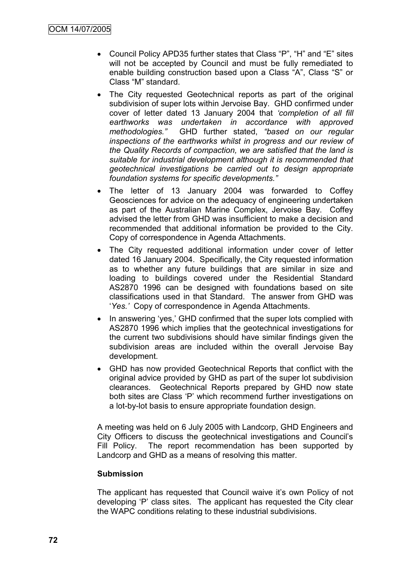- Council Policy APD35 further states that Class "P", "H" and "E" sites will not be accepted by Council and must be fully remediated to enable building construction based upon a Class "A", Class "S" or Class "M" standard.
- The City requested Geotechnical reports as part of the original subdivision of super lots within Jervoise Bay. GHD confirmed under cover of letter dated 13 January 2004 that *"completion of all fill earthworks was undertaken in accordance with approved methodologies."* GHD further stated, *"based on our regular inspections of the earthworks whilst in progress and our review of the Quality Records of compaction, we are satisfied that the land is suitable for industrial development although it is recommended that geotechnical investigations be carried out to design appropriate foundation systems for specific developments."*
- The letter of 13 January 2004 was forwarded to Coffey Geosciences for advice on the adequacy of engineering undertaken as part of the Australian Marine Complex, Jervoise Bay. Coffey advised the letter from GHD was insufficient to make a decision and recommended that additional information be provided to the City. Copy of correspondence in Agenda Attachments.
- The City requested additional information under cover of letter dated 16 January 2004. Specifically, the City requested information as to whether any future buildings that are similar in size and loading to buildings covered under the Residential Standard AS2870 1996 can be designed with foundations based on site classifications used in that Standard. The answer from GHD was "*Yes."* Copy of correspondence in Agenda Attachments.
- In answering 'yes,' GHD confirmed that the super lots complied with AS2870 1996 which implies that the geotechnical investigations for the current two subdivisions should have similar findings given the subdivision areas are included within the overall Jervoise Bay development.
- GHD has now provided Geotechnical Reports that conflict with the original advice provided by GHD as part of the super lot subdivision clearances. Geotechnical Reports prepared by GHD now state both sites are Class "P" which recommend further investigations on a lot-by-lot basis to ensure appropriate foundation design.

A meeting was held on 6 July 2005 with Landcorp, GHD Engineers and City Officers to discuss the geotechnical investigations and Council"s Fill Policy. The report recommendation has been supported by Landcorp and GHD as a means of resolving this matter.

#### **Submission**

The applicant has requested that Council waive it's own Policy of not developing "P" class sites. The applicant has requested the City clear the WAPC conditions relating to these industrial subdivisions.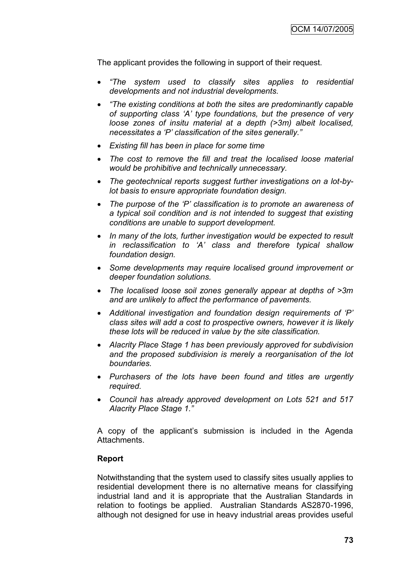The applicant provides the following in support of their request.

- *"The system used to classify sites applies to residential developments and not industrial developments.*
- *"The existing conditions at both the sites are predominantly capable of supporting class "A" type foundations, but the presence of very loose zones of insitu material at a depth (>3m) albeit localised, necessitates a "P" classification of the sites generally."*
- *Existing fill has been in place for some time*
- *The cost to remove the fill and treat the localised loose material would be prohibitive and technically unnecessary.*
- *The geotechnical reports suggest further investigations on a lot-bylot basis to ensure appropriate foundation design.*
- *The purpose of the "P" classification is to promote an awareness of a typical soil condition and is not intended to suggest that existing conditions are unable to support development.*
- *In many of the lots, further investigation would be expected to result in reclassification to "A" class and therefore typical shallow foundation design.*
- *Some developments may require localised ground improvement or deeper foundation solutions.*
- *The localised loose soil zones generally appear at depths of >3m and are unlikely to affect the performance of pavements.*
- *Additional investigation and foundation design requirements of "P" class sites will add a cost to prospective owners, however it is likely these lots will be reduced in value by the site classification.*
- *Alacrity Place Stage 1 has been previously approved for subdivision and the proposed subdivision is merely a reorganisation of the lot boundaries.*
- *Purchasers of the lots have been found and titles are urgently required.*
- *Council has already approved development on Lots 521 and 517 Alacrity Place Stage 1."*

A copy of the applicant"s submission is included in the Agenda Attachments.

#### **Report**

Notwithstanding that the system used to classify sites usually applies to residential development there is no alternative means for classifying industrial land and it is appropriate that the Australian Standards in relation to footings be applied. Australian Standards AS2870-1996, although not designed for use in heavy industrial areas provides useful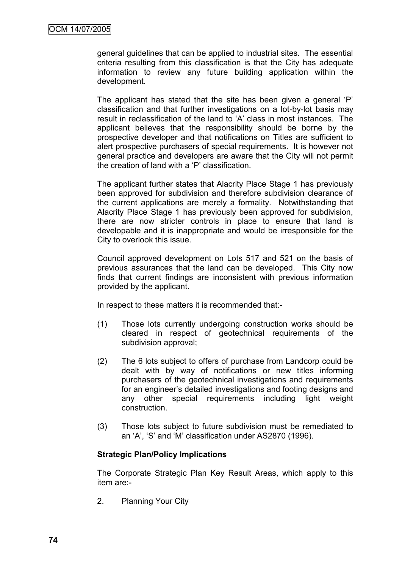general guidelines that can be applied to industrial sites. The essential criteria resulting from this classification is that the City has adequate information to review any future building application within the development.

The applicant has stated that the site has been given a general 'P' classification and that further investigations on a lot-by-lot basis may result in reclassification of the land to "A" class in most instances. The applicant believes that the responsibility should be borne by the prospective developer and that notifications on Titles are sufficient to alert prospective purchasers of special requirements. It is however not general practice and developers are aware that the City will not permit the creation of land with a "P" classification.

The applicant further states that Alacrity Place Stage 1 has previously been approved for subdivision and therefore subdivision clearance of the current applications are merely a formality. Notwithstanding that Alacrity Place Stage 1 has previously been approved for subdivision, there are now stricter controls in place to ensure that land is developable and it is inappropriate and would be irresponsible for the City to overlook this issue.

Council approved development on Lots 517 and 521 on the basis of previous assurances that the land can be developed. This City now finds that current findings are inconsistent with previous information provided by the applicant.

In respect to these matters it is recommended that:-

- (1) Those lots currently undergoing construction works should be cleared in respect of geotechnical requirements of the subdivision approval;
- (2) The 6 lots subject to offers of purchase from Landcorp could be dealt with by way of notifications or new titles informing purchasers of the geotechnical investigations and requirements for an engineer"s detailed investigations and footing designs and any other special requirements including light weight construction.
- (3) Those lots subject to future subdivision must be remediated to an "A", "S" and "M" classification under AS2870 (1996).

#### **Strategic Plan/Policy Implications**

The Corporate Strategic Plan Key Result Areas, which apply to this item are:-

2. Planning Your City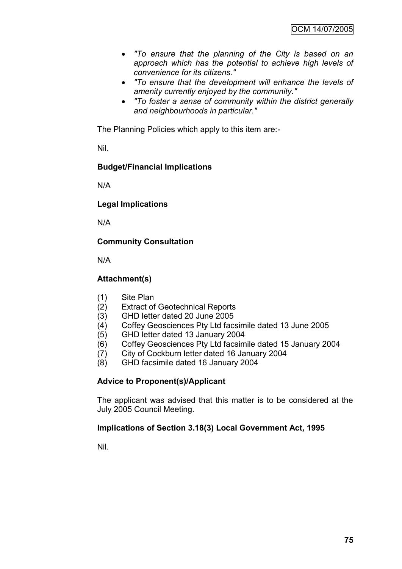- *"To ensure that the planning of the City is based on an approach which has the potential to achieve high levels of convenience for its citizens."*
- *"To ensure that the development will enhance the levels of amenity currently enjoyed by the community."*
- *"To foster a sense of community within the district generally and neighbourhoods in particular."*

The Planning Policies which apply to this item are:-

Nil.

# **Budget/Financial Implications**

N/A

# **Legal Implications**

N/A

# **Community Consultation**

N/A

# **Attachment(s)**

- (1) Site Plan
- (2) Extract of Geotechnical Reports
- (3) GHD letter dated 20 June 2005
- (4) Coffey Geosciences Pty Ltd facsimile dated 13 June 2005
- (5) GHD letter dated 13 January 2004
- (6) Coffey Geosciences Pty Ltd facsimile dated 15 January 2004
- (7) City of Cockburn letter dated 16 January 2004
- (8) GHD facsimile dated 16 January 2004

# **Advice to Proponent(s)/Applicant**

The applicant was advised that this matter is to be considered at the July 2005 Council Meeting.

#### **Implications of Section 3.18(3) Local Government Act, 1995**

Nil.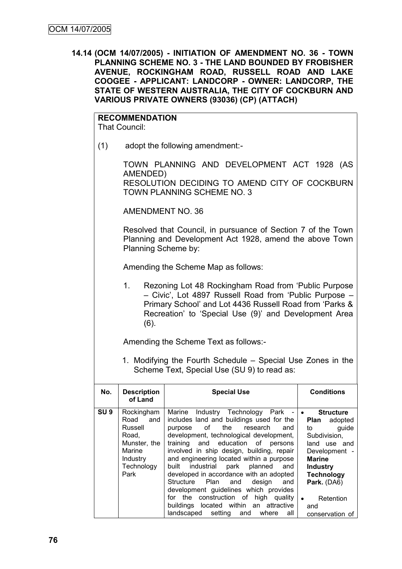**14.14 (OCM 14/07/2005) - INITIATION OF AMENDMENT NO. 36 - TOWN PLANNING SCHEME NO. 3 - THE LAND BOUNDED BY FROBISHER AVENUE, ROCKINGHAM ROAD, RUSSELL ROAD AND LAKE COOGEE - APPLICANT: LANDCORP - OWNER: LANDCORP, THE STATE OF WESTERN AUSTRALIA, THE CITY OF COCKBURN AND VARIOUS PRIVATE OWNERS (93036) (CP) (ATTACH)**

**RECOMMENDATION**

That Council:

(1) adopt the following amendment:-

TOWN PLANNING AND DEVELOPMENT ACT 1928 (AS AMENDED) RESOLUTION DECIDING TO AMEND CITY OF COCKBURN TOWN PLANNING SCHEME NO. 3

AMENDMENT NO. 36

Resolved that Council, in pursuance of Section 7 of the Town Planning and Development Act 1928, amend the above Town Planning Scheme by:

Amending the Scheme Map as follows:

1. Rezoning Lot 48 Rockingham Road from "Public Purpose – Civic", Lot 4897 Russell Road from "Public Purpose – Primary School" and Lot 4436 Russell Road from "Parks & Recreation" to "Special Use (9)" and Development Area (6).

Amending the Scheme Text as follows:-

1. Modifying the Fourth Schedule – Special Use Zones in the Scheme Text, Special Use (SU 9) to read as:

| No.             | <b>Description</b><br>of Land                                                                          | <b>Special Use</b>                                                                                                                                                                                                                                                                                                                                                                                                                                                                                                                                                                                                                                                                                                 | <b>Conditions</b>                                                                                                                                                                                                               |
|-----------------|--------------------------------------------------------------------------------------------------------|--------------------------------------------------------------------------------------------------------------------------------------------------------------------------------------------------------------------------------------------------------------------------------------------------------------------------------------------------------------------------------------------------------------------------------------------------------------------------------------------------------------------------------------------------------------------------------------------------------------------------------------------------------------------------------------------------------------------|---------------------------------------------------------------------------------------------------------------------------------------------------------------------------------------------------------------------------------|
| SU <sub>9</sub> | Rockingham<br>Road and<br>Russell<br>Road,<br>Munster, the<br>Marine<br>Industry<br>Technology<br>Park | Marine Industry Technology Park - •<br>includes land and buildings used for the<br>of the contract of the contract of the contract of the contract of the contract of the contract of the contract<br>the research<br>purpose<br>and<br>development, technological development,<br>training and education of persons<br>involved in ship design, building, repair<br>and engineering located within a purpose<br>built industrial park<br>planned<br>and<br>developed in accordance with an adopted<br>Structure Plan and<br>design<br>and<br>development guidelines which provides<br>for the construction of high quality<br>buildings located within an attractive<br>landscaped setting<br>and<br>where<br>all | <b>Structure</b><br>Plan adopted<br>guide<br>to to<br>Subdivision,<br>land use and<br>Development -<br><b>Marine</b><br><b>Industry</b><br><b>Technology</b><br>Park. (DA6)<br>Retention<br>$\bullet$<br>and<br>conservation of |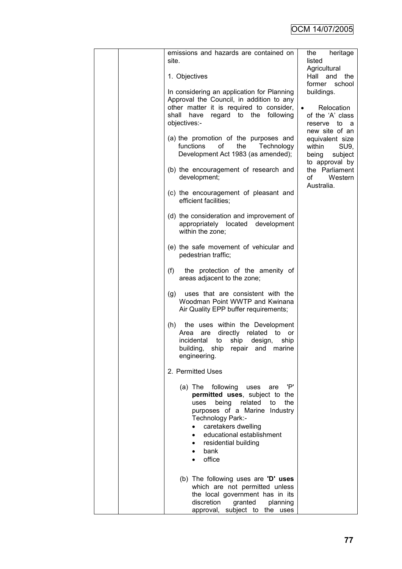| emissions and hazards are contained on                                                                                                                                                                                                                                                   | heritage<br>the                                                                               |
|------------------------------------------------------------------------------------------------------------------------------------------------------------------------------------------------------------------------------------------------------------------------------------------|-----------------------------------------------------------------------------------------------|
| site.                                                                                                                                                                                                                                                                                    | listed<br>Agricultural                                                                        |
| 1. Objectives                                                                                                                                                                                                                                                                            | Hall<br>and<br>the                                                                            |
| In considering an application for Planning<br>Approval the Council, in addition to any<br>other matter it is required to consider,<br>have regard to the following<br>shall<br>objectives:-                                                                                              | former school<br>buildings.<br>Relocation<br>$\bullet$<br>of the 'A' class<br>reserve<br>to a |
| (a) the promotion of the purposes and<br>οf<br>functions<br>the<br>Technology<br>Development Act 1983 (as amended);                                                                                                                                                                      | new site of an<br>equivalent size<br>within<br>SU9,<br>being<br>subject<br>to approval by     |
| (b) the encouragement of research and<br>development;                                                                                                                                                                                                                                    | the Parliament<br>of<br>Western<br>Australia.                                                 |
| (c) the encouragement of pleasant and<br>efficient facilities;                                                                                                                                                                                                                           |                                                                                               |
| (d) the consideration and improvement of<br>appropriately located development<br>within the zone;                                                                                                                                                                                        |                                                                                               |
| (e) the safe movement of vehicular and<br>pedestrian traffic;                                                                                                                                                                                                                            |                                                                                               |
| (f)<br>the protection of the amenity of<br>areas adjacent to the zone;                                                                                                                                                                                                                   |                                                                                               |
| uses that are consistent with the<br>(g)<br>Woodman Point WWTP and Kwinana<br>Air Quality EPP buffer requirements;                                                                                                                                                                       |                                                                                               |
| (h)<br>the uses within the Development<br>directly related<br>Area<br>are<br>to<br>or<br>incidental<br>ship<br>to<br>design,<br>ship<br>building,<br>ship<br>repair<br>marine<br>and<br>engineering.                                                                                     |                                                                                               |
| 2. Permitted Uses                                                                                                                                                                                                                                                                        |                                                                                               |
| 'P'<br>(a) The following<br>uses<br>are<br>permitted uses, subject to the<br>being<br>uses<br>related<br>the<br>to<br>purposes of a Marine Industry<br>Technology Park:-<br>caretakers dwelling<br>educational establishment<br>$\bullet$<br>residential building<br>٠<br>bank<br>office |                                                                                               |
| (b) The following uses are 'D' uses<br>which are not permitted unless<br>the local government has in its<br>discretion<br>granted<br>planning<br>approval, subject to the uses                                                                                                           |                                                                                               |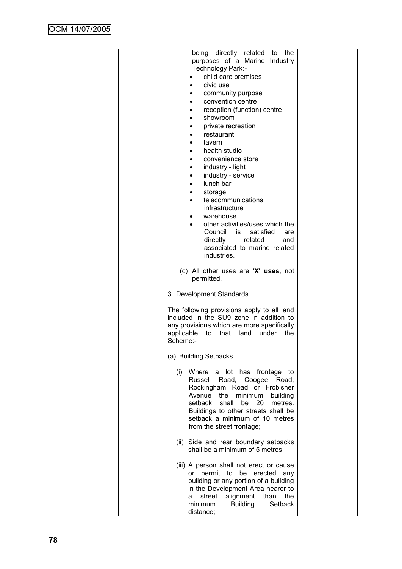| being directly related to<br>the<br>purposes of a Marine Industry<br>Technology Park:-<br>child care premises<br>civic use<br>community purpose<br>convention centre<br>reception (function) centre<br>showroom<br>٠<br>private recreation<br>٠<br>restaurant<br>tavern<br>health studio<br>convenience store<br>industry - light<br>$\bullet$<br>industry - service<br>$\bullet$<br>lunch bar<br>$\bullet$<br>storage<br>$\bullet$<br>telecommunications<br>$\bullet$<br>infrastructure<br>warehouse<br>other activities/uses which the<br>$\bullet$<br>Council is<br>satisfied<br>are<br>directly<br>related<br>and<br>associated to marine related<br>industries. |  |
|----------------------------------------------------------------------------------------------------------------------------------------------------------------------------------------------------------------------------------------------------------------------------------------------------------------------------------------------------------------------------------------------------------------------------------------------------------------------------------------------------------------------------------------------------------------------------------------------------------------------------------------------------------------------|--|
| (c) All other uses are 'X' uses, not<br>permitted.                                                                                                                                                                                                                                                                                                                                                                                                                                                                                                                                                                                                                   |  |
| 3. Development Standards                                                                                                                                                                                                                                                                                                                                                                                                                                                                                                                                                                                                                                             |  |
| The following provisions apply to all land<br>included in the SU9 zone in addition to<br>any provisions which are more specifically<br>applicable<br>that<br>to<br>land<br>under<br>the<br>Scheme:-                                                                                                                                                                                                                                                                                                                                                                                                                                                                  |  |
| (a) Building Setbacks                                                                                                                                                                                                                                                                                                                                                                                                                                                                                                                                                                                                                                                |  |
| Where a lot has frontage to<br>(i)<br>Russell Road, Coogee Road,<br>Rockingham Road or Frobisher<br>Avenue the<br>minimum<br>building<br>setback<br>shall<br>be<br>20<br>metres.<br>Buildings to other streets shall be<br>setback a minimum of 10 metres<br>from the street frontage;                                                                                                                                                                                                                                                                                                                                                                               |  |
| (ii) Side and rear boundary setbacks<br>shall be a minimum of 5 metres.                                                                                                                                                                                                                                                                                                                                                                                                                                                                                                                                                                                              |  |
| (iii) A person shall not erect or cause<br>permit to be erected any<br>or<br>building or any portion of a building<br>in the Development Area nearer to<br>alignment<br>than<br>street<br>the<br>a<br><b>Building</b><br>Setback<br>minimum<br>distance;                                                                                                                                                                                                                                                                                                                                                                                                             |  |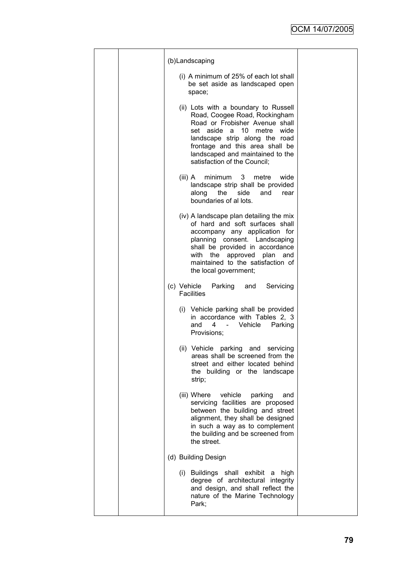|  | (b)Landscaping                                                                                                                                                                                                                                                                               |  |
|--|----------------------------------------------------------------------------------------------------------------------------------------------------------------------------------------------------------------------------------------------------------------------------------------------|--|
|  | (i) A minimum of 25% of each lot shall<br>be set aside as landscaped open<br>space;                                                                                                                                                                                                          |  |
|  | (ii) Lots with a boundary to Russell<br>Road, Coogee Road, Rockingham<br>Road or Frobisher Avenue shall<br>aside<br>10<br>metre<br>wide<br>set<br>a<br>landscape strip along the road<br>frontage and this area shall be<br>landscaped and maintained to the<br>satisfaction of the Council; |  |
|  | minimum<br>3<br>metre<br>wide<br>(iii) $A$<br>landscape strip shall be provided<br>side<br>the<br>and<br>along<br>rear<br>boundaries of al lots.                                                                                                                                             |  |
|  | (iv) A landscape plan detailing the mix<br>of hard and soft surfaces shall<br>accompany any application for<br>planning consent. Landscaping<br>shall be provided in accordance<br>with the approved plan and<br>maintained to the satisfaction of<br>the local government;                  |  |
|  | (c) Vehicle<br>Parking<br>Servicing<br>and<br><b>Facilities</b>                                                                                                                                                                                                                              |  |
|  | (i) Vehicle parking shall be provided<br>in accordance with Tables 2, 3<br>and<br>4<br>Vehicle<br>Parking<br>$\overline{\phantom{a}}$<br>Provisions;                                                                                                                                         |  |
|  | (ii) Vehicle<br>parking<br>and<br>servicing<br>areas shall be screened from the<br>street and either located behind<br>the building or the landscape<br>strip;                                                                                                                               |  |
|  | (iii) Where<br>vehicle<br>parking<br>and<br>servicing facilities are proposed<br>between the building and street<br>alignment, they shall be designed<br>in such a way as to complement<br>the building and be screened from<br>the street.                                                  |  |
|  | (d) Building Design                                                                                                                                                                                                                                                                          |  |
|  | (i) Buildings shall exhibit<br>high<br>a<br>degree of architectural integrity<br>and design, and shall reflect the<br>nature of the Marine Technology<br>Park;                                                                                                                               |  |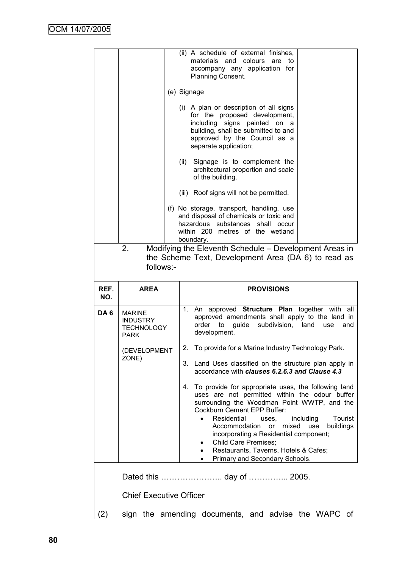|                 |                                                                                                                                  | (ii) A schedule of external finishes,<br>materials and colours<br>are<br>to<br>accompany any application for<br>Planning Consent.<br>(e) Signage<br>(i) A plan or description of all signs<br>for the proposed development,<br>including signs painted on a<br>building, shall be submitted to and<br>approved by the Council as a<br>separate application;<br>Signage is to complement the<br>(ii)<br>architectural proportion and scale<br>of the building.<br>(iii) Roof signs will not be permitted.<br>(f) No storage, transport, handling, use<br>and disposal of chemicals or toxic and<br>hazardous substances shall occur<br>within 200 metres of the wetland<br>boundary.                                                                                                                                                                     |  |  |  |
|-----------------|----------------------------------------------------------------------------------------------------------------------------------|---------------------------------------------------------------------------------------------------------------------------------------------------------------------------------------------------------------------------------------------------------------------------------------------------------------------------------------------------------------------------------------------------------------------------------------------------------------------------------------------------------------------------------------------------------------------------------------------------------------------------------------------------------------------------------------------------------------------------------------------------------------------------------------------------------------------------------------------------------|--|--|--|
|                 | Modifying the Eleventh Schedule - Development Areas in<br>2.<br>the Scheme Text, Development Area (DA 6) to read as<br>follows:- |                                                                                                                                                                                                                                                                                                                                                                                                                                                                                                                                                                                                                                                                                                                                                                                                                                                         |  |  |  |
| REF.<br>NO.     | <b>AREA</b>                                                                                                                      | <b>PROVISIONS</b>                                                                                                                                                                                                                                                                                                                                                                                                                                                                                                                                                                                                                                                                                                                                                                                                                                       |  |  |  |
|                 |                                                                                                                                  |                                                                                                                                                                                                                                                                                                                                                                                                                                                                                                                                                                                                                                                                                                                                                                                                                                                         |  |  |  |
| DA <sub>6</sub> | <b>MARINE</b><br><b>INDUSTRY</b><br><b>TECHNOLOGY</b><br><b>PARK</b><br>(DEVELOPMENT<br>ZONE)                                    | An approved Structure Plan together with all<br>1.<br>approved amendments shall apply to the land in<br>subdivision, land<br>order to<br>guide<br>use<br>and<br>development.<br>To provide for a Marine Industry Technology Park.<br>2.<br>3.<br>Land Uses classified on the structure plan apply in<br>accordance with clauses 6.2.6.3 and Clause 4.3<br>To provide for appropriate uses, the following land<br>4.<br>uses are not permitted within the odour buffer<br>surrounding the Woodman Point WWTP, and the<br>Cockburn Cement EPP Buffer:<br>Residential<br>Tourist<br>including<br>$\bullet$<br>uses.<br>Accommodation<br>mixed<br>buildings<br>or<br>use<br>incorporating a Residential component;<br><b>Child Care Premises;</b><br>٠<br>Restaurants, Taverns, Hotels & Cafes;<br>$\bullet$<br>Primary and Secondary Schools.<br>$\bullet$ |  |  |  |
|                 |                                                                                                                                  |                                                                                                                                                                                                                                                                                                                                                                                                                                                                                                                                                                                                                                                                                                                                                                                                                                                         |  |  |  |
|                 | <b>Chief Executive Officer</b>                                                                                                   |                                                                                                                                                                                                                                                                                                                                                                                                                                                                                                                                                                                                                                                                                                                                                                                                                                                         |  |  |  |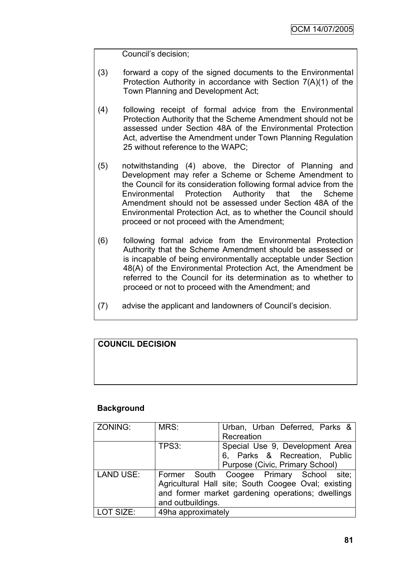Council"s decision;

- (3) forward a copy of the signed documents to the Environmental Protection Authority in accordance with Section 7(A)(1) of the Town Planning and Development Act;
- (4) following receipt of formal advice from the Environmental Protection Authority that the Scheme Amendment should not be assessed under Section 48A of the Environmental Protection Act, advertise the Amendment under Town Planning Regulation 25 without reference to the WAPC;
- (5) notwithstanding (4) above, the Director of Planning and Development may refer a Scheme or Scheme Amendment to the Council for its consideration following formal advice from the Environmental Protection Authority that the Scheme Amendment should not be assessed under Section 48A of the Environmental Protection Act, as to whether the Council should proceed or not proceed with the Amendment;
- (6) following formal advice from the Environmental Protection Authority that the Scheme Amendment should be assessed or is incapable of being environmentally acceptable under Section 48(A) of the Environmental Protection Act, the Amendment be referred to the Council for its determination as to whether to proceed or not to proceed with the Amendment; and
- (7) advise the applicant and landowners of Council"s decision.

# **COUNCIL DECISION**

#### **Background**

| ZONING:          | MRS:                                                | Urban, Urban Deferred, Parks &           |  |
|------------------|-----------------------------------------------------|------------------------------------------|--|
|                  |                                                     | Recreation                               |  |
|                  | TPS3:                                               | Special Use 9, Development Area          |  |
|                  |                                                     | 6, Parks & Recreation, Public            |  |
|                  |                                                     | Purpose (Civic, Primary School)          |  |
| <b>LAND USE:</b> |                                                     | Former South Coogee Primary School site; |  |
|                  | Agricultural Hall site; South Coogee Oval; existing |                                          |  |
|                  | and former market gardening operations; dwellings   |                                          |  |
|                  | and outbuildings.                                   |                                          |  |
| LOT SIZE:        | 49ha approximately                                  |                                          |  |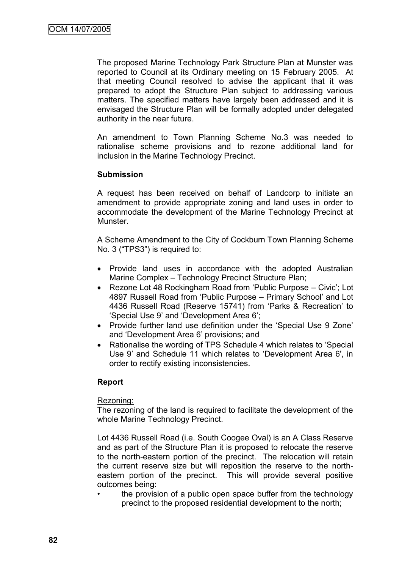The proposed Marine Technology Park Structure Plan at Munster was reported to Council at its Ordinary meeting on 15 February 2005. At that meeting Council resolved to advise the applicant that it was prepared to adopt the Structure Plan subject to addressing various matters. The specified matters have largely been addressed and it is envisaged the Structure Plan will be formally adopted under delegated authority in the near future.

An amendment to Town Planning Scheme No.3 was needed to rationalise scheme provisions and to rezone additional land for inclusion in the Marine Technology Precinct.

## **Submission**

A request has been received on behalf of Landcorp to initiate an amendment to provide appropriate zoning and land uses in order to accommodate the development of the Marine Technology Precinct at Munster.

A Scheme Amendment to the City of Cockburn Town Planning Scheme No. 3 ("TPS3") is required to:

- Provide land uses in accordance with the adopted Australian Marine Complex – Technology Precinct Structure Plan;
- Rezone Lot 48 Rockingham Road from 'Public Purpose Civic'; Lot 4897 Russell Road from "Public Purpose – Primary School" and Lot 4436 Russell Road (Reserve 15741) from "Parks & Recreation" to "Special Use 9" and "Development Area 6";
- Provide further land use definition under the 'Special Use 9 Zone' and "Development Area 6" provisions; and
- Rationalise the wording of TPS Schedule 4 which relates to 'Special Use 9" and Schedule 11 which relates to "Development Area 6', in order to rectify existing inconsistencies.

#### **Report**

#### Rezoning:

The rezoning of the land is required to facilitate the development of the whole Marine Technology Precinct.

Lot 4436 Russell Road (i.e. South Coogee Oval) is an A Class Reserve and as part of the Structure Plan it is proposed to relocate the reserve to the north-eastern portion of the precinct. The relocation will retain the current reserve size but will reposition the reserve to the northeastern portion of the precinct. This will provide several positive outcomes being:

the provision of a public open space buffer from the technology precinct to the proposed residential development to the north;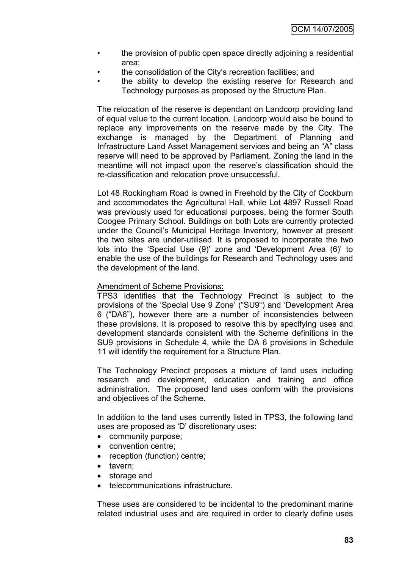- the provision of public open space directly adjoining a residential area;
- the consolidation of the City"s recreation facilities; and
- the ability to develop the existing reserve for Research and Technology purposes as proposed by the Structure Plan.

The relocation of the reserve is dependant on Landcorp providing land of equal value to the current location. Landcorp would also be bound to replace any improvements on the reserve made by the City. The exchange is managed by the Department of Planning and Infrastructure Land Asset Management services and being an "A" class reserve will need to be approved by Parliament. Zoning the land in the meantime will not impact upon the reserve"s classification should the re-classification and relocation prove unsuccessful.

Lot 48 Rockingham Road is owned in Freehold by the City of Cockburn and accommodates the Agricultural Hall, while Lot 4897 Russell Road was previously used for educational purposes, being the former South Coogee Primary School. Buildings on both Lots are currently protected under the Council"s Municipal Heritage Inventory, however at present the two sites are under-utilised. It is proposed to incorporate the two lots into the 'Special Use (9)' zone and 'Development Area (6)' to enable the use of the buildings for Research and Technology uses and the development of the land.

#### Amendment of Scheme Provisions:

TPS3 identifies that the Technology Precinct is subject to the provisions of the "Special Use 9 Zone" ("SU9") and "Development Area 6 ("DA6"), however there are a number of inconsistencies between these provisions. It is proposed to resolve this by specifying uses and development standards consistent with the Scheme definitions in the SU9 provisions in Schedule 4, while the DA 6 provisions in Schedule 11 will identify the requirement for a Structure Plan.

The Technology Precinct proposes a mixture of land uses including research and development, education and training and office administration. The proposed land uses conform with the provisions and objectives of the Scheme.

In addition to the land uses currently listed in TPS3, the following land uses are proposed as "D" discretionary uses:

- community purpose;
- convention centre;
- reception (function) centre;
- tavern;
- storage and
- telecommunications infrastructure.

These uses are considered to be incidental to the predominant marine related industrial uses and are required in order to clearly define uses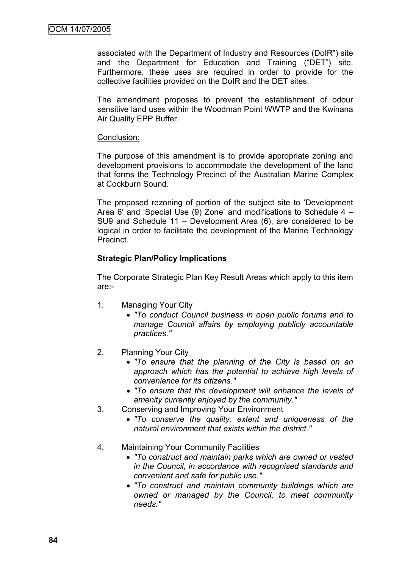associated with the Department of Industry and Resources (DoIR") site and the Department for Education and Training ("DET") site. Furthermore, these uses are required in order to provide for the collective facilities provided on the DoIR and the DET sites.

The amendment proposes to prevent the establishment of odour sensitive land uses within the Woodman Point WWTP and the Kwinana Air Quality EPP Buffer.

#### Conclusion:

The purpose of this amendment is to provide appropriate zoning and development provisions to accommodate the development of the land that forms the Technology Precinct of the Australian Marine Complex at Cockburn Sound.

The proposed rezoning of portion of the subject site to "Development Area 6" and "Special Use (9) Zone" and modifications to Schedule 4 – SU9 and Schedule 11 – Development Area (6), are considered to be logical in order to facilitate the development of the Marine Technology Precinct.

#### **Strategic Plan/Policy Implications**

The Corporate Strategic Plan Key Result Areas which apply to this item are:-

- 1. Managing Your City
	- *"To conduct Council business in open public forums and to manage Council affairs by employing publicly accountable practices."*
- 2. Planning Your City
	- *"To ensure that the planning of the City is based on an approach which has the potential to achieve high levels of convenience for its citizens."*
	- *"To ensure that the development will enhance the levels of amenity currently enjoyed by the community."*
- 3. Conserving and Improving Your Environment
	- *"To conserve the quality, extent and uniqueness of the natural environment that exists within the district."*
- 4. Maintaining Your Community Facilities
	- *"To construct and maintain parks which are owned or vested in the Council, in accordance with recognised standards and convenient and safe for public use."*
	- *"To construct and maintain community buildings which are owned or managed by the Council, to meet community needs."*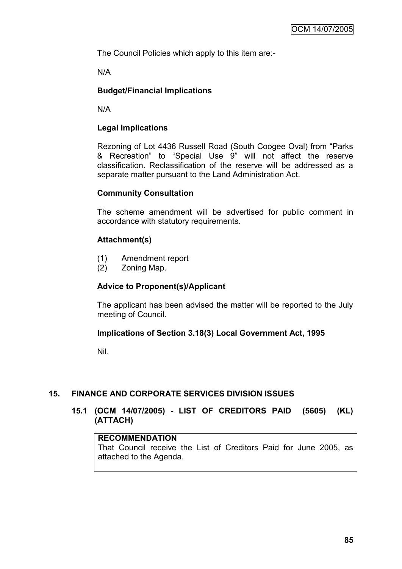The Council Policies which apply to this item are:-

N/A

# **Budget/Financial Implications**

N/A

## **Legal Implications**

Rezoning of Lot 4436 Russell Road (South Coogee Oval) from "Parks & Recreation" to "Special Use 9" will not affect the reserve classification. Reclassification of the reserve will be addressed as a separate matter pursuant to the Land Administration Act.

#### **Community Consultation**

The scheme amendment will be advertised for public comment in accordance with statutory requirements.

## **Attachment(s)**

- (1) Amendment report
- (2) Zoning Map.

#### **Advice to Proponent(s)/Applicant**

The applicant has been advised the matter will be reported to the July meeting of Council.

#### **Implications of Section 3.18(3) Local Government Act, 1995**

Nil.

#### **15. FINANCE AND CORPORATE SERVICES DIVISION ISSUES**

## **15.1 (OCM 14/07/2005) - LIST OF CREDITORS PAID (5605) (KL) (ATTACH)**

#### **RECOMMENDATION**

That Council receive the List of Creditors Paid for June 2005, as attached to the Agenda.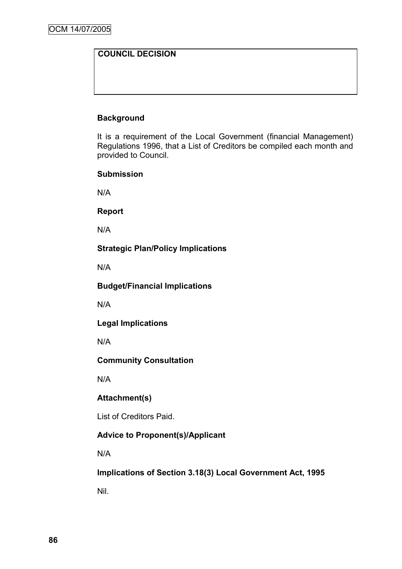# **COUNCIL DECISION**

# **Background**

It is a requirement of the Local Government (financial Management) Regulations 1996, that a List of Creditors be compiled each month and provided to Council.

#### **Submission**

N/A

**Report**

N/A

## **Strategic Plan/Policy Implications**

N/A

**Budget/Financial Implications**

N/A

**Legal Implications**

N/A

**Community Consultation**

N/A

# **Attachment(s)**

List of Creditors Paid.

# **Advice to Proponent(s)/Applicant**

N/A

**Implications of Section 3.18(3) Local Government Act, 1995**

Nil.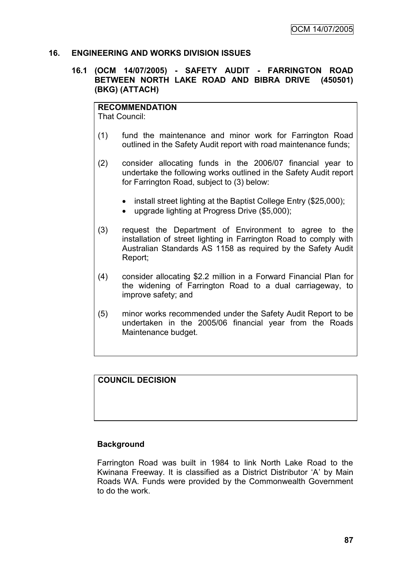#### **16. ENGINEERING AND WORKS DIVISION ISSUES**

#### **16.1 (OCM 14/07/2005) - SAFETY AUDIT - FARRINGTON ROAD BETWEEN NORTH LAKE ROAD AND BIBRA DRIVE (450501) (BKG) (ATTACH)**

**RECOMMENDATION**

That Council:

- (1) fund the maintenance and minor work for Farrington Road outlined in the Safety Audit report with road maintenance funds;
- (2) consider allocating funds in the 2006/07 financial year to undertake the following works outlined in the Safety Audit report for Farrington Road, subject to (3) below:
	- install street lighting at the Baptist College Entry (\$25,000);
	- upgrade lighting at Progress Drive (\$5,000);
- (3) request the Department of Environment to agree to the installation of street lighting in Farrington Road to comply with Australian Standards AS 1158 as required by the Safety Audit Report;
- (4) consider allocating \$2.2 million in a Forward Financial Plan for the widening of Farrington Road to a dual carriageway, to improve safety; and
- (5) minor works recommended under the Safety Audit Report to be undertaken in the 2005/06 financial year from the Roads Maintenance budget.

#### **COUNCIL DECISION**

#### **Background**

Farrington Road was built in 1984 to link North Lake Road to the Kwinana Freeway. It is classified as a District Distributor "A" by Main Roads WA. Funds were provided by the Commonwealth Government to do the work.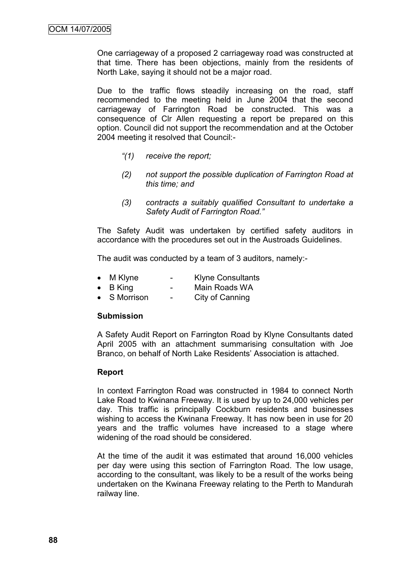One carriageway of a proposed 2 carriageway road was constructed at that time. There has been objections, mainly from the residents of North Lake, saying it should not be a major road.

Due to the traffic flows steadily increasing on the road, staff recommended to the meeting held in June 2004 that the second carriageway of Farrington Road be constructed. This was a consequence of Clr Allen requesting a report be prepared on this option. Council did not support the recommendation and at the October 2004 meeting it resolved that Council:-

- *"(1) receive the report;*
- *(2) not support the possible duplication of Farrington Road at this time; and*
- *(3) contracts a suitably qualified Consultant to undertake a Safety Audit of Farrington Road."*

The Safety Audit was undertaken by certified safety auditors in accordance with the procedures set out in the Austroads Guidelines.

The audit was conducted by a team of 3 auditors, namely:-

- M Klyne Klyne Consultants
- B King Main Roads WA
- S Morrison City of Canning

#### **Submission**

A Safety Audit Report on Farrington Road by Klyne Consultants dated April 2005 with an attachment summarising consultation with Joe Branco, on behalf of North Lake Residents" Association is attached.

#### **Report**

In context Farrington Road was constructed in 1984 to connect North Lake Road to Kwinana Freeway. It is used by up to 24,000 vehicles per day. This traffic is principally Cockburn residents and businesses wishing to access the Kwinana Freeway. It has now been in use for 20 years and the traffic volumes have increased to a stage where widening of the road should be considered.

At the time of the audit it was estimated that around 16,000 vehicles per day were using this section of Farrington Road. The low usage, according to the consultant, was likely to be a result of the works being undertaken on the Kwinana Freeway relating to the Perth to Mandurah railway line.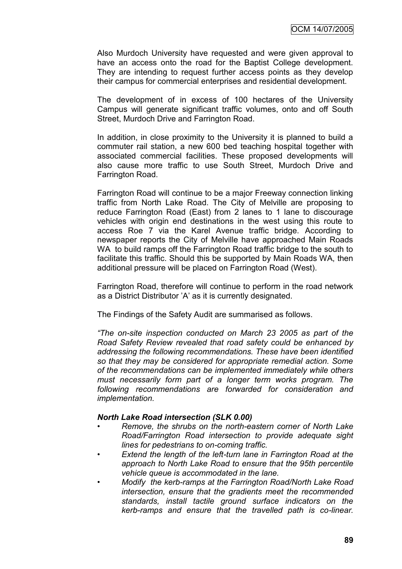Also Murdoch University have requested and were given approval to have an access onto the road for the Baptist College development. They are intending to request further access points as they develop their campus for commercial enterprises and residential development.

The development of in excess of 100 hectares of the University Campus will generate significant traffic volumes, onto and off South Street, Murdoch Drive and Farrington Road.

In addition, in close proximity to the University it is planned to build a commuter rail station, a new 600 bed teaching hospital together with associated commercial facilities. These proposed developments will also cause more traffic to use South Street, Murdoch Drive and Farrington Road.

Farrington Road will continue to be a major Freeway connection linking traffic from North Lake Road. The City of Melville are proposing to reduce Farrington Road (East) from 2 lanes to 1 lane to discourage vehicles with origin end destinations in the west using this route to access Roe 7 via the Karel Avenue traffic bridge. According to newspaper reports the City of Melville have approached Main Roads WA to build ramps off the Farrington Road traffic bridge to the south to facilitate this traffic. Should this be supported by Main Roads WA, then additional pressure will be placed on Farrington Road (West).

Farrington Road, therefore will continue to perform in the road network as a District Distributor 'A' as it is currently designated.

The Findings of the Safety Audit are summarised as follows.

*"The on-site inspection conducted on March 23 2005 as part of the Road Safety Review revealed that road safety could be enhanced by addressing the following recommendations. These have been identified so that they may be considered for appropriate remedial action. Some of the recommendations can be implemented immediately while others must necessarily form part of a longer term works program. The following recommendations are forwarded for consideration and implementation.* 

#### *North Lake Road intersection (SLK 0.00)*

- *Remove, the shrubs on the north-eastern corner of North Lake Road/Farrington Road intersection to provide adequate sight lines for pedestrians to on-coming traffic.*
- *• Extend the length of the left-turn lane in Farrington Road at the approach to North Lake Road to ensure that the 95th percentile vehicle queue is accommodated in the lane.*
- *Modify the kerb-ramps at the Farrington Road/North Lake Road intersection, ensure that the gradients meet the recommended standards, install tactile ground surface indicators on the kerb-ramps and ensure that the travelled path is co-linear.*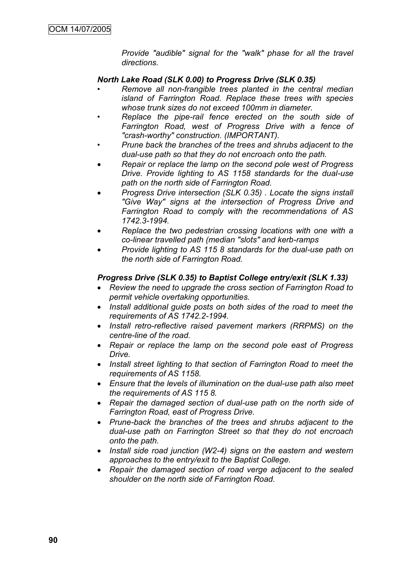*Provide "audible" signal for the "walk" phase for all the travel directions.*

#### *North Lake Road (SLK 0.00) to Progress Drive (SLK 0.35)*

- *Remove all non-frangible trees planted in the central median island of Farrington Road. Replace these trees with species whose trunk sizes do not exceed 100mm in diameter.*
- *• Replace the pipe-rail fence erected on the south side of Farrington Road, west of Progress Drive with a fence of "crash-worthy" construction. (IMPORTANT).*
- *• Prune back the branches of the trees and shrubs adjacent to the dual-use path so that they do not encroach onto the path.*
- *Repair or replace the lamp on the second pole west of Progress Drive. Provide lighting to AS 1158 standards for the dual-use path on the north side of Farrington Road.*
- *Progress Drive intersection (SLK 0.35) . Locate the signs install "Give Way" signs at the intersection of Progress Drive and Farrington Road to comply with the recommendations of AS 1742.3-1994.*
- *Replace the two pedestrian crossing locations with one with a co-linear travelled path (median "slots" and kerb-ramps*
- *Provide lighting to AS 115 8 standards for the dual-use path on the north side of Farrington Road.*

#### *Progress Drive (SLK 0.35) to Baptist College entry/exit (SLK 1.33)*

- *Review the need to upgrade the cross section of Farrington Road to permit vehicle overtaking opportunities.*
- *Install additional guide posts on both sides of the road to meet the requirements of AS 1742.2-1994.*
- *Install retro-reflective raised pavement markers (RRPMS) on the centre-line of the road.*
- *Repair or replace the lamp on the second pole east of Progress Drive.*
- *Install street lighting to that section of Farrington Road to meet the requirements of AS 1158.*
- *Ensure that the levels of illumination on the dual-use path also meet the requirements of AS 115 8.*
- *Repair the damaged section of dual-use path on the north side of Farrington Road, east of Progress Drive.*
- *Prune-back the branches of the trees and shrubs adjacent to the dual-use path on Farrington Street so that they do not encroach onto the path.*
- *Install side road junction (W2-4) signs on the eastern and western approaches to the entry/exit to the Baptist College.*
- *Repair the damaged section of road verge adjacent to the sealed shoulder on the north side of Farrington Road.*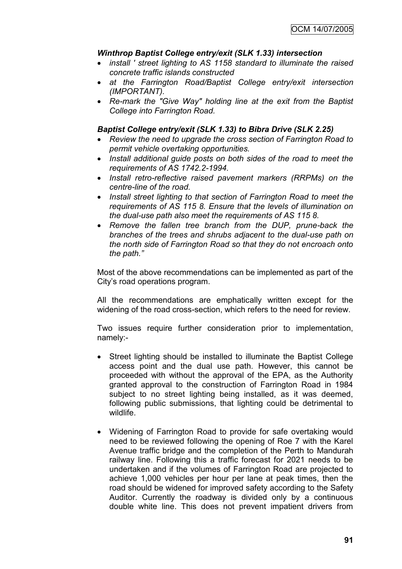## *Winthrop Baptist College entry/exit (SLK 1.33) intersection*

- *install ' street lighting to AS 1158 standard to illuminate the raised concrete traffic islands constructed*
- *at the Farrington Road/Baptist College entry/exit intersection (IMPORTANT).*
- *Re-mark the "Give Way" holding line at the exit from the Baptist College into Farrington Road.*

#### *Baptist College entry/exit (SLK 1.33) to Bibra Drive (SLK 2.25)*

- *Review the need to upgrade the cross section of Farrington Road to permit vehicle overtaking opportunities.*
- *Install additional guide posts on both sides of the road to meet the requirements of AS 1742.2-1994.*
- *Install retro-reflective raised pavement markers (RRPMs) on the centre-line of the road.*
- *Install street lighting to that section of Farrington Road to meet the requirements of AS 115 8. Ensure that the levels of illumination on the dual-use path also meet the requirements of AS 115 8.*
- *Remove the fallen tree branch from the DUP, prune-back the branches of the trees and shrubs adjacent to the dual-use path on the north side of Farrington Road so that they do not encroach onto the path."*

Most of the above recommendations can be implemented as part of the City"s road operations program.

All the recommendations are emphatically written except for the widening of the road cross-section, which refers to the need for review.

Two issues require further consideration prior to implementation, namely:-

- Street lighting should be installed to illuminate the Baptist College access point and the dual use path. However, this cannot be proceeded with without the approval of the EPA, as the Authority granted approval to the construction of Farrington Road in 1984 subject to no street lighting being installed, as it was deemed, following public submissions, that lighting could be detrimental to wildlife.
- Widening of Farrington Road to provide for safe overtaking would need to be reviewed following the opening of Roe 7 with the Karel Avenue traffic bridge and the completion of the Perth to Mandurah railway line. Following this a traffic forecast for 2021 needs to be undertaken and if the volumes of Farrington Road are projected to achieve 1,000 vehicles per hour per lane at peak times, then the road should be widened for improved safety according to the Safety Auditor. Currently the roadway is divided only by a continuous double white line. This does not prevent impatient drivers from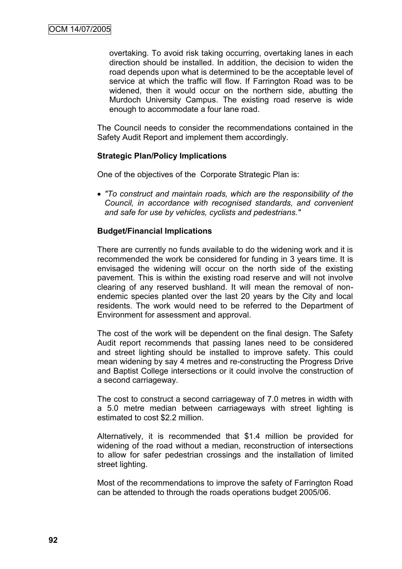overtaking. To avoid risk taking occurring, overtaking lanes in each direction should be installed. In addition, the decision to widen the road depends upon what is determined to be the acceptable level of service at which the traffic will flow. If Farrington Road was to be widened, then it would occur on the northern side, abutting the Murdoch University Campus. The existing road reserve is wide enough to accommodate a four lane road.

The Council needs to consider the recommendations contained in the Safety Audit Report and implement them accordingly.

#### **Strategic Plan/Policy Implications**

One of the objectives of the Corporate Strategic Plan is:

 *"To construct and maintain roads, which are the responsibility of the Council, in accordance with recognised standards, and convenient and safe for use by vehicles, cyclists and pedestrians."*

#### **Budget/Financial Implications**

There are currently no funds available to do the widening work and it is recommended the work be considered for funding in 3 years time. It is envisaged the widening will occur on the north side of the existing pavement. This is within the existing road reserve and will not involve clearing of any reserved bushland. It will mean the removal of nonendemic species planted over the last 20 years by the City and local residents. The work would need to be referred to the Department of Environment for assessment and approval.

The cost of the work will be dependent on the final design. The Safety Audit report recommends that passing lanes need to be considered and street lighting should be installed to improve safety. This could mean widening by say 4 metres and re-constructing the Progress Drive and Baptist College intersections or it could involve the construction of a second carriageway.

The cost to construct a second carriageway of 7.0 metres in width with a 5.0 metre median between carriageways with street lighting is estimated to cost \$2.2 million.

Alternatively, it is recommended that \$1.4 million be provided for widening of the road without a median, reconstruction of intersections to allow for safer pedestrian crossings and the installation of limited street lighting.

Most of the recommendations to improve the safety of Farrington Road can be attended to through the roads operations budget 2005/06.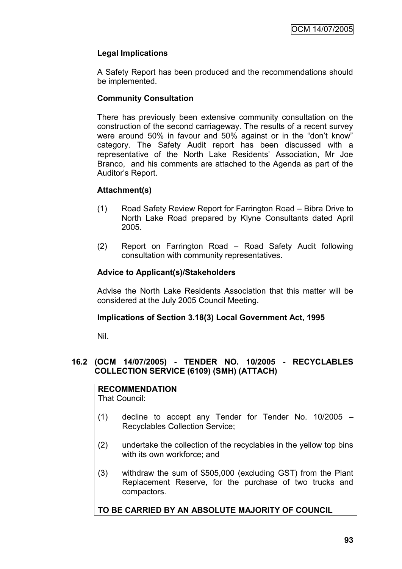# **Legal Implications**

A Safety Report has been produced and the recommendations should be implemented.

# **Community Consultation**

There has previously been extensive community consultation on the construction of the second carriageway. The results of a recent survey were around 50% in favour and 50% against or in the "don't know" category. The Safety Audit report has been discussed with a representative of the North Lake Residents" Association, Mr Joe Branco, and his comments are attached to the Agenda as part of the Auditor"s Report.

## **Attachment(s)**

- (1) Road Safety Review Report for Farrington Road Bibra Drive to North Lake Road prepared by Klyne Consultants dated April 2005.
- (2) Report on Farrington Road Road Safety Audit following consultation with community representatives.

## **Advice to Applicant(s)/Stakeholders**

Advise the North Lake Residents Association that this matter will be considered at the July 2005 Council Meeting.

#### **Implications of Section 3.18(3) Local Government Act, 1995**

Nil.

## **16.2 (OCM 14/07/2005) - TENDER NO. 10/2005 - RECYCLABLES COLLECTION SERVICE (6109) (SMH) (ATTACH)**

# **RECOMMENDATION**

That Council:

- (1) decline to accept any Tender for Tender No. 10/2005 Recyclables Collection Service;
- (2) undertake the collection of the recyclables in the yellow top bins with its own workforce; and
- (3) withdraw the sum of \$505,000 (excluding GST) from the Plant Replacement Reserve, for the purchase of two trucks and compactors.

# **TO BE CARRIED BY AN ABSOLUTE MAJORITY OF COUNCIL**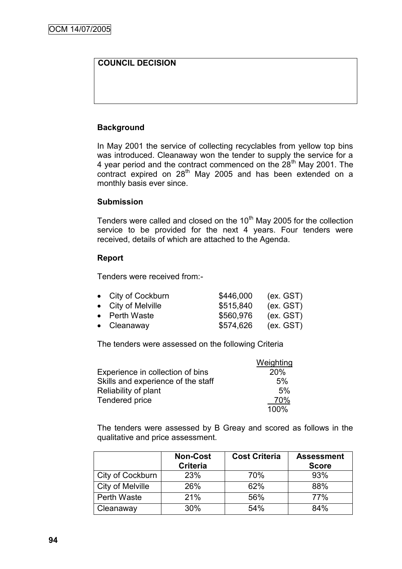# **COUNCIL DECISION**

## **Background**

In May 2001 the service of collecting recyclables from yellow top bins was introduced. Cleanaway won the tender to supply the service for a 4 year period and the contract commenced on the 28<sup>th</sup> May 2001. The contract expired on  $28<sup>th</sup>$  May 2005 and has been extended on a monthly basis ever since.

#### **Submission**

Tenders were called and closed on the  $10<sup>th</sup>$  May 2005 for the collection service to be provided for the next 4 years. Four tenders were received, details of which are attached to the Agenda.

#### **Report**

Tenders were received from:-

| • City of Cockburn  | \$446,000 | (ex. GST) |
|---------------------|-----------|-----------|
| • City of Melville  | \$515,840 | (ex. GST) |
| • Perth Waste       | \$560,976 | (ex. GST) |
| $\bullet$ Cleanaway | \$574,626 | (ex. GST) |

The tenders were assessed on the following Criteria

|                                    | Weighting |
|------------------------------------|-----------|
| Experience in collection of bins   | 20%       |
| Skills and experience of the staff | 5%        |
| Reliability of plant               | 5%        |
| Tendered price                     | 70%       |
|                                    | 100%      |

The tenders were assessed by B Greay and scored as follows in the qualitative and price assessment.

|                  | <b>Non-Cost</b><br><b>Criteria</b> | <b>Cost Criteria</b> | <b>Assessment</b><br><b>Score</b> |
|------------------|------------------------------------|----------------------|-----------------------------------|
| City of Cockburn | 23%                                | 70%                  | 93%                               |
| City of Melville | 26%                                | 62%                  | 88%                               |
| Perth Waste      | 21%                                | 56%                  | 77%                               |
| Cleanaway        | 30%                                | 54%                  | 84%                               |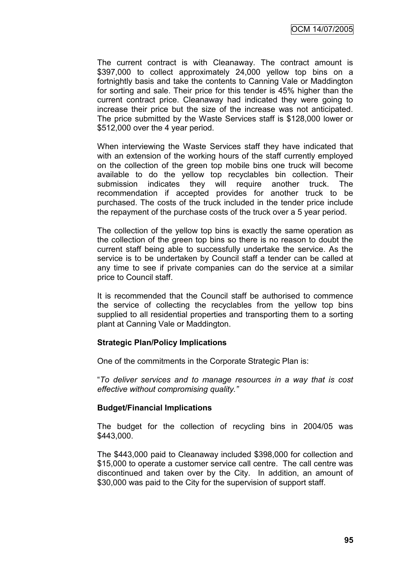OCM 14/07/2005

The current contract is with Cleanaway. The contract amount is \$397,000 to collect approximately 24,000 yellow top bins on a fortnightly basis and take the contents to Canning Vale or Maddington for sorting and sale. Their price for this tender is 45% higher than the current contract price. Cleanaway had indicated they were going to increase their price but the size of the increase was not anticipated. The price submitted by the Waste Services staff is \$128,000 lower or \$512,000 over the 4 year period.

When interviewing the Waste Services staff they have indicated that with an extension of the working hours of the staff currently employed on the collection of the green top mobile bins one truck will become available to do the yellow top recyclables bin collection. Their submission indicates they will require another truck. The recommendation if accepted provides for another truck to be purchased. The costs of the truck included in the tender price include the repayment of the purchase costs of the truck over a 5 year period.

The collection of the yellow top bins is exactly the same operation as the collection of the green top bins so there is no reason to doubt the current staff being able to successfully undertake the service. As the service is to be undertaken by Council staff a tender can be called at any time to see if private companies can do the service at a similar price to Council staff.

It is recommended that the Council staff be authorised to commence the service of collecting the recyclables from the yellow top bins supplied to all residential properties and transporting them to a sorting plant at Canning Vale or Maddington.

#### **Strategic Plan/Policy Implications**

One of the commitments in the Corporate Strategic Plan is:

"*To deliver services and to manage resources in a way that is cost effective without compromising quality."*

#### **Budget/Financial Implications**

The budget for the collection of recycling bins in 2004/05 was \$443,000.

The \$443,000 paid to Cleanaway included \$398,000 for collection and \$15,000 to operate a customer service call centre. The call centre was discontinued and taken over by the City. In addition, an amount of \$30,000 was paid to the City for the supervision of support staff.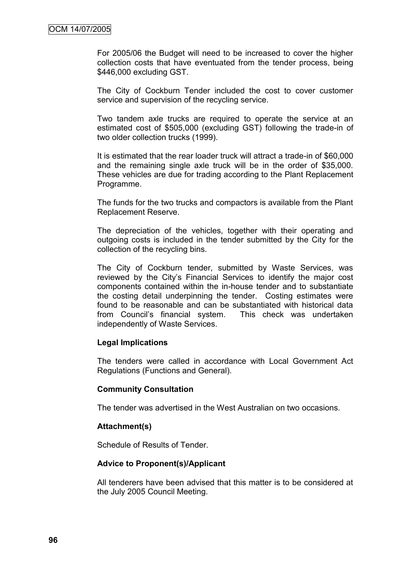For 2005/06 the Budget will need to be increased to cover the higher collection costs that have eventuated from the tender process, being \$446,000 excluding GST.

The City of Cockburn Tender included the cost to cover customer service and supervision of the recycling service.

Two tandem axle trucks are required to operate the service at an estimated cost of \$505,000 (excluding GST) following the trade-in of two older collection trucks (1999).

It is estimated that the rear loader truck will attract a trade-in of \$60,000 and the remaining single axle truck will be in the order of \$35,000. These vehicles are due for trading according to the Plant Replacement Programme.

The funds for the two trucks and compactors is available from the Plant Replacement Reserve.

The depreciation of the vehicles, together with their operating and outgoing costs is included in the tender submitted by the City for the collection of the recycling bins.

The City of Cockburn tender, submitted by Waste Services, was reviewed by the City"s Financial Services to identify the major cost components contained within the in-house tender and to substantiate the costing detail underpinning the tender. Costing estimates were found to be reasonable and can be substantiated with historical data from Council"s financial system. This check was undertaken independently of Waste Services.

#### **Legal Implications**

The tenders were called in accordance with Local Government Act Regulations (Functions and General).

#### **Community Consultation**

The tender was advertised in the West Australian on two occasions.

#### **Attachment(s)**

Schedule of Results of Tender.

#### **Advice to Proponent(s)/Applicant**

All tenderers have been advised that this matter is to be considered at the July 2005 Council Meeting.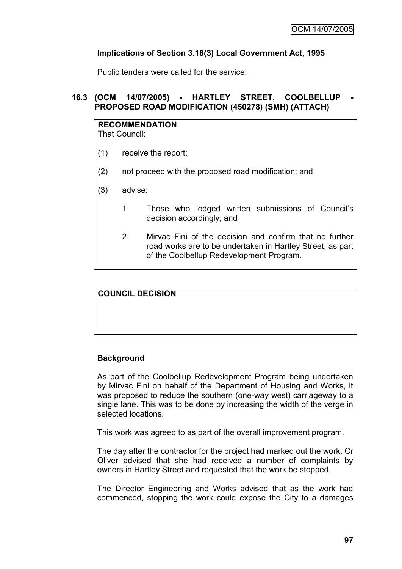## **Implications of Section 3.18(3) Local Government Act, 1995**

Public tenders were called for the service.

# **16.3 (OCM 14/07/2005) - HARTLEY STREET, COOLBELLUP - PROPOSED ROAD MODIFICATION (450278) (SMH) (ATTACH)**

# **RECOMMENDATION**

That Council:

- (1) receive the report;
- (2) not proceed with the proposed road modification; and
- (3) advise:
	- 1. Those who lodged written submissions of Council"s decision accordingly; and
	- 2. Mirvac Fini of the decision and confirm that no further road works are to be undertaken in Hartley Street, as part of the Coolbellup Redevelopment Program.

#### **COUNCIL DECISION**

# **Background**

As part of the Coolbellup Redevelopment Program being undertaken by Mirvac Fini on behalf of the Department of Housing and Works, it was proposed to reduce the southern (one-way west) carriageway to a single lane. This was to be done by increasing the width of the verge in selected locations.

This work was agreed to as part of the overall improvement program.

The day after the contractor for the project had marked out the work, Cr Oliver advised that she had received a number of complaints by owners in Hartley Street and requested that the work be stopped.

The Director Engineering and Works advised that as the work had commenced, stopping the work could expose the City to a damages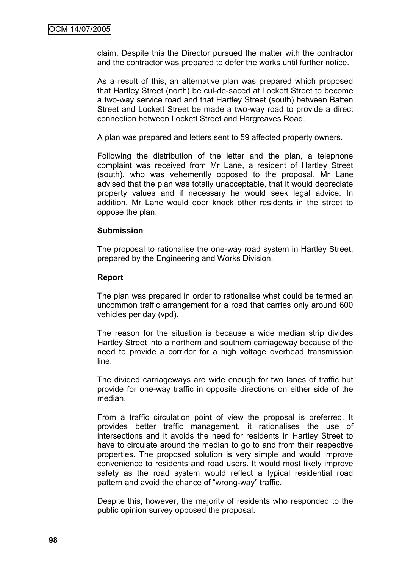claim. Despite this the Director pursued the matter with the contractor and the contractor was prepared to defer the works until further notice.

As a result of this, an alternative plan was prepared which proposed that Hartley Street (north) be cul-de-saced at Lockett Street to become a two-way service road and that Hartley Street (south) between Batten Street and Lockett Street be made a two-way road to provide a direct connection between Lockett Street and Hargreaves Road.

A plan was prepared and letters sent to 59 affected property owners.

Following the distribution of the letter and the plan, a telephone complaint was received from Mr Lane, a resident of Hartley Street (south), who was vehemently opposed to the proposal. Mr Lane advised that the plan was totally unacceptable, that it would depreciate property values and if necessary he would seek legal advice. In addition, Mr Lane would door knock other residents in the street to oppose the plan.

#### **Submission**

The proposal to rationalise the one-way road system in Hartley Street, prepared by the Engineering and Works Division.

#### **Report**

The plan was prepared in order to rationalise what could be termed an uncommon traffic arrangement for a road that carries only around 600 vehicles per day (vpd).

The reason for the situation is because a wide median strip divides Hartley Street into a northern and southern carriageway because of the need to provide a corridor for a high voltage overhead transmission line.

The divided carriageways are wide enough for two lanes of traffic but provide for one-way traffic in opposite directions on either side of the median.

From a traffic circulation point of view the proposal is preferred. It provides better traffic management, it rationalises the use of intersections and it avoids the need for residents in Hartley Street to have to circulate around the median to go to and from their respective properties. The proposed solution is very simple and would improve convenience to residents and road users. It would most likely improve safety as the road system would reflect a typical residential road pattern and avoid the chance of "wrong-way" traffic.

Despite this, however, the majority of residents who responded to the public opinion survey opposed the proposal.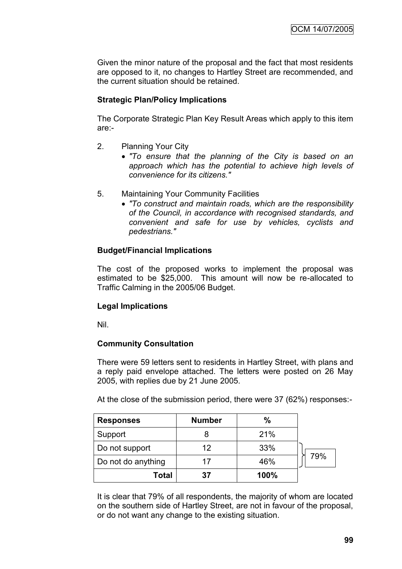Given the minor nature of the proposal and the fact that most residents are opposed to it, no changes to Hartley Street are recommended, and the current situation should be retained.

# **Strategic Plan/Policy Implications**

The Corporate Strategic Plan Key Result Areas which apply to this item are:-

- 2. Planning Your City
	- *"To ensure that the planning of the City is based on an approach which has the potential to achieve high levels of convenience for its citizens."*
- 5. Maintaining Your Community Facilities
	- *"To construct and maintain roads, which are the responsibility of the Council, in accordance with recognised standards, and convenient and safe for use by vehicles, cyclists and pedestrians."*

## **Budget/Financial Implications**

The cost of the proposed works to implement the proposal was estimated to be \$25,000. This amount will now be re-allocated to Traffic Calming in the 2005/06 Budget.

# **Legal Implications**

Nil.

# **Community Consultation**

There were 59 letters sent to residents in Hartley Street, with plans and a reply paid envelope attached. The letters were posted on 26 May 2005, with replies due by 21 June 2005.

At the close of the submission period, there were 37 (62%) responses:-

| <b>Responses</b>   | <b>Number</b> | %    |     |
|--------------------|---------------|------|-----|
| Support            |               | 21%  |     |
| Do not support     | 12            | 33%  |     |
| Do not do anything | 17            | 46%  | 79% |
| Total              | 37            | 100% |     |

It is clear that 79% of all respondents, the majority of whom are located on the southern side of Hartley Street, are not in favour of the proposal, or do not want any change to the existing situation.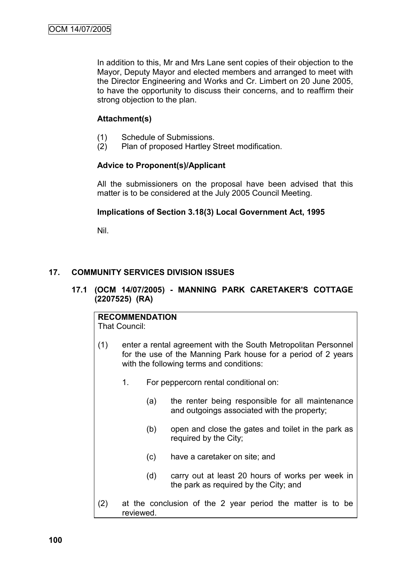In addition to this, Mr and Mrs Lane sent copies of their objection to the Mayor, Deputy Mayor and elected members and arranged to meet with the Director Engineering and Works and Cr. Limbert on 20 June 2005, to have the opportunity to discuss their concerns, and to reaffirm their strong objection to the plan.

# **Attachment(s)**

- (1) Schedule of Submissions.
- (2) Plan of proposed Hartley Street modification.

## **Advice to Proponent(s)/Applicant**

All the submissioners on the proposal have been advised that this matter is to be considered at the July 2005 Council Meeting.

## **Implications of Section 3.18(3) Local Government Act, 1995**

Nil.

## **17. COMMUNITY SERVICES DIVISION ISSUES**

## **17.1 (OCM 14/07/2005) - MANNING PARK CARETAKER'S COTTAGE (2207525) (RA)**

# **RECOMMENDATION**

That Council:

- (1) enter a rental agreement with the South Metropolitan Personnel for the use of the Manning Park house for a period of 2 years with the following terms and conditions:
	- 1. For peppercorn rental conditional on:
		- (a) the renter being responsible for all maintenance and outgoings associated with the property:
		- (b) open and close the gates and toilet in the park as required by the City;
		- (c) have a caretaker on site; and
		- (d) carry out at least 20 hours of works per week in the park as required by the City; and
- (2) at the conclusion of the 2 year period the matter is to be reviewed.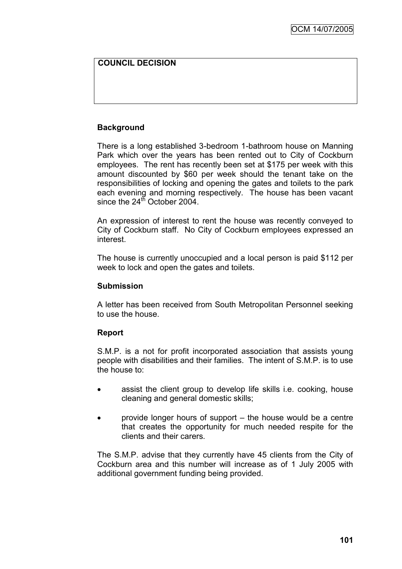# **COUNCIL DECISION**

# **Background**

There is a long established 3-bedroom 1-bathroom house on Manning Park which over the years has been rented out to City of Cockburn employees. The rent has recently been set at \$175 per week with this amount discounted by \$60 per week should the tenant take on the responsibilities of locking and opening the gates and toilets to the park each evening and morning respectively. The house has been vacant since the  $24<sup>th</sup>$  October 2004.

An expression of interest to rent the house was recently conveyed to City of Cockburn staff. No City of Cockburn employees expressed an interest.

The house is currently unoccupied and a local person is paid \$112 per week to lock and open the gates and toilets.

#### **Submission**

A letter has been received from South Metropolitan Personnel seeking to use the house.

#### **Report**

S.M.P. is a not for profit incorporated association that assists young people with disabilities and their families. The intent of S.M.P. is to use the house to:

- assist the client group to develop life skills i.e. cooking, house cleaning and general domestic skills;
- provide longer hours of support the house would be a centre that creates the opportunity for much needed respite for the clients and their carers.

The S.M.P. advise that they currently have 45 clients from the City of Cockburn area and this number will increase as of 1 July 2005 with additional government funding being provided.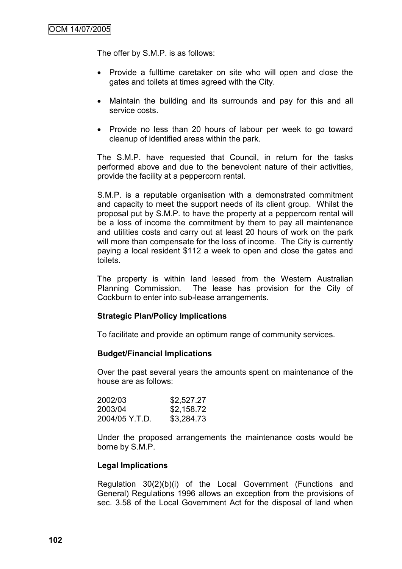The offer by S.M.P. is as follows:

- Provide a fulltime caretaker on site who will open and close the gates and toilets at times agreed with the City.
- Maintain the building and its surrounds and pay for this and all service costs.
- Provide no less than 20 hours of labour per week to go toward cleanup of identified areas within the park.

The S.M.P. have requested that Council, in return for the tasks performed above and due to the benevolent nature of their activities, provide the facility at a peppercorn rental.

S.M.P. is a reputable organisation with a demonstrated commitment and capacity to meet the support needs of its client group. Whilst the proposal put by S.M.P. to have the property at a peppercorn rental will be a loss of income the commitment by them to pay all maintenance and utilities costs and carry out at least 20 hours of work on the park will more than compensate for the loss of income. The City is currently paying a local resident \$112 a week to open and close the gates and toilets.

The property is within land leased from the Western Australian Planning Commission. The lease has provision for the City of Cockburn to enter into sub-lease arrangements.

#### **Strategic Plan/Policy Implications**

To facilitate and provide an optimum range of community services.

#### **Budget/Financial Implications**

Over the past several years the amounts spent on maintenance of the house are as follows:

| 2002/03        | \$2,527.27 |
|----------------|------------|
| 2003/04        | \$2,158.72 |
| 2004/05 Y.T.D. | \$3,284.73 |

Under the proposed arrangements the maintenance costs would be borne by S.M.P.

#### **Legal Implications**

Regulation 30(2)(b)(i) of the Local Government (Functions and General) Regulations 1996 allows an exception from the provisions of sec. 3.58 of the Local Government Act for the disposal of land when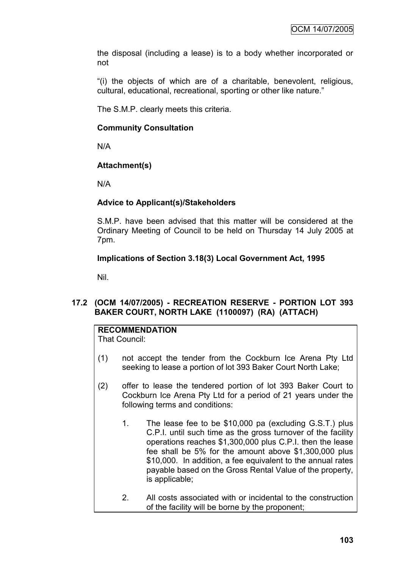the disposal (including a lease) is to a body whether incorporated or not

"(i) the objects of which are of a charitable, benevolent, religious, cultural, educational, recreational, sporting or other like nature."

The S.M.P. clearly meets this criteria.

# **Community Consultation**

N/A

# **Attachment(s)**

N/A

# **Advice to Applicant(s)/Stakeholders**

S.M.P. have been advised that this matter will be considered at the Ordinary Meeting of Council to be held on Thursday 14 July 2005 at 7pm.

# **Implications of Section 3.18(3) Local Government Act, 1995**

Nil.

# **17.2 (OCM 14/07/2005) - RECREATION RESERVE - PORTION LOT 393 BAKER COURT, NORTH LAKE (1100097) (RA) (ATTACH)**

# **RECOMMENDATION**

That Council:

- (1) not accept the tender from the Cockburn Ice Arena Pty Ltd seeking to lease a portion of lot 393 Baker Court North Lake;
- (2) offer to lease the tendered portion of lot 393 Baker Court to Cockburn Ice Arena Pty Ltd for a period of 21 years under the following terms and conditions:
	- 1. The lease fee to be \$10,000 pa (excluding G.S.T.) plus C.P.I. until such time as the gross turnover of the facility operations reaches \$1,300,000 plus C.P.I. then the lease fee shall be 5% for the amount above \$1,300,000 plus \$10,000. In addition, a fee equivalent to the annual rates payable based on the Gross Rental Value of the property, is applicable;
	- 2. All costs associated with or incidental to the construction of the facility will be borne by the proponent;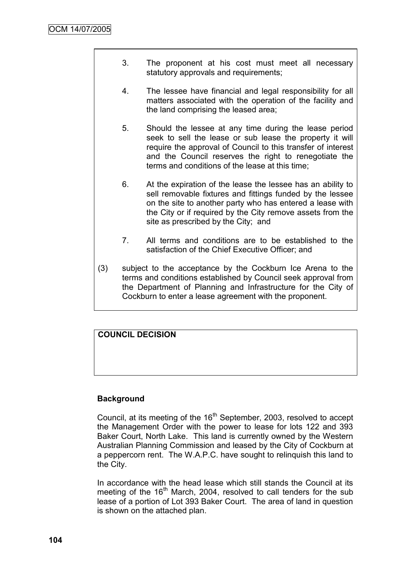- 3. The proponent at his cost must meet all necessary statutory approvals and requirements;
- 4. The lessee have financial and legal responsibility for all matters associated with the operation of the facility and the land comprising the leased area;
- 5. Should the lessee at any time during the lease period seek to sell the lease or sub lease the property it will require the approval of Council to this transfer of interest and the Council reserves the right to renegotiate the terms and conditions of the lease at this time;
- 6. At the expiration of the lease the lessee has an ability to sell removable fixtures and fittings funded by the lessee on the site to another party who has entered a lease with the City or if required by the City remove assets from the site as prescribed by the City; and
- 7. All terms and conditions are to be established to the satisfaction of the Chief Executive Officer; and
- (3) subject to the acceptance by the Cockburn Ice Arena to the terms and conditions established by Council seek approval from the Department of Planning and Infrastructure for the City of Cockburn to enter a lease agreement with the proponent.

# **COUNCIL DECISION**

# **Background**

Council, at its meeting of the 16<sup>th</sup> September, 2003, resolved to accept the Management Order with the power to lease for lots 122 and 393 Baker Court, North Lake. This land is currently owned by the Western Australian Planning Commission and leased by the City of Cockburn at a peppercorn rent. The W.A.P.C. have sought to relinquish this land to the City.

In accordance with the head lease which still stands the Council at its meeting of the 16<sup>th</sup> March, 2004, resolved to call tenders for the sub lease of a portion of Lot 393 Baker Court. The area of land in question is shown on the attached plan.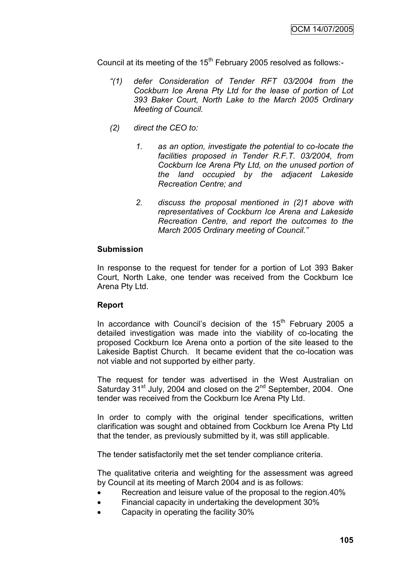Council at its meeting of the  $15<sup>th</sup>$  February 2005 resolved as follows:-

- *"(1) defer Consideration of Tender RFT 03/2004 from the Cockburn Ice Arena Pty Ltd for the lease of portion of Lot 393 Baker Court, North Lake to the March 2005 Ordinary Meeting of Council.*
- *(2) direct the CEO to:*
	- *1. as an option, investigate the potential to co-locate the facilities proposed in Tender R.F.T. 03/2004, from Cockburn Ice Arena Pty Ltd, on the unused portion of the land occupied by the adjacent Lakeside Recreation Centre; and*
	- *2. discuss the proposal mentioned in (2)1 above with representatives of Cockburn Ice Arena and Lakeside Recreation Centre, and report the outcomes to the March 2005 Ordinary meeting of Council."*

#### **Submission**

In response to the request for tender for a portion of Lot 393 Baker Court, North Lake, one tender was received from the Cockburn Ice Arena Pty Ltd.

#### **Report**

In accordance with Council's decision of the  $15<sup>th</sup>$  February 2005 a detailed investigation was made into the viability of co-locating the proposed Cockburn Ice Arena onto a portion of the site leased to the Lakeside Baptist Church. It became evident that the co-location was not viable and not supported by either party.

The request for tender was advertised in the West Australian on Saturday  $31<sup>st</sup>$  July, 2004 and closed on the  $2<sup>nd</sup>$  September, 2004. One tender was received from the Cockburn Ice Arena Pty Ltd.

In order to comply with the original tender specifications, written clarification was sought and obtained from Cockburn Ice Arena Pty Ltd that the tender, as previously submitted by it, was still applicable.

The tender satisfactorily met the set tender compliance criteria.

The qualitative criteria and weighting for the assessment was agreed by Council at its meeting of March 2004 and is as follows:

- Recreation and leisure value of the proposal to the region.40%
- Financial capacity in undertaking the development 30%
- Capacity in operating the facility 30%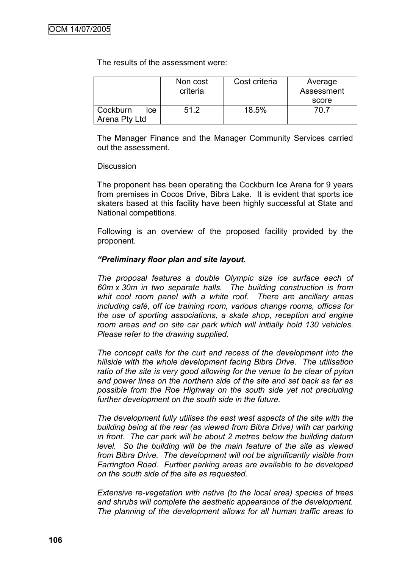The results of the assessment were:

|                                   | Non cost<br>criteria | Cost criteria | Average<br>Assessment<br>score |
|-----------------------------------|----------------------|---------------|--------------------------------|
| Cockburn<br>lce.<br>Arena Pty Ltd | 51.2                 | 18.5%         | 70 7                           |

The Manager Finance and the Manager Community Services carried out the assessment.

#### **Discussion**

The proponent has been operating the Cockburn Ice Arena for 9 years from premises in Cocos Drive, Bibra Lake. It is evident that sports ice skaters based at this facility have been highly successful at State and National competitions.

Following is an overview of the proposed facility provided by the proponent.

#### *"Preliminary floor plan and site layout.*

*The proposal features a double Olympic size ice surface each of 60m x 30m in two separate halls. The building construction is from whit cool room panel with a white roof. There are ancillary areas including café, off ice training room, various change rooms, offices for the use of sporting associations, a skate shop, reception and engine room areas and on site car park which will initially hold 130 vehicles. Please refer to the drawing supplied.*

*The concept calls for the curt and recess of the development into the hillside with the whole development facing Bibra Drive. The utilisation ratio of the site is very good allowing for the venue to be clear of pylon and power lines on the northern side of the site and set back as far as possible from the Roe Highway on the south side yet not precluding further development on the south side in the future.*

*The development fully utilises the east west aspects of the site with the building being at the rear (as viewed from Bibra Drive) with car parking in front. The car park will be about 2 metres below the building datum level. So the building will be the main feature of the site as viewed from Bibra Drive. The development will not be significantly visible from Farrington Road. Further parking areas are available to be developed on the south side of the site as requested.*

*Extensive re-vegetation with native (to the local area) species of trees and shrubs will complete the aesthetic appearance of the development. The planning of the development allows for all human traffic areas to*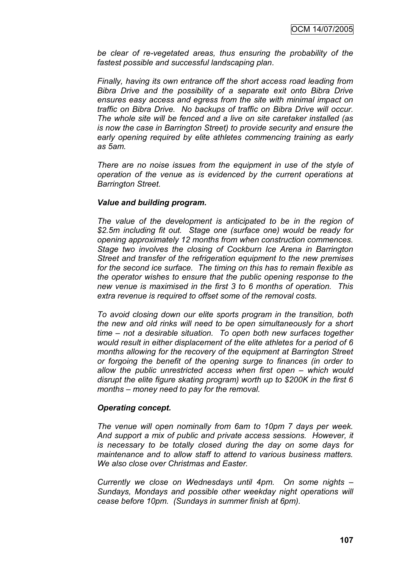*be clear of re-vegetated areas, thus ensuring the probability of the fastest possible and successful landscaping plan.*

*Finally, having its own entrance off the short access road leading from Bibra Drive and the possibility of a separate exit onto Bibra Drive ensures easy access and egress from the site with minimal impact on traffic on Bibra Drive. No backups of traffic on Bibra Drive will occur. The whole site will be fenced and a live on site caretaker installed (as is now the case in Barrington Street) to provide security and ensure the early opening required by elite athletes commencing training as early as 5am.*

*There are no noise issues from the equipment in use of the style of operation of the venue as is evidenced by the current operations at Barrington Street.*

#### *Value and building program.*

*The value of the development is anticipated to be in the region of \$2.5m including fit out. Stage one (surface one) would be ready for opening approximately 12 months from when construction commences. Stage two involves the closing of Cockburn Ice Arena in Barrington Street and transfer of the refrigeration equipment to the new premises for the second ice surface. The timing on this has to remain flexible as the operator wishes to ensure that the public opening response to the new venue is maximised in the first 3 to 6 months of operation. This extra revenue is required to offset some of the removal costs.*

*To avoid closing down our elite sports program in the transition, both the new and old rinks will need to be open simultaneously for a short time – not a desirable situation. To open both new surfaces together would result in either displacement of the elite athletes for a period of 6 months allowing for the recovery of the equipment at Barrington Street or forgoing the benefit of the opening surge to finances (in order to allow the public unrestricted access when first open – which would disrupt the elite figure skating program) worth up to \$200K in the first 6 months – money need to pay for the removal.*

#### *Operating concept.*

*The venue will open nominally from 6am to 10pm 7 days per week. And support a mix of public and private access sessions. However, it is necessary to be totally closed during the day on some days for maintenance and to allow staff to attend to various business matters. We also close over Christmas and Easter.*

*Currently we close on Wednesdays until 4pm. On some nights – Sundays, Mondays and possible other weekday night operations will cease before 10pm. (Sundays in summer finish at 6pm).*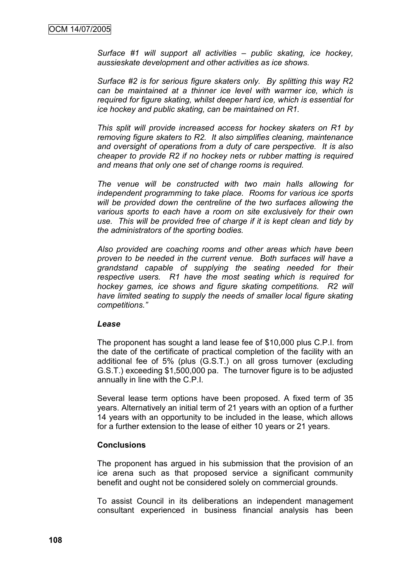*Surface #1 will support all activities – public skating, ice hockey, aussieskate development and other activities as ice shows.*

*Surface #2 is for serious figure skaters only. By splitting this way R2 can be maintained at a thinner ice level with warmer ice, which is required for figure skating, whilst deeper hard ice, which is essential for ice hockey and public skating, can be maintained on R1.*

*This split will provide increased access for hockey skaters on R1 by removing figure skaters to R2. It also simplifies cleaning, maintenance and oversight of operations from a duty of care perspective. It is also cheaper to provide R2 if no hockey nets or rubber matting is required and means that only one set of change rooms is required.*

*The venue will be constructed with two main halls allowing for independent programming to take place. Rooms for various ice sports will be provided down the centreline of the two surfaces allowing the various sports to each have a room on site exclusively for their own use. This will be provided free of charge if it is kept clean and tidy by the administrators of the sporting bodies.*

*Also provided are coaching rooms and other areas which have been proven to be needed in the current venue. Both surfaces will have a grandstand capable of supplying the seating needed for their respective users. R1 have the most seating which is required for hockey games, ice shows and figure skating competitions. R2 will have limited seating to supply the needs of smaller local figure skating competitions."*

#### *Lease*

The proponent has sought a land lease fee of \$10,000 plus C.P.I. from the date of the certificate of practical completion of the facility with an additional fee of 5% (plus (G.S.T.) on all gross turnover (excluding G.S.T.) exceeding \$1,500,000 pa. The turnover figure is to be adjusted annually in line with the C.P.I.

Several lease term options have been proposed. A fixed term of 35 years. Alternatively an initial term of 21 years with an option of a further 14 years with an opportunity to be included in the lease, which allows for a further extension to the lease of either 10 years or 21 years.

#### **Conclusions**

The proponent has argued in his submission that the provision of an ice arena such as that proposed service a significant community benefit and ought not be considered solely on commercial grounds.

To assist Council in its deliberations an independent management consultant experienced in business financial analysis has been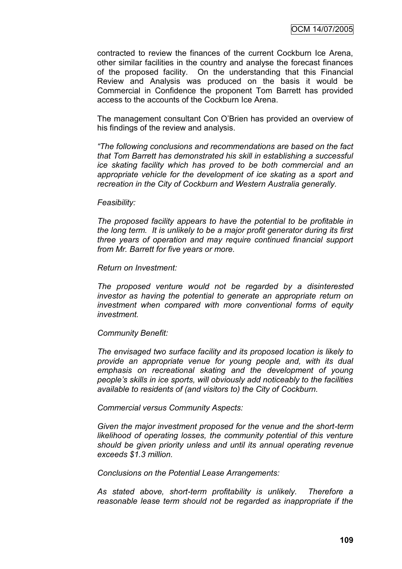contracted to review the finances of the current Cockburn Ice Arena, other similar facilities in the country and analyse the forecast finances of the proposed facility. On the understanding that this Financial Review and Analysis was produced on the basis it would be Commercial in Confidence the proponent Tom Barrett has provided access to the accounts of the Cockburn Ice Arena.

The management consultant Con O"Brien has provided an overview of his findings of the review and analysis.

*"The following conclusions and recommendations are based on the fact that Tom Barrett has demonstrated his skill in establishing a successful ice skating facility which has proved to be both commercial and an appropriate vehicle for the development of ice skating as a sport and recreation in the City of Cockburn and Western Australia generally.*

#### *Feasibility:*

*The proposed facility appears to have the potential to be profitable in the long term. It is unlikely to be a major profit generator during its first three years of operation and may require continued financial support from Mr. Barrett for five years or more.*

#### *Return on Investment:*

*The proposed venture would not be regarded by a disinterested investor as having the potential to generate an appropriate return on investment when compared with more conventional forms of equity investment.*

#### *Community Benefit:*

*The envisaged two surface facility and its proposed location is likely to provide an appropriate venue for young people and, with its dual emphasis on recreational skating and the development of young people"s skills in ice sports, will obviously add noticeably to the facilities available to residents of (and visitors to) the City of Cockburn.*

*Commercial versus Community Aspects:*

*Given the major investment proposed for the venue and the short-term likelihood of operating losses, the community potential of this venture should be given priority unless and until its annual operating revenue exceeds \$1.3 million.*

*Conclusions on the Potential Lease Arrangements:*

*As stated above, short-term profitability is unlikely. Therefore a reasonable lease term should not be regarded as inappropriate if the*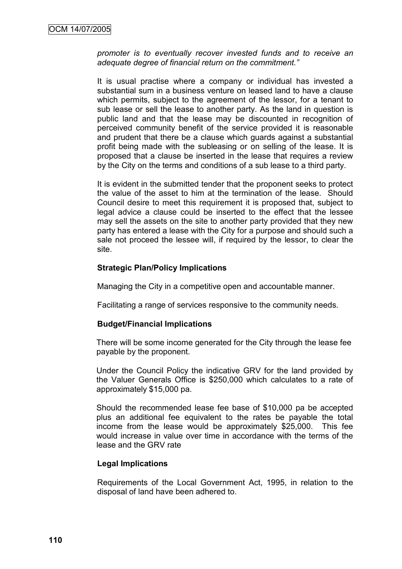*promoter is to eventually recover invested funds and to receive an adequate degree of financial return on the commitment."*

It is usual practise where a company or individual has invested a substantial sum in a business venture on leased land to have a clause which permits, subject to the agreement of the lessor, for a tenant to sub lease or sell the lease to another party. As the land in question is public land and that the lease may be discounted in recognition of perceived community benefit of the service provided it is reasonable and prudent that there be a clause which guards against a substantial profit being made with the subleasing or on selling of the lease. It is proposed that a clause be inserted in the lease that requires a review by the City on the terms and conditions of a sub lease to a third party.

It is evident in the submitted tender that the proponent seeks to protect the value of the asset to him at the termination of the lease. Should Council desire to meet this requirement it is proposed that, subject to legal advice a clause could be inserted to the effect that the lessee may sell the assets on the site to another party provided that they new party has entered a lease with the City for a purpose and should such a sale not proceed the lessee will, if required by the lessor, to clear the site.

#### **Strategic Plan/Policy Implications**

Managing the City in a competitive open and accountable manner.

Facilitating a range of services responsive to the community needs.

#### **Budget/Financial Implications**

There will be some income generated for the City through the lease fee payable by the proponent.

Under the Council Policy the indicative GRV for the land provided by the Valuer Generals Office is \$250,000 which calculates to a rate of approximately \$15,000 pa.

Should the recommended lease fee base of \$10,000 pa be accepted plus an additional fee equivalent to the rates be payable the total income from the lease would be approximately \$25,000. This fee would increase in value over time in accordance with the terms of the lease and the GRV rate

#### **Legal Implications**

Requirements of the Local Government Act, 1995, in relation to the disposal of land have been adhered to.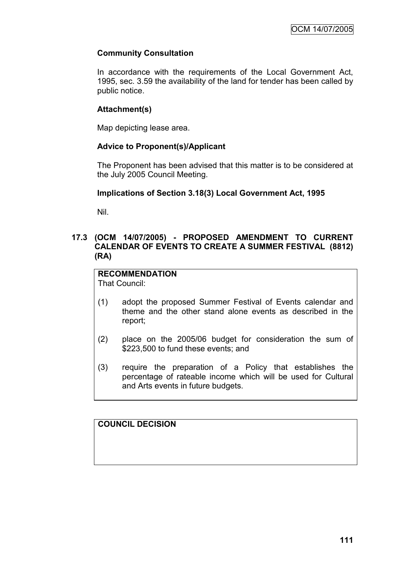# **Community Consultation**

In accordance with the requirements of the Local Government Act, 1995, sec. 3.59 the availability of the land for tender has been called by public notice.

### **Attachment(s)**

Map depicting lease area.

#### **Advice to Proponent(s)/Applicant**

The Proponent has been advised that this matter is to be considered at the July 2005 Council Meeting.

#### **Implications of Section 3.18(3) Local Government Act, 1995**

Nil.

### **17.3 (OCM 14/07/2005) - PROPOSED AMENDMENT TO CURRENT CALENDAR OF EVENTS TO CREATE A SUMMER FESTIVAL (8812) (RA)**

**RECOMMENDATION** That Council:

- (1) adopt the proposed Summer Festival of Events calendar and theme and the other stand alone events as described in the report;
- (2) place on the 2005/06 budget for consideration the sum of \$223,500 to fund these events; and
- (3) require the preparation of a Policy that establishes the percentage of rateable income which will be used for Cultural and Arts events in future budgets.

**COUNCIL DECISION**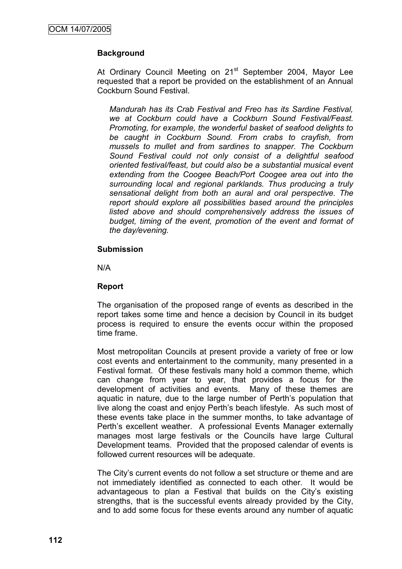# **Background**

At Ordinary Council Meeting on 21<sup>st</sup> September 2004, Mayor Lee requested that a report be provided on the establishment of an Annual Cockburn Sound Festival.

*Mandurah has its Crab Festival and Freo has its Sardine Festival, we at Cockburn could have a Cockburn Sound Festival/Feast. Promoting, for example, the wonderful basket of seafood delights to be caught in Cockburn Sound. From crabs to crayfish, from mussels to mullet and from sardines to snapper. The Cockburn Sound Festival could not only consist of a delightful seafood oriented festival/feast, but could also be a substantial musical event extending from the Coogee Beach/Port Coogee area out into the surrounding local and regional parklands. Thus producing a truly sensational delight from both an aural and oral perspective. The report should explore all possibilities based around the principles listed above and should comprehensively address the issues of budget, timing of the event, promotion of the event and format of the day/evening.*

#### **Submission**

N/A

#### **Report**

The organisation of the proposed range of events as described in the report takes some time and hence a decision by Council in its budget process is required to ensure the events occur within the proposed time frame.

Most metropolitan Councils at present provide a variety of free or low cost events and entertainment to the community, many presented in a Festival format. Of these festivals many hold a common theme, which can change from year to year, that provides a focus for the development of activities and events. Many of these themes are aquatic in nature, due to the large number of Perth"s population that live along the coast and enjoy Perth"s beach lifestyle. As such most of these events take place in the summer months, to take advantage of Perth"s excellent weather. A professional Events Manager externally manages most large festivals or the Councils have large Cultural Development teams. Provided that the proposed calendar of events is followed current resources will be adequate.

The City's current events do not follow a set structure or theme and are not immediately identified as connected to each other. It would be advantageous to plan a Festival that builds on the City"s existing strengths, that is the successful events already provided by the City, and to add some focus for these events around any number of aquatic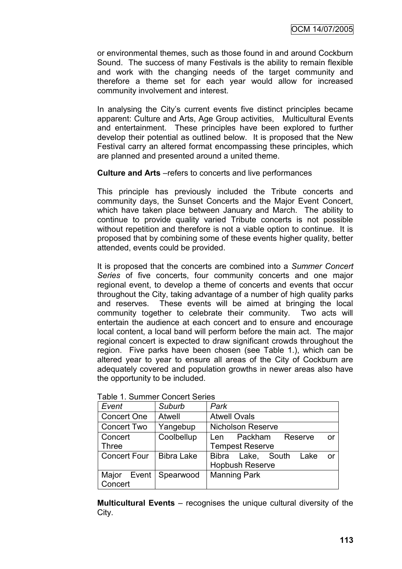or environmental themes, such as those found in and around Cockburn Sound. The success of many Festivals is the ability to remain flexible and work with the changing needs of the target community and therefore a theme set for each year would allow for increased community involvement and interest.

In analysing the City"s current events five distinct principles became apparent: Culture and Arts, Age Group activities, Multicultural Events and entertainment. These principles have been explored to further develop their potential as outlined below. It is proposed that the New Festival carry an altered format encompassing these principles, which are planned and presented around a united theme.

**Culture and Arts** –refers to concerts and live performances

This principle has previously included the Tribute concerts and community days, the Sunset Concerts and the Major Event Concert, which have taken place between January and March. The ability to continue to provide quality varied Tribute concerts is not possible without repetition and therefore is not a viable option to continue. It is proposed that by combining some of these events higher quality, better attended, events could be provided.

It is proposed that the concerts are combined into a *Summer Concert Series* of five concerts, four community concerts and one major regional event, to develop a theme of concerts and events that occur throughout the City, taking advantage of a number of high quality parks and reserves. These events will be aimed at bringing the local community together to celebrate their community. Two acts will entertain the audience at each concert and to ensure and encourage local content, a local band will perform before the main act. The major regional concert is expected to draw significant crowds throughout the region. Five parks have been chosen (see Table 1.), which can be altered year to year to ensure all areas of the City of Cockburn are adequately covered and population growths in newer areas also have the opportunity to be included.

| radio T. Odininor Odnoch Ochoo |                   |                                  |
|--------------------------------|-------------------|----------------------------------|
| Event                          | Suburb            | Park                             |
| <b>Concert One</b>             | <b>Atwell</b>     | <b>Atwell Ovals</b>              |
| <b>Concert Two</b>             | Yangebup          | <b>Nicholson Reserve</b>         |
| Concert                        | Coolbellup        | Packham<br>Reserve<br>or.<br>Len |
| <b>Three</b>                   |                   | <b>Tempest Reserve</b>           |
| <b>Concert Four</b>            | <b>Bibra Lake</b> | Bibra Lake, South<br>Lake<br>or. |
|                                |                   | <b>Hopbush Reserve</b>           |
| Event $ $<br>Major             | Spearwood         | <b>Manning Park</b>              |
| Concert                        |                   |                                  |

Table 1. Summer Concert Series

**Multicultural Events** – recognises the unique cultural diversity of the City.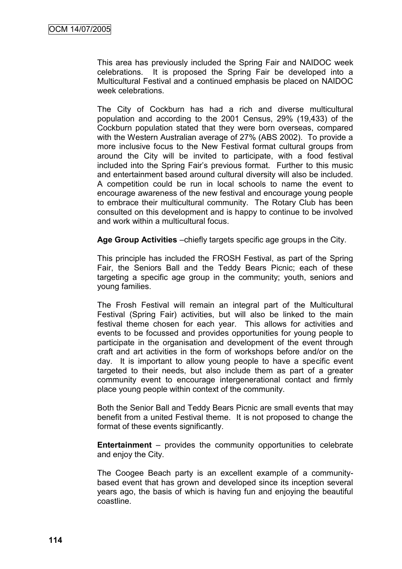This area has previously included the Spring Fair and NAIDOC week celebrations. It is proposed the Spring Fair be developed into a Multicultural Festival and a continued emphasis be placed on NAIDOC week celebrations.

The City of Cockburn has had a rich and diverse multicultural population and according to the 2001 Census, 29% (19,433) of the Cockburn population stated that they were born overseas, compared with the Western Australian average of 27% (ABS 2002). To provide a more inclusive focus to the New Festival format cultural groups from around the City will be invited to participate, with a food festival included into the Spring Fair"s previous format. Further to this music and entertainment based around cultural diversity will also be included. A competition could be run in local schools to name the event to encourage awareness of the new festival and encourage young people to embrace their multicultural community. The Rotary Club has been consulted on this development and is happy to continue to be involved and work within a multicultural focus.

**Age Group Activities** –chiefly targets specific age groups in the City.

This principle has included the FROSH Festival, as part of the Spring Fair, the Seniors Ball and the Teddy Bears Picnic; each of these targeting a specific age group in the community; youth, seniors and young families.

The Frosh Festival will remain an integral part of the Multicultural Festival (Spring Fair) activities, but will also be linked to the main festival theme chosen for each year. This allows for activities and events to be focussed and provides opportunities for young people to participate in the organisation and development of the event through craft and art activities in the form of workshops before and/or on the day. It is important to allow young people to have a specific event targeted to their needs, but also include them as part of a greater community event to encourage intergenerational contact and firmly place young people within context of the community.

Both the Senior Ball and Teddy Bears Picnic are small events that may benefit from a united Festival theme. It is not proposed to change the format of these events significantly.

**Entertainment** – provides the community opportunities to celebrate and enjoy the City.

The Coogee Beach party is an excellent example of a communitybased event that has grown and developed since its inception several years ago, the basis of which is having fun and enjoying the beautiful coastline.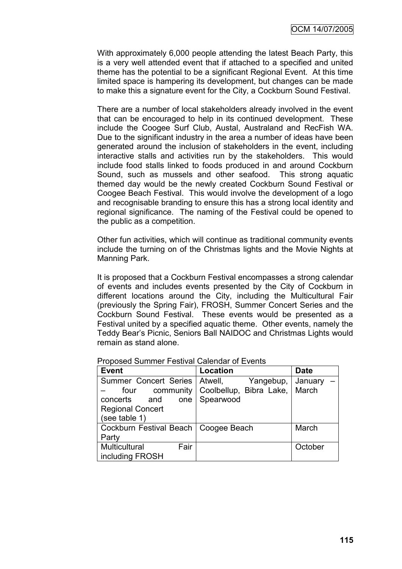With approximately 6,000 people attending the latest Beach Party, this is a very well attended event that if attached to a specified and united theme has the potential to be a significant Regional Event. At this time limited space is hampering its development, but changes can be made to make this a signature event for the City, a Cockburn Sound Festival.

There are a number of local stakeholders already involved in the event that can be encouraged to help in its continued development. These include the Coogee Surf Club, Austal, Australand and RecFish WA. Due to the significant industry in the area a number of ideas have been generated around the inclusion of stakeholders in the event, including interactive stalls and activities run by the stakeholders. This would include food stalls linked to foods produced in and around Cockburn Sound, such as mussels and other seafood. This strong aquatic themed day would be the newly created Cockburn Sound Festival or Coogee Beach Festival. This would involve the development of a logo and recognisable branding to ensure this has a strong local identity and regional significance. The naming of the Festival could be opened to the public as a competition.

Other fun activities, which will continue as traditional community events include the turning on of the Christmas lights and the Movie Nights at Manning Park.

It is proposed that a Cockburn Festival encompasses a strong calendar of events and includes events presented by the City of Cockburn in different locations around the City, including the Multicultural Fair (previously the Spring Fair), FROSH, Summer Concert Series and the Cockburn Sound Festival. These events would be presented as a Festival united by a specified aquatic theme. Other events, namely the Teddy Bear"s Picnic, Seniors Ball NAIDOC and Christmas Lights would remain as stand alone.

Proposed Summer Festival Calendar of Events

| <b>Event</b>                           | Location                | <b>Date</b> |
|----------------------------------------|-------------------------|-------------|
| Summer Concert Series                  | Atwell,<br>Yangebup,    | January -   |
| community<br>four                      | Coolbellup, Bibra Lake, | March       |
| concerts<br>and<br>one                 | Spearwood               |             |
| <b>Regional Concert</b>                |                         |             |
| (see table 1)                          |                         |             |
| Cockburn Festival Beach   Coogee Beach |                         | March       |
| Party                                  |                         |             |
| Multicultural<br>Fair                  |                         | October     |
| including FROSH                        |                         |             |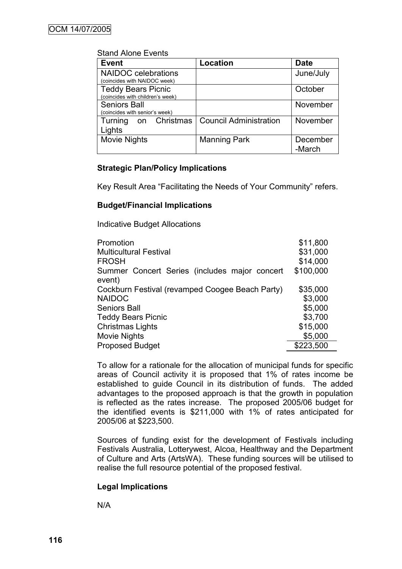| <u>UMIN ANIU LIUMO</u>                                        |                               |                    |
|---------------------------------------------------------------|-------------------------------|--------------------|
| <b>Event</b>                                                  | <b>Location</b>               | <b>Date</b>        |
| <b>NAIDOC</b> celebrations                                    |                               | June/July          |
| (coincides with NAIDOC week)                                  |                               |                    |
| <b>Teddy Bears Picnic</b><br>(coincides with children's week) |                               | October            |
| <b>Seniors Ball</b><br>(coincides with senior's week)         |                               | November           |
| on Christmas<br>Turning<br>Lights                             | <b>Council Administration</b> | November           |
| <b>Movie Nights</b>                                           | <b>Manning Park</b>           | December<br>-March |

# Stand Alone Events

#### **Strategic Plan/Policy Implications**

Key Result Area "Facilitating the Needs of Your Community" refers.

#### **Budget/Financial Implications**

Indicative Budget Allocations

| Promotion                                               | \$11,800  |
|---------------------------------------------------------|-----------|
| <b>Multicultural Festival</b>                           | \$31,000  |
| <b>FROSH</b>                                            | \$14,000  |
| Summer Concert Series (includes major concert<br>event) | \$100,000 |
| Cockburn Festival (revamped Coogee Beach Party)         | \$35,000  |
| <b>NAIDOC</b>                                           | \$3,000   |
| <b>Seniors Ball</b>                                     | \$5,000   |
| <b>Teddy Bears Picnic</b>                               | \$3,700   |
| <b>Christmas Lights</b>                                 | \$15,000  |
| Movie Nights                                            | \$5,000   |
| <b>Proposed Budget</b>                                  | \$223,500 |
|                                                         |           |

To allow for a rationale for the allocation of municipal funds for specific areas of Council activity it is proposed that 1% of rates income be established to guide Council in its distribution of funds. The added advantages to the proposed approach is that the growth in population is reflected as the rates increase. The proposed 2005/06 budget for the identified events is \$211,000 with 1% of rates anticipated for 2005/06 at \$223,500.

Sources of funding exist for the development of Festivals including Festivals Australia, Lotterywest, Alcoa, Healthway and the Department of Culture and Arts (ArtsWA). These funding sources will be utilised to realise the full resource potential of the proposed festival.

#### **Legal Implications**

N/A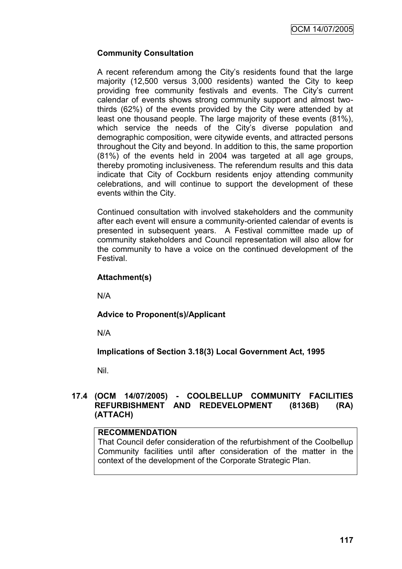OCM 14/07/2005

#### **Community Consultation**

A recent referendum among the City"s residents found that the large majority (12,500 versus 3,000 residents) wanted the City to keep providing free community festivals and events. The City"s current calendar of events shows strong community support and almost twothirds (62%) of the events provided by the City were attended by at least one thousand people. The large majority of these events (81%), which service the needs of the City's diverse population and demographic composition, were citywide events, and attracted persons throughout the City and beyond. In addition to this, the same proportion (81%) of the events held in 2004 was targeted at all age groups, thereby promoting inclusiveness. The referendum results and this data indicate that City of Cockburn residents enjoy attending community celebrations, and will continue to support the development of these events within the City.

Continued consultation with involved stakeholders and the community after each event will ensure a community-oriented calendar of events is presented in subsequent years. A Festival committee made up of community stakeholders and Council representation will also allow for the community to have a voice on the continued development of the Festival.

#### **Attachment(s)**

N/A

#### **Advice to Proponent(s)/Applicant**

N/A

# **Implications of Section 3.18(3) Local Government Act, 1995**

Nil.

### **17.4 (OCM 14/07/2005) - COOLBELLUP COMMUNITY FACILITIES REFURBISHMENT AND REDEVELOPMENT (8136B) (RA) (ATTACH)**

#### **RECOMMENDATION**

That Council defer consideration of the refurbishment of the Coolbellup Community facilities until after consideration of the matter in the context of the development of the Corporate Strategic Plan.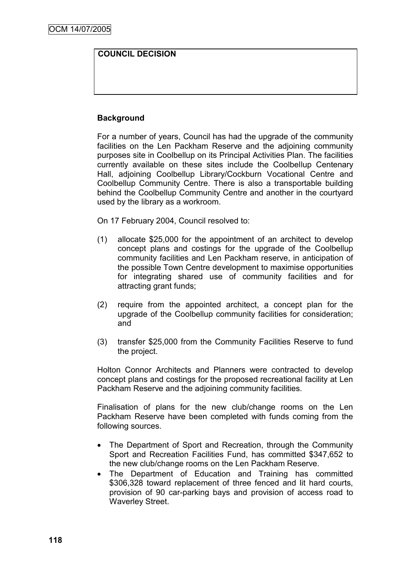# **COUNCIL DECISION**

# **Background**

For a number of years, Council has had the upgrade of the community facilities on the Len Packham Reserve and the adjoining community purposes site in Coolbellup on its Principal Activities Plan. The facilities currently available on these sites include the Coolbellup Centenary Hall, adjoining Coolbellup Library/Cockburn Vocational Centre and Coolbellup Community Centre. There is also a transportable building behind the Coolbellup Community Centre and another in the courtyard used by the library as a workroom.

On 17 February 2004, Council resolved to:

- (1) allocate \$25,000 for the appointment of an architect to develop concept plans and costings for the upgrade of the Coolbellup community facilities and Len Packham reserve, in anticipation of the possible Town Centre development to maximise opportunities for integrating shared use of community facilities and for attracting grant funds;
- (2) require from the appointed architect, a concept plan for the upgrade of the Coolbellup community facilities for consideration; and
- (3) transfer \$25,000 from the Community Facilities Reserve to fund the project.

Holton Connor Architects and Planners were contracted to develop concept plans and costings for the proposed recreational facility at Len Packham Reserve and the adjoining community facilities.

Finalisation of plans for the new club/change rooms on the Len Packham Reserve have been completed with funds coming from the following sources.

- The Department of Sport and Recreation, through the Community Sport and Recreation Facilities Fund, has committed \$347,652 to the new club/change rooms on the Len Packham Reserve.
- The Department of Education and Training has committed \$306,328 toward replacement of three fenced and lit hard courts, provision of 90 car-parking bays and provision of access road to Waverley Street.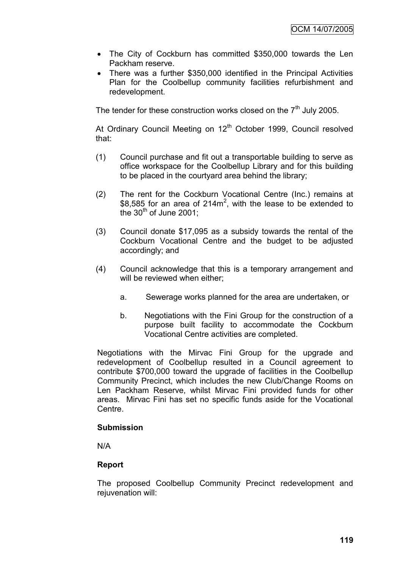- The City of Cockburn has committed \$350,000 towards the Len Packham reserve.
- There was a further \$350,000 identified in the Principal Activities Plan for the Coolbellup community facilities refurbishment and redevelopment.

The tender for these construction works closed on the  $7<sup>th</sup>$  July 2005.

At Ordinary Council Meeting on 12<sup>th</sup> October 1999, Council resolved that:

- (1) Council purchase and fit out a transportable building to serve as office workspace for the Coolbellup Library and for this building to be placed in the courtyard area behind the library;
- (2) The rent for the Cockburn Vocational Centre (Inc.) remains at \$8,585 for an area of 214 $m^2$ , with the lease to be extended to the  $30<sup>th</sup>$  of June 2001;
- (3) Council donate \$17,095 as a subsidy towards the rental of the Cockburn Vocational Centre and the budget to be adjusted accordingly; and
- (4) Council acknowledge that this is a temporary arrangement and will be reviewed when either;
	- a. Sewerage works planned for the area are undertaken, or
	- b. Negotiations with the Fini Group for the construction of a purpose built facility to accommodate the Cockburn Vocational Centre activities are completed.

Negotiations with the Mirvac Fini Group for the upgrade and redevelopment of Coolbellup resulted in a Council agreement to contribute \$700,000 toward the upgrade of facilities in the Coolbellup Community Precinct, which includes the new Club/Change Rooms on Len Packham Reserve, whilst Mirvac Fini provided funds for other areas. Mirvac Fini has set no specific funds aside for the Vocational Centre.

#### **Submission**

N/A

#### **Report**

The proposed Coolbellup Community Precinct redevelopment and rejuvenation will: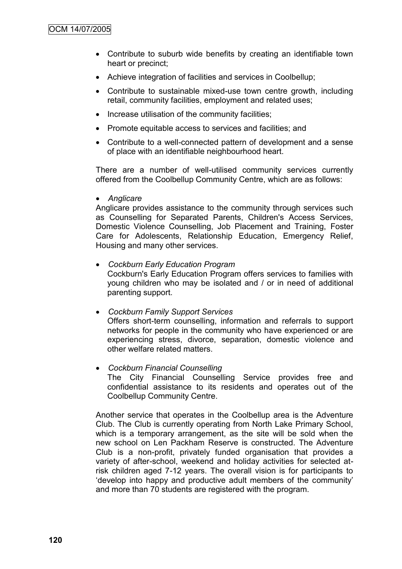- Contribute to suburb wide benefits by creating an identifiable town heart or precinct;
- Achieve integration of facilities and services in Coolbellup;
- Contribute to sustainable mixed-use town centre growth, including retail, community facilities, employment and related uses;
- Increase utilisation of the community facilities;
- Promote equitable access to services and facilities; and
- Contribute to a well-connected pattern of development and a sense of place with an identifiable neighbourhood heart.

There are a number of well-utilised community services currently offered from the Coolbellup Community Centre, which are as follows:

*Anglicare*

Anglicare provides assistance to the community through services such as Counselling for Separated Parents, Children's Access Services, Domestic Violence Counselling, Job Placement and Training, Foster Care for Adolescents, Relationship Education, Emergency Relief, Housing and many other services.

- *Cockburn Early Education Program* Cockburn's Early Education Program offers services to families with young children who may be isolated and / or in need of additional parenting support.
- *Cockburn Family Support Services* Offers short-term counselling, information and referrals to support networks for people in the community who have experienced or are experiencing stress, divorce, separation, domestic violence and other welfare related matters.
- *Cockburn Financial Counselling* The City Financial Counselling Service provides free and confidential assistance to its residents and operates out of the Coolbellup Community Centre.

Another service that operates in the Coolbellup area is the Adventure Club. The Club is currently operating from North Lake Primary School, which is a temporary arrangement, as the site will be sold when the new school on Len Packham Reserve is constructed. The Adventure Club is a non-profit, privately funded organisation that provides a variety of after-school, weekend and holiday activities for selected atrisk children aged 7-12 years. The overall vision is for participants to "develop into happy and productive adult members of the community" and more than 70 students are registered with the program.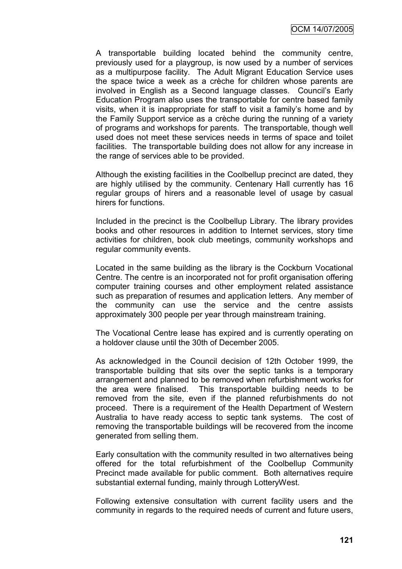A transportable building located behind the community centre, previously used for a playgroup, is now used by a number of services as a multipurpose facility. The Adult Migrant Education Service uses the space twice a week as a crèche for children whose parents are involved in English as a Second language classes. Council"s Early Education Program also uses the transportable for centre based family visits, when it is inappropriate for staff to visit a family"s home and by the Family Support service as a crèche during the running of a variety of programs and workshops for parents. The transportable, though well used does not meet these services needs in terms of space and toilet facilities. The transportable building does not allow for any increase in the range of services able to be provided.

Although the existing facilities in the Coolbellup precinct are dated, they are highly utilised by the community. Centenary Hall currently has 16 regular groups of hirers and a reasonable level of usage by casual hirers for functions.

Included in the precinct is the Coolbellup Library. The library provides books and other resources in addition to Internet services, story time activities for children, book club meetings, community workshops and regular community events.

Located in the same building as the library is the Cockburn Vocational Centre. The centre is an incorporated not for profit organisation offering computer training courses and other employment related assistance such as preparation of resumes and application letters. Any member of the community can use the service and the centre assists approximately 300 people per year through mainstream training.

The Vocational Centre lease has expired and is currently operating on a holdover clause until the 30th of December 2005.

As acknowledged in the Council decision of 12th October 1999, the transportable building that sits over the septic tanks is a temporary arrangement and planned to be removed when refurbishment works for the area were finalised. This transportable building needs to be removed from the site, even if the planned refurbishments do not proceed. There is a requirement of the Health Department of Western Australia to have ready access to septic tank systems. The cost of removing the transportable buildings will be recovered from the income generated from selling them.

Early consultation with the community resulted in two alternatives being offered for the total refurbishment of the Coolbellup Community Precinct made available for public comment. Both alternatives require substantial external funding, mainly through LotteryWest.

Following extensive consultation with current facility users and the community in regards to the required needs of current and future users,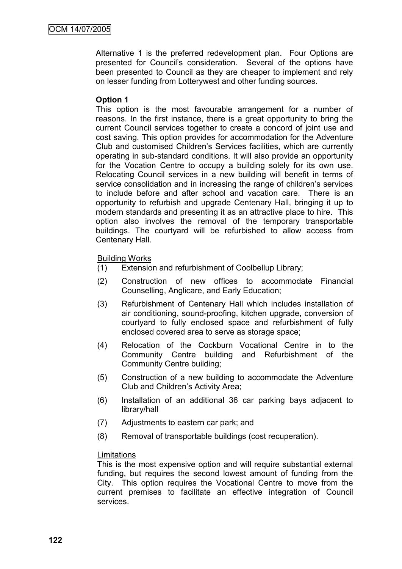Alternative 1 is the preferred redevelopment plan. Four Options are presented for Council"s consideration. Several of the options have been presented to Council as they are cheaper to implement and rely on lesser funding from Lotterywest and other funding sources.

### **Option 1**

This option is the most favourable arrangement for a number of reasons. In the first instance, there is a great opportunity to bring the current Council services together to create a concord of joint use and cost saving. This option provides for accommodation for the Adventure Club and customised Children"s Services facilities, which are currently operating in sub-standard conditions. It will also provide an opportunity for the Vocation Centre to occupy a building solely for its own use. Relocating Council services in a new building will benefit in terms of service consolidation and in increasing the range of children's services to include before and after school and vacation care. There is an opportunity to refurbish and upgrade Centenary Hall, bringing it up to modern standards and presenting it as an attractive place to hire. This option also involves the removal of the temporary transportable buildings. The courtyard will be refurbished to allow access from Centenary Hall.

#### Building Works

- (1) Extension and refurbishment of Coolbellup Library;
- (2) Construction of new offices to accommodate Financial Counselling, Anglicare, and Early Education;
- (3) Refurbishment of Centenary Hall which includes installation of air conditioning, sound-proofing, kitchen upgrade, conversion of courtyard to fully enclosed space and refurbishment of fully enclosed covered area to serve as storage space;
- (4) Relocation of the Cockburn Vocational Centre in to the Community Centre building and Refurbishment of the Community Centre building;
- (5) Construction of a new building to accommodate the Adventure Club and Children"s Activity Area;
- (6) Installation of an additional 36 car parking bays adjacent to library/hall
- (7) Adjustments to eastern car park; and
- (8) Removal of transportable buildings (cost recuperation).

#### Limitations

This is the most expensive option and will require substantial external funding, but requires the second lowest amount of funding from the City. This option requires the Vocational Centre to move from the current premises to facilitate an effective integration of Council services.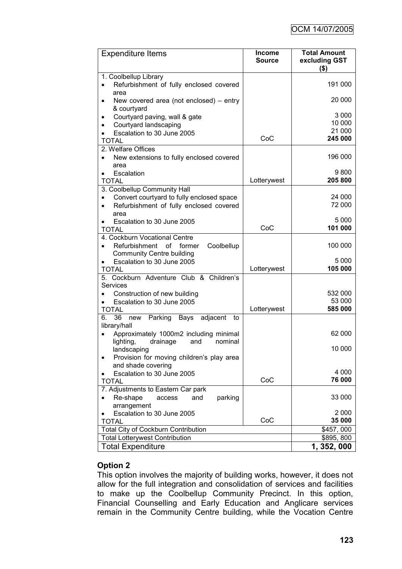| <b>Expenditure Items</b>                                                        | <b>Income</b><br><b>Source</b> | <b>Total Amount</b><br>excluding GST<br>$($ \$) |
|---------------------------------------------------------------------------------|--------------------------------|-------------------------------------------------|
| 1. Coolbellup Library                                                           |                                |                                                 |
| Refurbishment of fully enclosed covered<br>area                                 |                                | 191 000                                         |
| New covered area (not enclosed) $-$ entry<br>$\bullet$<br>& courtyard           |                                | 20 000                                          |
| Courtyard paving, wall & gate<br>٠                                              |                                | 3 0 0 0                                         |
| Courtyard landscaping                                                           |                                | 10 000                                          |
| Escalation to 30 June 2005<br>$\bullet$                                         |                                | 21 000                                          |
| <b>TOTAL</b>                                                                    | CoC                            | 245 000                                         |
| 2. Welfare Offices                                                              |                                |                                                 |
| New extensions to fully enclosed covered<br>area                                |                                | 196 000                                         |
| Escalation<br>٠                                                                 |                                | 9800                                            |
| <b>TOTAL</b>                                                                    | Lotterywest                    | 205 800                                         |
| 3. Coolbellup Community Hall                                                    |                                |                                                 |
| Convert courtyard to fully enclosed space                                       |                                | 24 000                                          |
| Refurbishment of fully enclosed covered<br>area                                 |                                | 72 000                                          |
| Escalation to 30 June 2005                                                      |                                | 5 000                                           |
| TOTAL                                                                           | CoC                            | 101 000                                         |
| 4. Cockburn Vocational Centre                                                   |                                |                                                 |
| Refurbishment<br>of<br>Coolbellup<br>former<br><b>Community Centre building</b> |                                | 100 000                                         |
| Escalation to 30 June 2005                                                      |                                | 5 000                                           |
| <b>TOTAL</b>                                                                    | Lotterywest                    | 105 000                                         |
| 5. Cockburn Adventure Club & Children's<br><b>Services</b>                      |                                |                                                 |
| Construction of new building                                                    |                                | 532 000                                         |
| Escalation to 30 June 2005                                                      |                                | 53 000                                          |
| <b>TOTAL</b>                                                                    | Lotterywest                    | 585 000                                         |
| 36<br>adjacent<br>6.<br>Parking Bays<br>new<br>to<br>library/hall               |                                |                                                 |
| Approximately 1000m2 including minimal                                          |                                | 62 000                                          |
| nominal<br>lighting,<br>drainage<br>and<br>landscaping                          |                                | 10 000                                          |
| Provision for moving children's play area                                       |                                |                                                 |
| and shade covering                                                              |                                | 4 0 0 0                                         |
| Escalation to 30 June 2005<br><b>TOTAL</b>                                      | CoC                            | 76 000                                          |
| 7. Adjustments to Eastern Car park                                              |                                |                                                 |
| Re-shape<br>parking<br>and<br>access                                            |                                | 33 000                                          |
| arrangement                                                                     |                                |                                                 |
| Escalation to 30 June 2005                                                      |                                | 2 0 0 0                                         |
| <b>TOTAL</b>                                                                    | CoC                            | 35 000                                          |
| <b>Total City of Cockburn Contribution</b>                                      |                                | \$457,000                                       |
| <b>Total Lotterywest Contribution</b>                                           |                                | \$895,800                                       |
| <b>Total Expenditure</b>                                                        |                                | 1, 352, 000                                     |

# **Option 2**

This option involves the majority of building works, however, it does not allow for the full integration and consolidation of services and facilities to make up the Coolbellup Community Precinct. In this option, Financial Counselling and Early Education and Anglicare services remain in the Community Centre building, while the Vocation Centre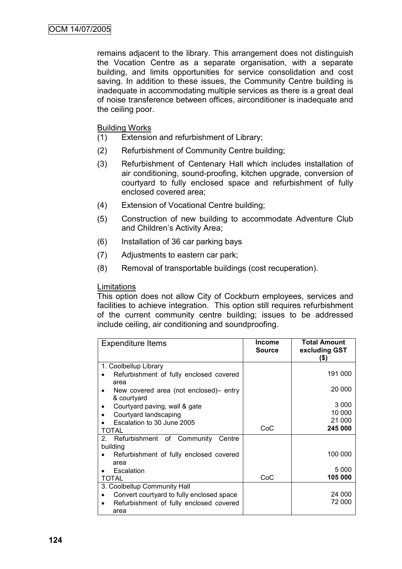remains adjacent to the library. This arrangement does not distinguish the Vocation Centre as a separate organisation, with a separate building, and limits opportunities for service consolidation and cost saving. In addition to these issues, the Community Centre building is inadequate in accommodating multiple services as there is a great deal of noise transference between offices, airconditioner is inadequate and the ceiling poor.

Building Works

- (1) Extension and refurbishment of Library;
- (2) Refurbishment of Community Centre building;
- (3) Refurbishment of Centenary Hall which includes installation of air conditioning, sound-proofing, kitchen upgrade, conversion of courtyard to fully enclosed space and refurbishment of fully enclosed covered area;
- (4) Extension of Vocational Centre building;
- (5) Construction of new building to accommodate Adventure Club and Children"s Activity Area;
- (6) Installation of 36 car parking bays
- (7) Adjustments to eastern car park;
- (8) Removal of transportable buildings (cost recuperation).

#### Limitations

This option does not allow City of Cockburn employees, services and facilities to achieve integration. This option still requires refurbishment of the current community centre building; issues to be addressed include ceiling, air conditioning and soundproofing.

| <b>Expenditure Items</b>                                   | Income<br>Source | <b>Total Amount</b><br>excluding GST<br>(\$) |
|------------------------------------------------------------|------------------|----------------------------------------------|
| 1. Coolbellup Library                                      |                  |                                              |
| Refurbishment of fully enclosed covered<br>area            |                  | 191 000                                      |
| New covered area (not enclosed)- entry<br>٠<br>& courtyard |                  | 20 000                                       |
| Courtyard paving, wall & gate<br>٠                         |                  | 3 0 0 0                                      |
| Courtyard landscaping                                      |                  | 10 000                                       |
| Escalation to 30 June 2005                                 |                  | 21 000                                       |
| TOTAL                                                      | CoC              | 245 000                                      |
| Community<br>$2_{-}$<br>Refurbishment of<br>Centre         |                  |                                              |
| building                                                   |                  |                                              |
| Refurbishment of fully enclosed covered                    |                  | 100 000                                      |
| area                                                       |                  |                                              |
| Escalation                                                 |                  | 5 0 0 0                                      |
| <b>TOTAL</b>                                               | CoC              | 105 000                                      |
| 3. Coolbellup Community Hall                               |                  |                                              |
| Convert courtyard to fully enclosed space                  |                  | 24 000                                       |
| Refurbishment of fully enclosed covered<br>٠               |                  | 72 000                                       |
| area                                                       |                  |                                              |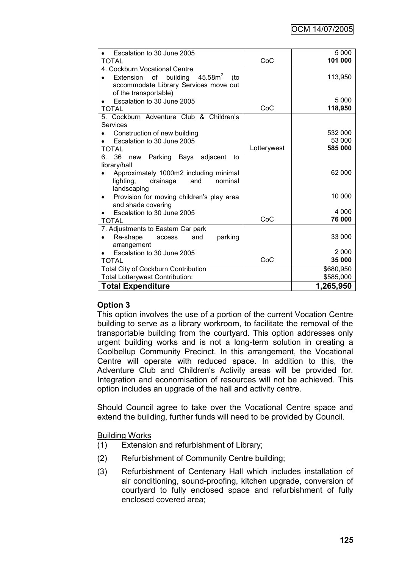| Escalation to 30 June 2005                                  |             | 5 0 0 0   |
|-------------------------------------------------------------|-------------|-----------|
| TOTAL                                                       | CoC         | 101 000   |
| 4. Cockburn Vocational Centre                               |             |           |
| $45.58$ m $^2$<br>of<br>building<br><b>Extension</b><br>(to |             | 113,950   |
| accommodate Library Services move out                       |             |           |
| of the transportable)                                       |             |           |
| Escalation to 30 June 2005                                  |             | 5 0 0 0   |
| TOTAL                                                       | CoC         | 118,950   |
| 5. Cockburn Adventure Club & Children's                     |             |           |
| Services                                                    |             |           |
| Construction of new building                                |             | 532 000   |
| Escalation to 30 June 2005                                  |             | 53 000    |
| TOTAL                                                       | Lotterywest | 585 000   |
| 36<br>new Parking Bays adjacent<br>6.<br>to                 |             |           |
| library/hall                                                |             |           |
| Approximately 1000m2 including minimal                      |             | 62 000    |
| lighting,<br>nominal<br>drainage<br>and                     |             |           |
| landscaping                                                 |             |           |
| Provision for moving children's play area<br>٠              |             | 10 000    |
| and shade covering                                          |             |           |
| Escalation to 30 June 2005                                  |             | 4 0 0 0   |
| TOTAL                                                       | CoC         | 76 000    |
| 7. Adjustments to Eastern Car park                          |             |           |
| Re-shape<br>parking<br>and<br>access                        |             | 33 000    |
| arrangement                                                 |             |           |
| Escalation to 30 June 2005                                  |             | 2 0 0 0   |
| <b>TOTAL</b>                                                | CoC         | 35 000    |
| Total City of Cockburn Contribution                         |             | \$680,950 |
| <b>Total Lotterywest Contribution:</b>                      |             | \$585,000 |
| <b>Total Expenditure</b>                                    |             | 1,265,950 |

# **Option 3**

This option involves the use of a portion of the current Vocation Centre building to serve as a library workroom, to facilitate the removal of the transportable building from the courtyard. This option addresses only urgent building works and is not a long-term solution in creating a Coolbellup Community Precinct. In this arrangement, the Vocational Centre will operate with reduced space. In addition to this, the Adventure Club and Children"s Activity areas will be provided for. Integration and economisation of resources will not be achieved. This option includes an upgrade of the hall and activity centre.

Should Council agree to take over the Vocational Centre space and extend the building, further funds will need to be provided by Council.

Building Works

- (1) Extension and refurbishment of Library;
- (2) Refurbishment of Community Centre building;
- (3) Refurbishment of Centenary Hall which includes installation of air conditioning, sound-proofing, kitchen upgrade, conversion of courtyard to fully enclosed space and refurbishment of fully enclosed covered area;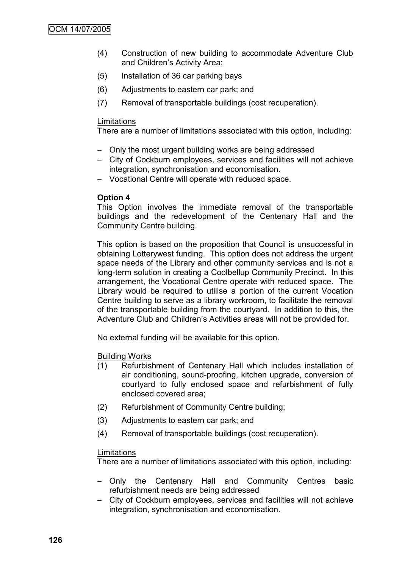- (4) Construction of new building to accommodate Adventure Club and Children's Activity Area;
- (5) Installation of 36 car parking bays
- (6) Adjustments to eastern car park; and
- (7) Removal of transportable buildings (cost recuperation).

#### Limitations

There are a number of limitations associated with this option, including:

- Only the most urgent building works are being addressed
- City of Cockburn employees, services and facilities will not achieve integration, synchronisation and economisation.
- Vocational Centre will operate with reduced space.

### **Option 4**

This Option involves the immediate removal of the transportable buildings and the redevelopment of the Centenary Hall and the Community Centre building.

This option is based on the proposition that Council is unsuccessful in obtaining Lotterywest funding. This option does not address the urgent space needs of the Library and other community services and is not a long-term solution in creating a Coolbellup Community Precinct. In this arrangement, the Vocational Centre operate with reduced space. The Library would be required to utilise a portion of the current Vocation Centre building to serve as a library workroom, to facilitate the removal of the transportable building from the courtyard. In addition to this, the Adventure Club and Children"s Activities areas will not be provided for.

No external funding will be available for this option.

#### Building Works

- (1) Refurbishment of Centenary Hall which includes installation of air conditioning, sound-proofing, kitchen upgrade, conversion of courtyard to fully enclosed space and refurbishment of fully enclosed covered area;
- (2) Refurbishment of Community Centre building;
- (3) Adjustments to eastern car park; and
- (4) Removal of transportable buildings (cost recuperation).

#### Limitations

There are a number of limitations associated with this option, including:

- Only the Centenary Hall and Community Centres basic refurbishment needs are being addressed
- City of Cockburn employees, services and facilities will not achieve integration, synchronisation and economisation.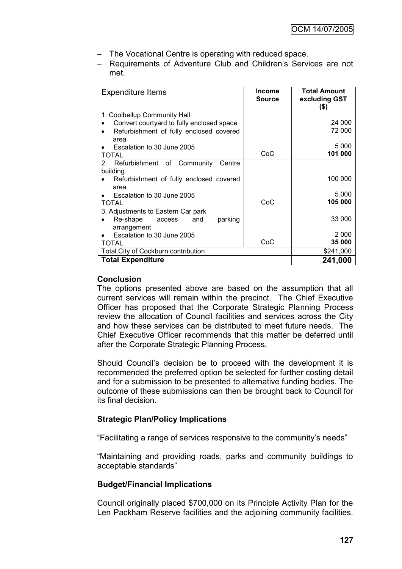- The Vocational Centre is operating with reduced space.
- Requirements of Adventure Club and Children's Services are not met.

| <b>Expenditure Items</b>                               | Income<br><b>Source</b> | <b>Total Amount</b><br>excluding GST<br>(\$) |
|--------------------------------------------------------|-------------------------|----------------------------------------------|
| 1. Coolbellup Community Hall                           |                         |                                              |
| Convert courtyard to fully enclosed space              |                         | 24 000                                       |
| Refurbishment of fully enclosed covered<br>area        |                         | 72 000                                       |
| Escalation to 30 June 2005                             |                         | 5 0 0 0                                      |
| TOTAL                                                  | CoC                     | 101 000                                      |
| Refurbishment of Community<br>2 <sub>1</sub><br>Centre |                         |                                              |
| building                                               |                         |                                              |
| Refurbishment of fully enclosed covered                |                         | 100 000                                      |
| area                                                   |                         |                                              |
| Escalation to 30 June 2005                             |                         | 5 0 0 0                                      |
| TOTAL                                                  | CoC                     | 105 000                                      |
| 3. Adjustments to Eastern Car park                     |                         |                                              |
| parking<br>Re-shape<br>and<br>access                   |                         | 33 000                                       |
| arrangement                                            |                         |                                              |
| Escalation to 30 June 2005                             |                         | 2 0 0 0                                      |
| TOTAL                                                  | CoC                     | 35 000                                       |
| <b>Total City of Cockburn contribution</b>             |                         | \$241,000                                    |
| <b>Total Expenditure</b>                               |                         | 241,000                                      |

#### **Conclusion**

The options presented above are based on the assumption that all current services will remain within the precinct. The Chief Executive Officer has proposed that the Corporate Strategic Planning Process review the allocation of Council facilities and services across the City and how these services can be distributed to meet future needs. The Chief Executive Officer recommends that this matter be deferred until after the Corporate Strategic Planning Process.

Should Council"s decision be to proceed with the development it is recommended the preferred option be selected for further costing detail and for a submission to be presented to alternative funding bodies. The outcome of these submissions can then be brought back to Council for its final decision.

#### **Strategic Plan/Policy Implications**

"Facilitating a range of services responsive to the community"s needs"

"Maintaining and providing roads, parks and community buildings to acceptable standards"

#### **Budget/Financial Implications**

Council originally placed \$700,000 on its Principle Activity Plan for the Len Packham Reserve facilities and the adjoining community facilities.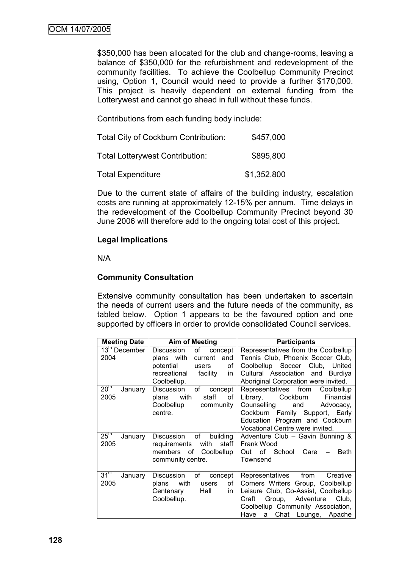\$350,000 has been allocated for the club and change-rooms, leaving a balance of \$350,000 for the refurbishment and redevelopment of the community facilities. To achieve the Coolbellup Community Precinct using, Option 1, Council would need to provide a further \$170,000. This project is heavily dependent on external funding from the Lotterywest and cannot go ahead in full without these funds.

Contributions from each funding body include:

| <b>Total City of Cockburn Contribution:</b> | \$457,000   |
|---------------------------------------------|-------------|
| <b>Total Lotterywest Contribution:</b>      | \$895,800   |
| <b>Total Expenditure</b>                    | \$1,352,800 |

Due to the current state of affairs of the building industry, escalation costs are running at approximately 12-15% per annum. Time delays in the redevelopment of the Coolbellup Community Precinct beyond 30 June 2006 will therefore add to the ongoing total cost of this project.

#### **Legal Implications**

N/A

### **Community Consultation**

Extensive community consultation has been undertaken to ascertain the needs of current users and the future needs of the community, as tabled below. Option 1 appears to be the favoured option and one supported by officers in order to provide consolidated Council services.

| <b>Meeting Date</b>                 | <b>Aim of Meeting</b>                                                                                                     | <b>Participants</b>                                                                                                                                                                                                         |
|-------------------------------------|---------------------------------------------------------------------------------------------------------------------------|-----------------------------------------------------------------------------------------------------------------------------------------------------------------------------------------------------------------------------|
| $13th$ December<br>2004             | of<br>Discussion<br>concept<br>and<br>plans with<br>current<br>potential<br>of<br>users<br>facility<br>recreational<br>in | Representatives from the Coolbellup<br>Tennis Club, Phoenix Soccer Club,<br>Coolbellup Soccer Club, United<br>Cultural Association and Burdiya                                                                              |
|                                     | Coolbellup.                                                                                                               | Aboriginal Corporation were invited.                                                                                                                                                                                        |
| 20 <sup>th</sup><br>January<br>2005 | of<br>Discussion<br>concept<br>with<br>staff<br>οf<br>plans<br>Coolbellup<br>community<br>centre.                         | Representatives from Coolbellup<br>Cockburn<br>Financial<br>Library,<br>Counselling<br>and<br>Advocacy,<br>Cockburn Family Support, Early<br>Education Program and Cockburn<br>Vocational Centre were invited.              |
| $25^{\text{th}}$<br>January<br>2005 | of<br>building<br>Discussion<br>with<br>staff  <br>requirements<br>members of Coolbellup<br>community centre.             | Adventure Club - Gavin Bunning &<br>Frank Wood<br>Out of School<br>Care<br><b>Beth</b><br>Townsend                                                                                                                          |
| 31 <sup>st</sup><br>January<br>2005 | of<br>Discussion<br>concept<br>with<br>plans<br>users<br>of<br>Hall<br>Centenary<br>in<br>Coolbellup.                     | Representatives from<br>Creative<br>Corners Writers Group, Coolbellup<br>Leisure Club, Co-Assist, Coolbellup<br>Group, Adventure<br>Club,<br>Craft<br>Coolbellup Community Association,<br>Have<br>Chat Lounge, Apache<br>a |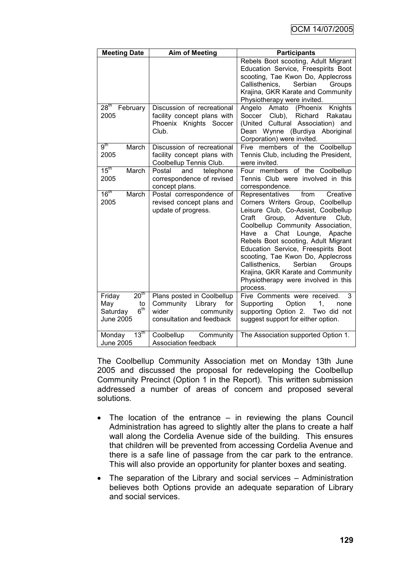| <b>Meeting Date</b>                                                                        | <b>Aim of Meeting</b>                                                                                     | <b>Participants</b>                                                                                                                                                                                                                                                                                                                                                                                                                                                                       |
|--------------------------------------------------------------------------------------------|-----------------------------------------------------------------------------------------------------------|-------------------------------------------------------------------------------------------------------------------------------------------------------------------------------------------------------------------------------------------------------------------------------------------------------------------------------------------------------------------------------------------------------------------------------------------------------------------------------------------|
|                                                                                            |                                                                                                           | Rebels Boot scooting, Adult Migrant<br>Education Service, Freespirits Boot<br>scooting, Tae Kwon Do, Applecross<br>Serbian<br>Callisthenics,<br>Groups<br>Krajina, GKR Karate and Community<br>Physiotherapy were invited.                                                                                                                                                                                                                                                                |
| $28^{\text{th}}$<br>February<br>2005                                                       | Discussion of recreational<br>facility concept plans with<br>Phoenix Knights Soccer<br>Club.              | Angelo<br>Amato<br>(Phoenix<br>Knights<br>Soccer<br>Club), Richard<br>Rakatau<br>(United Cultural Association) and<br>Dean Wynne (Burdiya Aboriginal<br>Corporation) were invited.                                                                                                                                                                                                                                                                                                        |
| 9 <sup>th</sup><br>March<br>2005                                                           | Discussion of recreational<br>facility concept plans with<br>Coolbellup Tennis Club.                      | Five members of the Coolbellup<br>Tennis Club, including the President,<br>were invited.                                                                                                                                                                                                                                                                                                                                                                                                  |
| $15^{\text{th}}$<br>March<br>2005                                                          | telephone<br>Postal<br>and<br>correspondence of revised<br>concept plans.                                 | Four members of the Coolbellup<br>Tennis Club were involved in this<br>correspondence.                                                                                                                                                                                                                                                                                                                                                                                                    |
| 16 <sup>th</sup><br>March<br>2005                                                          | Postal correspondence of<br>revised concept plans and<br>update of progress.                              | from<br>Creative<br>Representatives<br>Corners Writers Group, Coolbellup<br>Leisure Club, Co-Assist, Coolbellup<br>Craft<br>Group,<br>Adventure<br>Club,<br>Coolbellup Community Association,<br>Have<br>Chat<br>Lounge,<br>Apache<br>a<br>Rebels Boot scooting, Adult Migrant<br>Education Service, Freespirits Boot<br>scooting, Tae Kwon Do, Applecross<br>Callisthenics,<br>Serbian<br>Groups<br>Krajina, GKR Karate and Community<br>Physiotherapy were involved in this<br>process. |
| 20 <sup>th</sup><br>Friday<br>May<br>to<br>6 <sup>th</sup><br>Saturday<br><b>June 2005</b> | Plans posted in Coolbellup<br>Community Library<br>for<br>wider<br>community<br>consultation and feedback | Five Comments were received.<br>3<br>Supporting<br>Option<br>1,<br>none<br>supporting Option 2. Two did not<br>suggest support for either option.                                                                                                                                                                                                                                                                                                                                         |
| $13^{\text{th}}$<br>Monday<br><b>June 2005</b>                                             | Coolbellup<br>Community<br>Association feedback                                                           | The Association supported Option 1.                                                                                                                                                                                                                                                                                                                                                                                                                                                       |

The Coolbellup Community Association met on Monday 13th June 2005 and discussed the proposal for redeveloping the Coolbellup Community Precinct (Option 1 in the Report). This written submission addressed a number of areas of concern and proposed several solutions.

- The location of the entrance in reviewing the plans Council Administration has agreed to slightly alter the plans to create a half wall along the Cordelia Avenue side of the building. This ensures that children will be prevented from accessing Cordelia Avenue and there is a safe line of passage from the car park to the entrance. This will also provide an opportunity for planter boxes and seating.
- The separation of the Library and social services Administration believes both Options provide an adequate separation of Library and social services.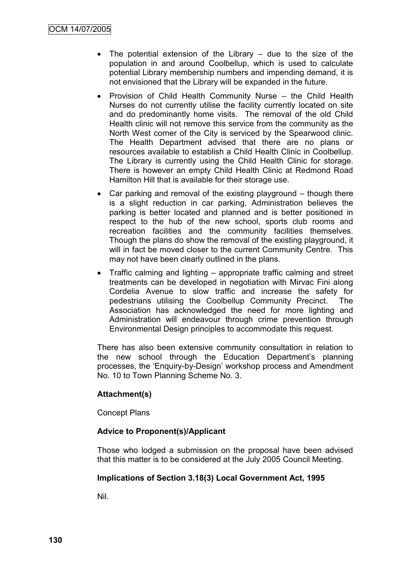- The potential extension of the Library due to the size of the population in and around Coolbellup, which is used to calculate potential Library membership numbers and impending demand, it is not envisioned that the Library will be expanded in the future.
- Provision of Child Health Community Nurse the Child Health Nurses do not currently utilise the facility currently located on site and do predominantly home visits. The removal of the old Child Health clinic will not remove this service from the community as the North West corner of the City is serviced by the Spearwood clinic. The Health Department advised that there are no plans or resources available to establish a Child Health Clinic in Coolbellup. The Library is currently using the Child Health Clinic for storage. There is however an empty Child Health Clinic at Redmond Road Hamilton Hill that is available for their storage use.
- Car parking and removal of the existing playground though there is a slight reduction in car parking, Administration believes the parking is better located and planned and is better positioned in respect to the hub of the new school, sports club rooms and recreation facilities and the community facilities themselves. Though the plans do show the removal of the existing playground, it will in fact be moved closer to the current Community Centre. This may not have been clearly outlined in the plans.
- Traffic calming and lighting appropriate traffic calming and street treatments can be developed in negotiation with Mirvac Fini along Cordelia Avenue to slow traffic and increase the safety for pedestrians utilising the Coolbellup Community Precinct. The Association has acknowledged the need for more lighting and Administration will endeavour through crime prevention through Environmental Design principles to accommodate this request.

There has also been extensive community consultation in relation to the new school through the Education Department's planning processes, the "Enquiry-by-Design" workshop process and Amendment No. 10 to Town Planning Scheme No. 3.

# **Attachment(s)**

Concept Plans

#### **Advice to Proponent(s)/Applicant**

Those who lodged a submission on the proposal have been advised that this matter is to be considered at the July 2005 Council Meeting.

#### **Implications of Section 3.18(3) Local Government Act, 1995**

Nil.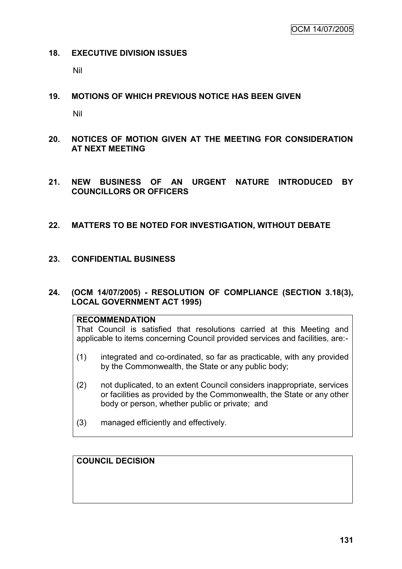#### **18. EXECUTIVE DIVISION ISSUES**

Nil

# **19. MOTIONS OF WHICH PREVIOUS NOTICE HAS BEEN GIVEN**

Nil

- **20. NOTICES OF MOTION GIVEN AT THE MEETING FOR CONSIDERATION AT NEXT MEETING**
- **21. NEW BUSINESS OF AN URGENT NATURE INTRODUCED BY COUNCILLORS OR OFFICERS**

# **22. MATTERS TO BE NOTED FOR INVESTIGATION, WITHOUT DEBATE**

# **23. CONFIDENTIAL BUSINESS**

### **24. (OCM 14/07/2005) - RESOLUTION OF COMPLIANCE (SECTION 3.18(3), LOCAL GOVERNMENT ACT 1995)**

#### **RECOMMENDATION**

That Council is satisfied that resolutions carried at this Meeting and applicable to items concerning Council provided services and facilities, are:-

- (1) integrated and co-ordinated, so far as practicable, with any provided by the Commonwealth, the State or any public body;
- (2) not duplicated, to an extent Council considers inappropriate, services or facilities as provided by the Commonwealth, the State or any other body or person, whether public or private; and
- (3) managed efficiently and effectively.

# **COUNCIL DECISION**